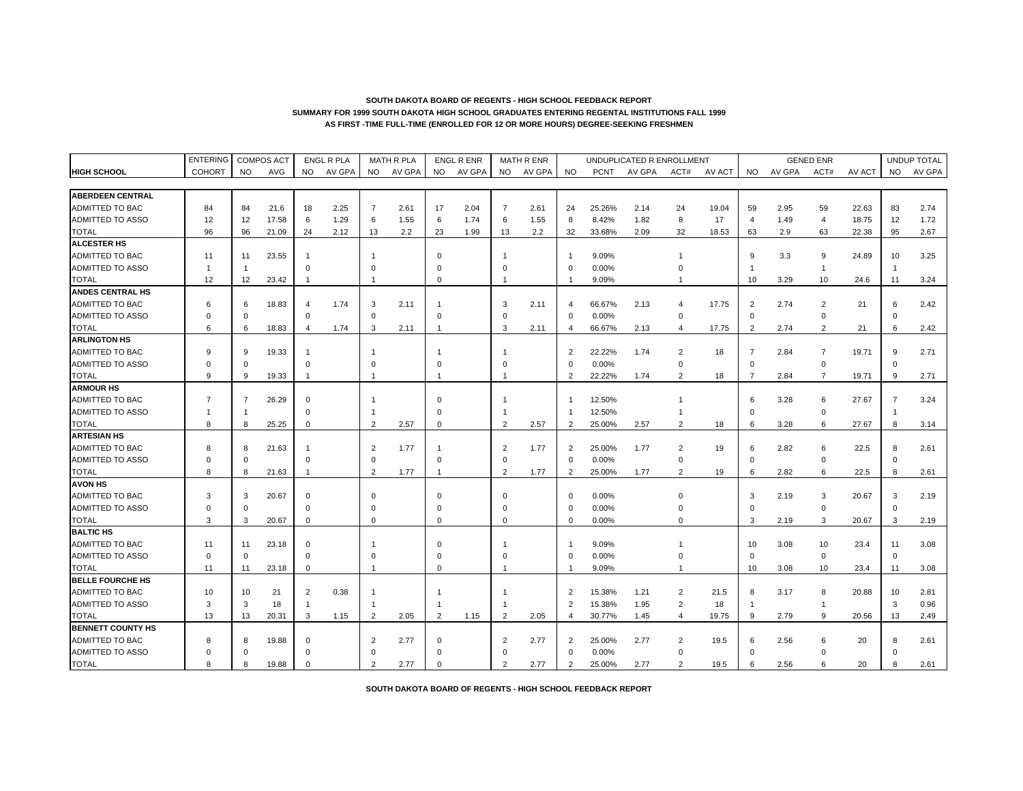|                          | <b>ENTERING</b> |           | <b>COMPOS ACT</b> |                | <b>ENGL R PLA</b> |                | <b>MATH R PLA</b> |                | <b>ENGL R ENR</b> |             | MATH R ENR |                |             | UNDUPLICATED R ENROLLMENT |                |        |                |        | <b>GENED ENR</b> |        |                | UNDUP TOTAL |
|--------------------------|-----------------|-----------|-------------------|----------------|-------------------|----------------|-------------------|----------------|-------------------|-------------|------------|----------------|-------------|---------------------------|----------------|--------|----------------|--------|------------------|--------|----------------|-------------|
| <b>HIGH SCHOOL</b>       | <b>COHORT</b>   | <b>NO</b> | AVG               | <b>NO</b>      | AV GPA            | <b>NO</b>      | AV GPA            | <b>NO</b>      | AV GPA            | <b>NO</b>   | AV GPA     | <b>NO</b>      | <b>PCNT</b> | AV GPA                    | ACT#           | AV ACT | <b>NO</b>      | AV GPA | ACT#             | AV ACT | <b>NO</b>      | AV GPA      |
|                          |                 |           |                   |                |                   |                |                   |                |                   |             |            |                |             |                           |                |        |                |        |                  |        |                |             |
| <b>ABERDEEN CENTRAL</b>  |                 |           |                   |                |                   |                |                   |                |                   |             |            |                |             |                           |                |        |                |        |                  |        |                |             |
| ADMITTED TO BAC          | 84              | 84        | 21.6              | 18             | 2.25              | 7              | 2.61              | 17             | 2.04              | 7           | 2.61       | 24             | 25.26%      | 2.14                      | 24             | 19.04  | 59             | 2.95   | 59               | 22.63  | 83             | 2.74        |
| ADMITTED TO ASSO         | 12              | 12        | 17.58             | 6              | 1.29              | 6              | 1.55              | 6              | 1.74              | 6           | 1.55       | 8              | 8.42%       | 1.82                      | 8              | 17     | $\overline{4}$ | 1.49   | $\overline{4}$   | 18.75  | 12             | 1.72        |
| <b>TOTAL</b>             | 96              | 96        | 21.09             | 24             | 2.12              | 13             | 2.2               | 23             | 1.99              | 13          | 2.2        | 32             | 33.68%      | 2.09                      | 32             | 18.53  | 63             | 2.9    | 63               | 22.38  | 95             | 2.67        |
| <b>ALCESTER HS</b>       |                 |           |                   |                |                   |                |                   |                |                   |             |            |                |             |                           |                |        |                |        |                  |        |                |             |
| ADMITTED TO BAC          | 11              | 11        | 23.55             |                |                   |                |                   | $\Omega$       |                   |             |            | -1             | 9.09%       |                           |                |        | 9              | 3.3    | 9                | 24.89  | 10             | 3.25        |
| <b>ADMITTED TO ASSO</b>  |                 | -1        |                   | $\Omega$       |                   | $\Omega$       |                   | $\Omega$       |                   | $\Omega$    |            | $\Omega$       | 0.00%       |                           | $\Omega$       |        |                |        | $\mathbf{1}$     |        | $\mathbf{1}$   |             |
| <b>TOTAL</b>             | 12              | 12        | 23.42             | -1             |                   |                |                   | $\Omega$       |                   | -1          |            |                | 9.09%       |                           |                |        | 10             | 3.29   | 10               | 24.6   | 11             | 3.24        |
| <b>ANDES CENTRAL HS</b>  |                 |           |                   |                |                   |                |                   |                |                   |             |            |                |             |                           |                |        |                |        |                  |        |                |             |
| <b>ADMITTED TO BAC</b>   | 6               | 6         | 18.83             | $\overline{4}$ | 1.74              | 3              | 2.11              |                |                   | 3           | 2.11       | $\overline{4}$ | 66.67%      | 2.13                      | 4              | 17.75  | $\overline{2}$ | 2.74   | $\overline{c}$   | 21     | 6              | 2.42        |
| <b>ADMITTED TO ASSO</b>  | $\Omega$        | $\Omega$  |                   | $\Omega$       |                   | $\Omega$       |                   | $\Omega$       |                   | $\Omega$    |            | $\Omega$       | 0.00%       |                           | $\mathbf 0$    |        | $\mathbf 0$    |        | $\mathbf 0$      |        | $\mathbf 0$    |             |
| <b>TOTAL</b>             | 6               | 6         | 18.83             | $\overline{4}$ | 1.74              | 3              | 2.11              | $\overline{1}$ |                   | 3           | 2.11       | $\overline{4}$ | 66.67%      | 2.13                      | $\overline{4}$ | 17.75  | $\overline{2}$ | 2.74   | $\overline{c}$   | 21     | 6              | 2.42        |
| <b>ARLINGTON HS</b>      |                 |           |                   |                |                   |                |                   |                |                   |             |            |                |             |                           |                |        |                |        |                  |        |                |             |
| ADMITTED TO BAC          | <sub>9</sub>    | 9         | 19.33             |                |                   |                |                   |                |                   |             |            | $\overline{2}$ | 22.22%      | 1.74                      | $\overline{c}$ | 18     | $\overline{7}$ | 2.84   | $\overline{7}$   | 19.71  | 9              | 2.71        |
| <b>ADMITTED TO ASSO</b>  | $\Omega$        | $\Omega$  |                   | $\Omega$       |                   | $\Omega$       |                   | $\Omega$       |                   | O           |            | $\Omega$       | 0.00%       |                           | $\mathbf 0$    |        | $\Omega$       |        | $\mathsf 0$      |        | $\Omega$       |             |
| <b>TOTAL</b>             | <sub>9</sub>    | 9         | 19.33             | -1             |                   |                |                   | -1             |                   |             |            | $\overline{2}$ | 22.22%      | 1.74                      | $\overline{2}$ | 18     | $\overline{7}$ | 2.84   | $\overline{7}$   | 19.71  | 9              | 2.71        |
| <b>ARMOUR HS</b>         |                 |           |                   |                |                   |                |                   |                |                   |             |            |                |             |                           |                |        |                |        |                  |        |                |             |
| ADMITTED TO BAC          | $\overline{7}$  | 7         | 26.29             | $\Omega$       |                   |                |                   | $\Omega$       |                   |             |            |                | 12.50%      |                           |                |        | 6              | 3.28   | 6                | 27.67  | $\overline{7}$ | 3.24        |
| <b>ADMITTED TO ASSO</b>  |                 | -1        |                   | $\Omega$       |                   |                |                   | $\Omega$       |                   |             |            | $\overline{1}$ | 12.50%      |                           | $\overline{1}$ |        | $\Omega$       |        | $\mathbf 0$      |        | -1             |             |
| <b>TOTAL</b>             | 8               | 8         | 25.25             | $\mathbf 0$    |                   | $\mathcal{P}$  | 2.57              | $\mathbf 0$    |                   | 2           | 2.57       | $\overline{2}$ | 25.00%      | 2.57                      | $\overline{2}$ | 18     | 6              | 3.28   | 6                | 27.67  | 8              | 3.14        |
| <b>ARTESIAN HS</b>       |                 |           |                   |                |                   |                |                   |                |                   |             |            |                |             |                           |                |        |                |        |                  |        |                |             |
| ADMITTED TO BAC          | 8               | 8         | 21.63             | -1             |                   | $\overline{2}$ | 1.77              |                |                   | 2           | 1.77       | $\overline{2}$ | 25.00%      | 1.77                      | $\overline{2}$ | 19     | 6              | 2.82   | 6                | 22.5   | 8              | 2.61        |
| <b>ADMITTED TO ASSO</b>  | $\Omega$        | $\Omega$  |                   | $\Omega$       |                   | $\Omega$       |                   | $\mathbf 0$    |                   | $\mathbf 0$ |            | $\Omega$       | 0.00%       |                           | $\Omega$       |        | $\Omega$       |        | $\mathbf 0$      |        | $\mathbf 0$    |             |
| <b>TOTAL</b>             | 8               | 8         | 21.63             | $\overline{1}$ |                   | $\overline{2}$ | 1.77              | $\overline{1}$ |                   | 2           | 1.77       | $\overline{2}$ | 25.00%      | 1.77                      | $\overline{2}$ | 19     | 6              | 2.82   | 6                | 22.5   | 8              | 2.61        |
| <b>AVON HS</b>           |                 |           |                   |                |                   |                |                   |                |                   |             |            |                |             |                           |                |        |                |        |                  |        |                |             |
| ADMITTED TO BAC          | 3               | 3         | 20.67             | $\Omega$       |                   | $\Omega$       |                   | $\Omega$       |                   | $\Omega$    |            | $\Omega$       | 0.00%       |                           | $\Omega$       |        | 3              | 2.19   | 3                | 20.67  | 3              | 2.19        |
| ADMITTED TO ASSO         | $\Omega$        | $\Omega$  |                   | $\mathbf 0$    |                   | $\Omega$       |                   | $\Omega$       |                   | $\Omega$    |            | $\Omega$       | 0.00%       |                           | $\Omega$       |        | $\Omega$       |        | 0                |        | $\mathbf 0$    |             |
| <b>TOTAL</b>             | 3               | 3         | 20.67             | $\mathbf 0$    |                   | $\Omega$       |                   | $\Omega$       |                   | $\Omega$    |            | $\Omega$       | 0.00%       |                           | $\Omega$       |        | 3              | 2.19   | 3                | 20.67  | 3              | 2.19        |
| <b>BALTIC HS</b>         |                 |           |                   |                |                   |                |                   |                |                   |             |            |                |             |                           |                |        |                |        |                  |        |                |             |
| <b>ADMITTED TO BAC</b>   | 11              | 11        | 23.18             | $\mathbf 0$    |                   |                |                   | $\Omega$       |                   |             |            | $\overline{1}$ | 9.09%       |                           |                |        | 10             | 3.08   | 10               | 23.4   | 11             | 3.08        |
| <b>ADMITTED TO ASSO</b>  | $\Omega$        | $\Omega$  |                   | $\Omega$       |                   | $\Omega$       |                   | $\Omega$       |                   | O           |            | $\Omega$       | 0.00%       |                           | O              |        | $\Omega$       |        | $\mathbf 0$      |        | $\mathbf 0$    |             |
| <b>TOTAL</b>             | 11              | 11        | 23.18             | $\mathbf 0$    |                   | $\overline{1}$ |                   | $\Omega$       |                   |             |            | $\mathbf{1}$   | 9.09%       |                           | 1              |        | 10             | 3.08   | 10               | 23.4   | 11             | 3.08        |
| <b>BELLE FOURCHE HS</b>  |                 |           |                   |                |                   |                |                   |                |                   |             |            |                |             |                           |                |        |                |        |                  |        |                |             |
| <b>ADMITTED TO BAC</b>   | 10              | 10        | 21                | $\overline{2}$ | 0.38              |                |                   |                |                   |             |            | $\overline{2}$ | 15.38%      | 1.21                      | $\overline{2}$ | 21.5   | 8              | 3.17   | 8                | 20.88  | 10             | 2.81        |
| ADMITTED TO ASSO         | 3               | 3         | 18                | $\overline{1}$ |                   |                |                   |                |                   |             |            | $\overline{2}$ | 15.38%      | 1.95                      | $\overline{2}$ | 18     | $\overline{1}$ |        | $\mathbf{1}$     |        | 3              | 0.96        |
| <b>TOTAL</b>             | 13              | 13        | 20.31             | 3              | 1.15              | $\overline{2}$ | 2.05              | $\overline{2}$ | 1.15              | 2           | 2.05       | $\overline{4}$ | 30.77%      | 1.45                      | $\overline{4}$ | 19.75  | 9              | 2.79   | 9                | 20.56  | 13             | 2.49        |
| <b>BENNETT COUNTY HS</b> |                 |           |                   |                |                   |                |                   |                |                   |             |            |                |             |                           |                |        |                |        |                  |        |                |             |
| <b>ADMITTED TO BAC</b>   | 8               | 8         | 19.88             | $\Omega$       |                   | 2              | 2.77              | $\mathbf 0$    |                   | 2           | 2.77       | $\overline{2}$ | 25.00%      | 2.77                      | 2              | 19.5   | 6              | 2.56   | 6                | 20     | 8              | 2.61        |
| <b>ADMITTED TO ASSO</b>  | $\Omega$        | C         |                   | C              |                   |                |                   | $\Omega$       |                   | O           |            | $\Omega$       | 0.00%       |                           | $\Omega$       |        | $\Omega$       |        | $\Omega$         |        | $\Omega$       |             |
| <b>TOTAL</b>             | 8               | 8         | 19.88             | $\Omega$       |                   | $\mathcal{P}$  | 2.77              | $\Omega$       |                   | 2           | 2.77       | $\overline{2}$ | 25.00%      | 2.77                      | $\mathfrak{p}$ | 19.5   | 6              | 2.56   | 6                | 20     | 8              | 2.61        |

**SOUTH DAKOTA BOARD OF REGENTS - HIGH SCHOOL FEEDBACK REPORT**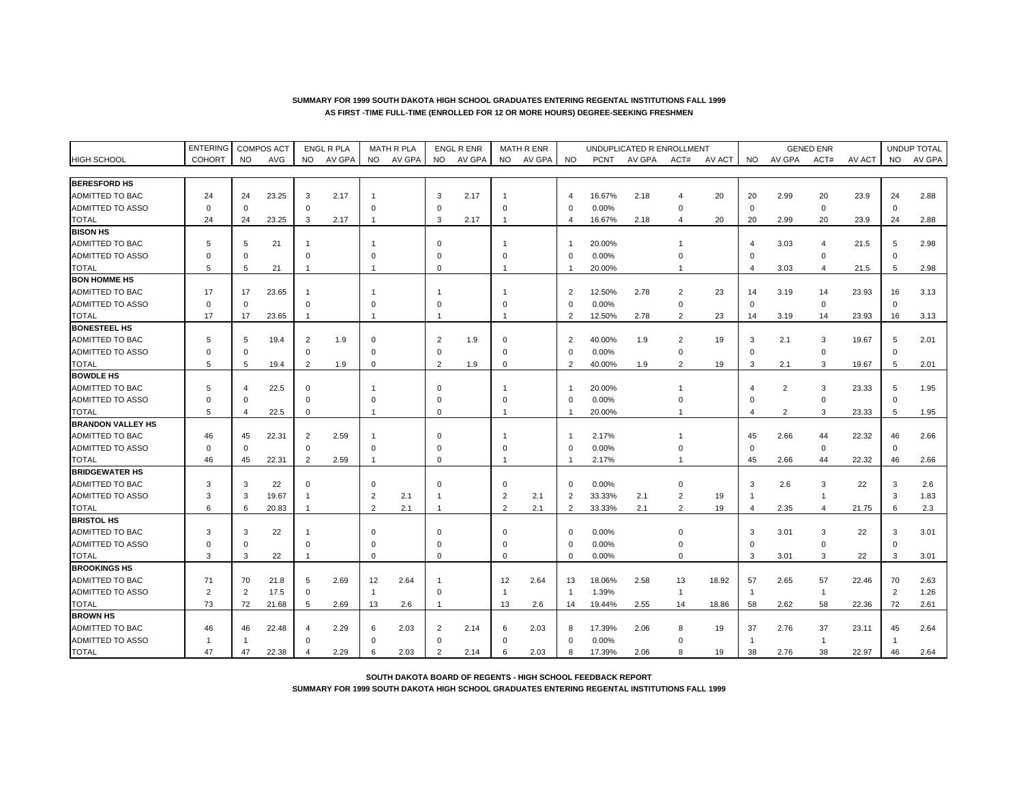|                          | <b>ENTERING</b> |                         | <b>COMPOS ACT</b> |                | <b>ENGL R PLA</b> |                | <b>MATH R PLA</b> |                | <b>ENGL R ENR</b> |                | <b>MATH R ENR</b> |                |             | UNDUPLICATED R ENROLLMENT |                |        |                |                | <b>GENED ENR</b> |        |                | <b>UNDUP TOTAL</b> |
|--------------------------|-----------------|-------------------------|-------------------|----------------|-------------------|----------------|-------------------|----------------|-------------------|----------------|-------------------|----------------|-------------|---------------------------|----------------|--------|----------------|----------------|------------------|--------|----------------|--------------------|
| <b>HIGH SCHOOL</b>       | <b>COHORT</b>   | <b>NO</b>               | AVG               | <b>NO</b>      | AV GPA            | <b>NO</b>      | AV GPA            | <b>NO</b>      | AV GPA            | NO.            | AV GPA            | <b>NO</b>      | <b>PCNT</b> | AV GPA                    | ACT#           | AV ACT | NO.            | AV GPA         | ACT#             | AV ACT | <b>NO</b>      | AV GPA             |
|                          |                 |                         |                   |                |                   |                |                   |                |                   |                |                   |                |             |                           |                |        |                |                |                  |        |                |                    |
| <b>BERESFORD HS</b>      |                 |                         |                   |                |                   |                |                   |                |                   |                |                   |                |             |                           |                |        |                |                |                  |        |                |                    |
| <b>ADMITTED TO BAC</b>   | 24              | 24                      | 23.25             | 3              | 2.17              |                |                   | 3              | 2.17              |                |                   | $\overline{4}$ | 16.67%      | 2.18                      | $\overline{4}$ | 20     | 20             | 2.99           | 20               | 23.9   | 24             | 2.88               |
| <b>ADMITTED TO ASSO</b>  | $\Omega$        | $\mathbf 0$             |                   | $\Omega$       |                   | $\Omega$       |                   | $\Omega$       |                   | $\Omega$       |                   | $\Omega$       | 0.00%       |                           | $\Omega$       |        | $\mathbf 0$    |                | $\mathbf 0$      |        | $\Omega$       |                    |
| <b>TOTAL</b>             | 24              | 24                      | 23.25             | 3              | 2.17              | $\mathbf{1}$   |                   | 3              | 2.17              | -1             |                   | $\overline{4}$ | 16.67%      | 2.18                      | 4              | 20     | 20             | 2.99           | 20               | 23.9   | 24             | 2.88               |
| <b>BISON HS</b>          |                 |                         |                   |                |                   |                |                   |                |                   |                |                   |                |             |                           |                |        |                |                |                  |        |                |                    |
| ADMITTED TO BAC          | 5               | 5                       | 21                | -1             |                   |                |                   | $\Omega$       |                   |                |                   |                | 20.00%      |                           |                |        | 4              | 3.03           | 4                | 21.5   | 5              | 2.98               |
| ADMITTED TO ASSO         |                 | $\Omega$                |                   | $\Omega$       |                   | $\Omega$       |                   | $\Omega$       |                   |                |                   | $\Omega$       | 0.00%       |                           |                |        | $\sqrt{2}$     |                | $\Omega$         |        | $\Omega$       |                    |
| <b>TOTAL</b>             | 5               | 5                       | 21                | -1             |                   | -1             |                   | $\Omega$       |                   |                |                   |                | 20.00%      |                           |                |        | $\overline{4}$ | 3.03           | 4                | 21.5   | 5              | 2.98               |
| <b>BON HOMME HS</b>      |                 |                         |                   |                |                   |                |                   |                |                   |                |                   |                |             |                           |                |        |                |                |                  |        |                |                    |
| <b>ADMITTED TO BAC</b>   | 17              | 17                      | 23.65             | -1             |                   | -1             |                   | -1             |                   |                |                   | $\overline{2}$ | 12.50%      | 2.78                      | $\overline{2}$ | 23     | 14             | 3.19           | 14               | 23.93  | 16             | 3.13               |
| <b>ADMITTED TO ASSO</b>  | $\Omega$        | 0                       |                   | $\Omega$       |                   | $\Omega$       |                   | $\Omega$       |                   | $\Omega$       |                   | $\mathbf 0$    | 0.00%       |                           | $\mathbf 0$    |        | $\mathbf 0$    |                | 0                |        | $\Omega$       |                    |
| <b>TOTAL</b>             | 17              | 17                      | 23.65             | $\overline{1}$ |                   |                |                   |                |                   |                |                   | $\overline{2}$ | 12.50%      | 2.78                      | $\overline{c}$ | 23     | 14             | 3.19           | 14               | 23.93  | 16             | 3.13               |
| <b>BONESTEEL HS</b>      |                 |                         |                   |                |                   |                |                   |                |                   |                |                   |                |             |                           |                |        |                |                |                  |        |                |                    |
| <b>ADMITTED TO BAC</b>   | 5               | 5                       | 19.4              | $\overline{2}$ | 1.9               |                |                   | $\overline{2}$ | 1.9               |                |                   | $\overline{2}$ | 40.00%      | 1.9                       | $\overline{c}$ | 19     | 3              | 2.1            | 3                | 19.67  | 5              | 2.01               |
| <b>ADMITTED TO ASSO</b>  | $\Omega$        | $\Omega$                |                   | $\Omega$       |                   | $\Omega$       |                   | $\Omega$       |                   | $\Omega$       |                   | $\Omega$       | 0.00%       |                           | $\Omega$       |        | $\Omega$       |                | $\Omega$         |        | $\Omega$       |                    |
| <b>TOTAL</b>             | 5               | 5                       | 19.4              | $\overline{2}$ | 1.9               | $\mathbf 0$    |                   | $\overline{2}$ | 1.9               | $\mathbf 0$    |                   | $\overline{2}$ | 40.00%      | 1.9                       | $\overline{2}$ | 19     | 3              | 2.1            | 3                | 19.67  | 5              | 2.01               |
| <b>BOWDLE HS</b>         |                 |                         |                   |                |                   |                |                   |                |                   |                |                   |                |             |                           |                |        |                |                |                  |        |                |                    |
| <b>ADMITTED TO BAC</b>   | 5               |                         | 22.5              | $\Omega$       |                   |                |                   | $\Omega$       |                   |                |                   |                | 20.00%      |                           |                |        | 4              | $\overline{2}$ | 3                | 23.33  | 5              | 1.95               |
| <b>ADMITTED TO ASSO</b>  | $\Omega$        | $\Omega$                |                   | $\Omega$       |                   | $\Omega$       |                   | $\Omega$       |                   | $\Omega$       |                   | $\Omega$       | 0.00%       |                           | $\Omega$       |        | $\Omega$       |                | $\mathbf 0$      |        | $\Omega$       |                    |
| <b>TOTAL</b>             | 5               | $\overline{\mathbf{A}}$ | 22.5              | $\mathbf 0$    |                   |                |                   | $\Omega$       |                   |                |                   |                | 20.00%      |                           |                |        | $\overline{4}$ | $\overline{2}$ | 3                | 23.33  | 5              | 1.95               |
| <b>BRANDON VALLEY HS</b> |                 |                         |                   |                |                   |                |                   |                |                   |                |                   |                |             |                           |                |        |                |                |                  |        |                |                    |
| <b>ADMITTED TO BAC</b>   | 46              | 45                      | 22.31             | $\overline{2}$ | 2.59              |                |                   | $\Omega$       |                   |                |                   |                | 2.17%       |                           |                |        | 45             | 2.66           | 44               | 22.32  | 46             | 2.66               |
| <b>ADMITTED TO ASSO</b>  | $\Omega$        | $\Omega$                |                   | $\mathbf 0$    |                   | $\mathbf 0$    |                   | $\Omega$       |                   | $\Omega$       |                   | $\mathbf 0$    | 0.00%       |                           |                |        | $\Omega$       |                | $\mathbf 0$      |        | $\mathbf 0$    |                    |
| <b>TOTAL</b>             | 46              | 45                      | 22.31             | $\overline{2}$ | 2.59              | -1             |                   | $\Omega$       |                   |                |                   |                | 2.17%       |                           | $\overline{1}$ |        | 45             | 2.66           | 44               | 22.32  | 46             | 2.66               |
| <b>BRIDGEWATER HS</b>    |                 |                         |                   |                |                   |                |                   |                |                   |                |                   |                |             |                           |                |        |                |                |                  |        |                |                    |
| <b>ADMITTED TO BAC</b>   | 3               | 3                       | 22                | $\Omega$       |                   | $\Omega$       |                   | $\Omega$       |                   | $\Omega$       |                   | $\Omega$       | 0.00%       |                           | $\Omega$       |        | 3              | 2.6            | 3                | 22     | 3              | 2.6                |
| ADMITTED TO ASSO         | 3               | 3                       | 19.67             | -1             |                   | $\overline{2}$ | 2.1               | $\mathbf 1$    |                   | $\overline{2}$ | 2.1               | $\overline{2}$ | 33.33%      | 2.1                       | $\overline{c}$ | 19     | -1             |                | $\overline{1}$   |        | 3              | 1.83               |
| <b>TOTAL</b>             | ĥ               | 6                       | 20.83             | $\overline{1}$ |                   | $\overline{2}$ | 2.1               | $\overline{1}$ |                   | 2              | 2.1               | $\overline{2}$ | 33.33%      | 2.1                       | $\overline{2}$ | 19     | $\overline{4}$ | 2.35           | 4                | 21.75  | 6              | 2.3                |
| <b>BRISTOL HS</b>        |                 |                         |                   |                |                   |                |                   |                |                   |                |                   |                |             |                           |                |        |                |                |                  |        |                |                    |
| ADMITTED TO BAC          | 3               | 3                       | 22                | -1             |                   | $\Omega$       |                   | $\Omega$       |                   | $\Omega$       |                   | $\Omega$       | 0.00%       |                           | $\Omega$       |        | 3              | 3.01           | 3                | 22     | 3              | 3.01               |
| ADMITTED TO ASSO         | $\Omega$        | $\Omega$                |                   | $\Omega$       |                   | $\Omega$       |                   | $\Omega$       |                   | $\Omega$       |                   | $\mathbf 0$    | 0.00%       |                           | $\Omega$       |        | $\Omega$       |                | $\Omega$         |        | $\mathbf 0$    |                    |
| <b>TOTAL</b>             | 3               | 3                       | 22                | $\overline{1}$ |                   | $\mathbf 0$    |                   | $\Omega$       |                   | $\Omega$       |                   | $\mathbf 0$    | 0.00%       |                           | $\mathbf 0$    |        | 3              | 3.01           | 3                | 22     | 3              | 3.01               |
| <b>BROOKINGS HS</b>      |                 |                         |                   |                |                   |                |                   |                |                   |                |                   |                |             |                           |                |        |                |                |                  |        |                |                    |
| <b>ADMITTED TO BAC</b>   | 71              | 70                      | 21.8              | 5              | 2.69              | 12             | 2.64              | -1             |                   | 12             | 2.64              | 13             | 18.06%      | 2.58                      | 13             | 18.92  | 57             | 2.65           | 57               | 22.46  | 70             | 2.63               |
| <b>ADMITTED TO ASSO</b>  | $\overline{2}$  | 2                       | 17.5              | $\mathbf 0$    |                   | $\mathbf{1}$   |                   | $\Omega$       |                   | $\mathbf{1}$   |                   | -1             | 1.39%       |                           | $\overline{1}$ |        | $\overline{1}$ |                | $\mathbf{1}$     |        | $\overline{2}$ | 1.26               |
| <b>TOTAL</b>             | 73              | 72                      | 21.68             | 5              | 2.69              | 13             | 2.6               | -1             |                   | 13             | 2.6               | 14             | 19.44%      | 2.55                      | 14             | 18.86  | 58             | 2.62           | 58               | 22.36  | 72             | 2.61               |
| <b>BROWN HS</b>          |                 |                         |                   |                |                   |                |                   |                |                   |                |                   |                |             |                           |                |        |                |                |                  |        |                |                    |
| ADMITTED TO BAC          | 46              | 46                      | 22.48             | $\overline{4}$ | 2.29              |                | 2.03              | $\overline{2}$ | 2.14              | 6              | 2.03              | 8              | 17.39%      | 2.06                      | 8              | 19     | 37             | 2.76           | 37               | 23.11  | 45             | 2.64               |
| <b>ADMITTED TO ASSO</b>  | -1              |                         |                   | $\mathbf 0$    |                   | $\Omega$       |                   | $\Omega$       |                   | $\Omega$       |                   | $\Omega$       | 0.00%       |                           | $\Omega$       |        |                |                | $\overline{1}$   |        |                |                    |
| <b>TOTAL</b>             | 47              | 47                      | 22.38             |                | 2.29              |                | 2.03              | $\mathcal{P}$  | 2.14              | 6              | 2.03              | 8              | 17.39%      | 2.06                      | $\mathsf{R}$   | 19     | 38             | 2.76           | 38               | 22.97  | 46             | 2.64               |

#### **SUMMARY FOR 1999 SOUTH DAKOTA HIGH SCHOOL GRADUATES ENTERING REGENTAL INSTITUTIONS FALL 1999 AS FIRST -TIME FULL-TIME (ENROLLED FOR 12 OR MORE HOURS) DEGREE-SEEKING FRESHMEN**

**SOUTH DAKOTA BOARD OF REGENTS - HIGH SCHOOL FEEDBACK REPORT SUMMARY FOR 1999 SOUTH DAKOTA HIGH SCHOOL GRADUATES ENTERING REGENTAL INSTITUTIONS FALL 1999**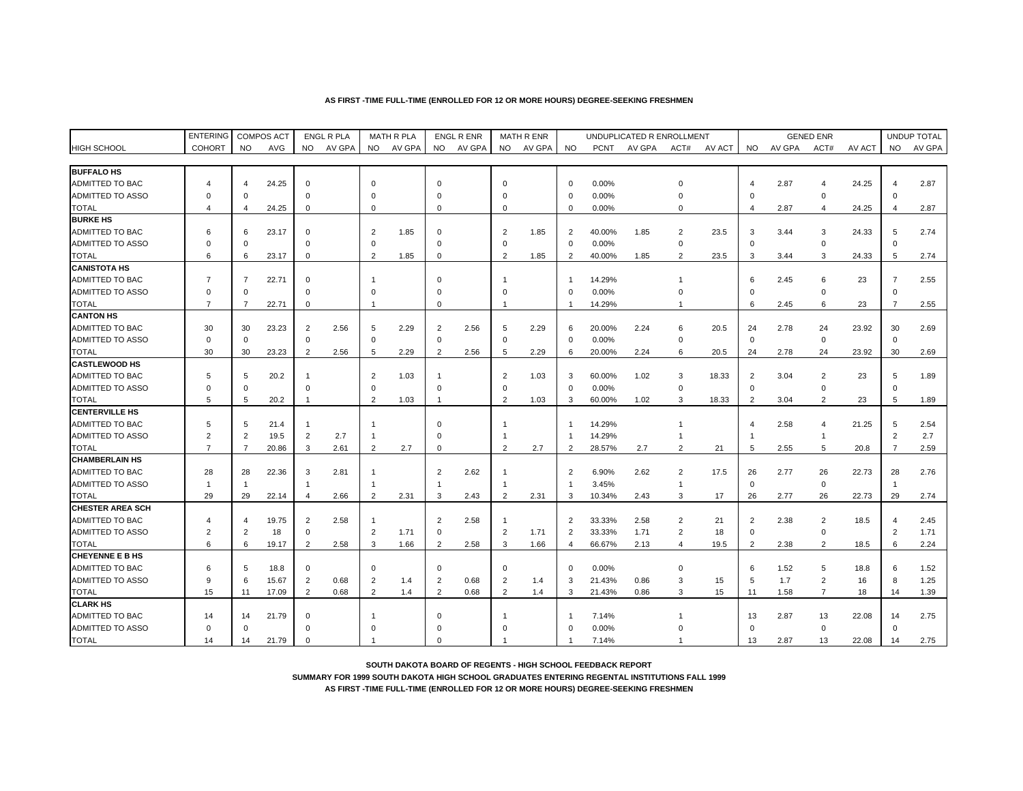#### **AS FIRST -TIME FULL-TIME (ENROLLED FOR 12 OR MORE HOURS) DEGREE-SEEKING FRESHMEN**

|                         | <b>ENTERING</b> |                | <b>COMPOS ACT</b> |                | <b>ENGL R PLA</b> |                | MATH R PLA |                | <b>ENGL R ENR</b> |                | <b>MATH R ENR</b> |                |             | UNDUPLICATED R ENROLLMENT |                |        |                |        | <b>GENED ENR</b> |        |                | UNDUP TOTAL |
|-------------------------|-----------------|----------------|-------------------|----------------|-------------------|----------------|------------|----------------|-------------------|----------------|-------------------|----------------|-------------|---------------------------|----------------|--------|----------------|--------|------------------|--------|----------------|-------------|
| <b>HIGH SCHOOL</b>      | <b>COHORT</b>   | <b>NO</b>      | AVG               | <b>NO</b>      | AV GPA            | NO.            | AV GPA     | NO.            | AV GPA            | <b>NO</b>      | AV GPA            | <b>NO</b>      | <b>PCNT</b> | AV GPA                    | ACT#           | AV ACT | NO.            | AV GPA | ACT#             | AV ACT | <b>NO</b>      | AV GPA      |
|                         |                 |                |                   |                |                   |                |            |                |                   |                |                   |                |             |                           |                |        |                |        |                  |        |                |             |
| <b>BUFFALO HS</b>       |                 |                |                   |                |                   |                |            |                |                   |                |                   |                |             |                           |                |        |                |        |                  |        |                |             |
| <b>ADMITTED TO BAC</b>  | 4               | 4              | 24.25             | $\mathbf 0$    |                   | $\mathbf 0$    |            | $\mathbf 0$    |                   | $\mathbf 0$    |                   | $\mathbf 0$    | 0.00%       |                           | $\Omega$       |        | 4              | 2.87   | 4                | 24.25  |                | 2.87        |
| ADMITTED TO ASSO        | $\Omega$        | $\Omega$       |                   | $\Omega$       |                   | $\Omega$       |            | $\Omega$       |                   | $\Omega$       |                   | $\mathbf 0$    | 0.00%       |                           | $\Omega$       |        | $\Omega$       |        | $\mathbf 0$      |        | $\Omega$       |             |
| <b>TOTAL</b>            | 4               | 4              | 24.25             | $\mathbf 0$    |                   | 0              |            | $\mathbf 0$    |                   | $\mathbf 0$    |                   | $\Omega$       | 0.00%       |                           | $\Omega$       |        | 4              | 2.87   | $\overline{4}$   | 24.25  | 4              | 2.87        |
| <b>BURKE HS</b>         |                 |                |                   |                |                   |                |            |                |                   |                |                   |                |             |                           |                |        |                |        |                  |        |                |             |
| <b>ADMITTED TO BAC</b>  | 6               | 6              | 23.17             | $\mathbf 0$    |                   | $\overline{2}$ | 1.85       | $\Omega$       |                   | 2              | 1.85              | $\overline{2}$ | 40.00%      | 1.85                      | 2              | 23.5   | 3              | 3.44   | 3                | 24.33  | 5              | 2.74        |
| ADMITTED TO ASSO        | O               | $\Omega$       |                   | $\Omega$       |                   | $\Omega$       |            | $\Omega$       |                   | $\mathbf 0$    |                   | $\mathbf 0$    | 0.00%       |                           | $\Omega$       |        | $\Omega$       |        | $\mathbf 0$      |        | $\Omega$       |             |
| <b>TOTAL</b>            | 6               | 6              | 23.17             | $\Omega$       |                   | $\overline{2}$ | 1.85       | $\mathbf 0$    |                   | $\overline{2}$ | 1.85              | $\overline{2}$ | 40.00%      | 1.85                      | $\overline{2}$ | 23.5   | 3              | 3.44   | 3                | 24.33  | 5              | 2.74        |
| <b>CANISTOTA HS</b>     |                 |                |                   |                |                   |                |            |                |                   |                |                   |                |             |                           |                |        |                |        |                  |        |                |             |
| <b>ADMITTED TO BAC</b>  | $\overline{7}$  | $\overline{7}$ | 22.71             | $\mathbf 0$    |                   | -1             |            | $\Omega$       |                   | -1             |                   | -1             | 14.29%      |                           |                |        | 6              | 2.45   | 6                | 23     | $\overline{7}$ | 2.55        |
| ADMITTED TO ASSO        | $\Omega$        | $\Omega$       |                   | $\Omega$       |                   | $\Omega$       |            | $\Omega$       |                   | $\Omega$       |                   | $\Omega$       | 0.00%       |                           | $\Omega$       |        | $\Omega$       |        | $\mathbf 0$      |        | $\Omega$       |             |
| <b>TOTAL</b>            | $\overline{7}$  | $\overline{7}$ | 22.71             | $\mathbf 0$    |                   | $\overline{1}$ |            | $\Omega$       |                   | -1             |                   |                | 14.29%      |                           |                |        | 6              | 2.45   | 6                | 23     | $\overline{7}$ | 2.55        |
| <b>CANTON HS</b>        |                 |                |                   |                |                   |                |            |                |                   |                |                   |                |             |                           |                |        |                |        |                  |        |                |             |
| <b>ADMITTED TO BAC</b>  | 30              | 30             | 23.23             | $\overline{2}$ | 2.56              | 5              | 2.29       | $\overline{2}$ | 2.56              | 5              | 2.29              | 6              | 20.00%      | 2.24                      | 6              | 20.5   | 24             | 2.78   | 24               | 23.92  | 30             | 2.69        |
| <b>ADMITTED TO ASSO</b> | $\Omega$        | $\mathbf 0$    |                   | $\mathbf 0$    |                   | $\mathbf 0$    |            | $\Omega$       |                   | $\mathbf 0$    |                   | $\Omega$       | 0.00%       |                           | $\Omega$       |        | $\mathbf 0$    |        | $\mathbf 0$      |        | $\mathbf 0$    |             |
| <b>TOTAL</b>            | 30              | 30             | 23.23             | $\overline{2}$ | 2.56              | 5              | 2.29       | $\overline{2}$ | 2.56              | 5              | 2.29              | 6              | 20.00%      | 2.24                      | 6              | 20.5   | 24             | 2.78   | 24               | 23.92  | 30             | 2.69        |
| <b>ICASTLEWOOD HS</b>   |                 |                |                   |                |                   |                |            |                |                   |                |                   |                |             |                           |                |        |                |        |                  |        |                |             |
| <b>ADMITTED TO BAC</b>  | 5               | 5              | 20.2              | -1             |                   | $\overline{2}$ | 1.03       | -1             |                   | 2              | 1.03              | 3              | 60.00%      | 1.02                      | 3              | 18.33  | $\overline{2}$ | 3.04   | $\overline{2}$   | 23     | 5              | 1.89        |
| <b>ADMITTED TO ASSO</b> | $\Omega$        | $\mathbf 0$    |                   | $\mathbf 0$    |                   | $\Omega$       |            | $\mathbf 0$    |                   | $\mathbf 0$    |                   | $\mathbf 0$    | 0.00%       |                           | $\mathbf 0$    |        | $\mathbf 0$    |        | $\mathbf 0$      |        | $\mathbf 0$    |             |
| <b>TOTAL</b>            | 5               | 5              | 20.2              | $\mathbf{1}$   |                   | $\overline{2}$ | 1.03       | $\overline{1}$ |                   | $\overline{2}$ | 1.03              | 3              | 60.00%      | 1.02                      | 3              | 18.33  | $\overline{2}$ | 3.04   | $\overline{2}$   | 23     | 5              | 1.89        |
| <b>CENTERVILLE HS</b>   |                 |                |                   |                |                   |                |            |                |                   |                |                   |                |             |                           |                |        |                |        |                  |        |                |             |
| <b>ADMITTED TO BAC</b>  | 5               | 5              | 21.4              | -1             |                   |                |            | $\Omega$       |                   |                |                   | -1             | 14.29%      |                           |                |        |                | 2.58   | $\overline{4}$   | 21.25  | 5              | 2.54        |
| <b>ADMITTED TO ASSO</b> | $\overline{2}$  | $\overline{2}$ | 19.5              | $\overline{2}$ | 2.7               | $\overline{1}$ |            | $\Omega$       |                   |                |                   |                | 14.29%      |                           |                |        |                |        | $\mathbf{1}$     |        | $\overline{2}$ | 2.7         |
| <b>TOTAL</b>            | $\overline{7}$  | $\overline{7}$ | 20.86             | 3              | 2.61              | 2              | 2.7        | $\mathbf 0$    |                   | 2              | 2.7               | $\overline{2}$ | 28.57%      | 2.7                       | 2              | 21     | 5              | 2.55   | 5                | 20.8   | 7              | 2.59        |
| <b>CHAMBERLAIN HS</b>   |                 |                |                   |                |                   |                |            |                |                   |                |                   |                |             |                           |                |        |                |        |                  |        |                |             |
| <b>ADMITTED TO BAC</b>  | 28              | 28             | 22.36             | 3              | 2.81              |                |            | $\overline{2}$ | 2.62              |                |                   | $\overline{2}$ | 6.90%       | 2.62                      | $\overline{2}$ | 17.5   | 26             | 2.77   | 26               | 22.73  | 28             | 2.76        |
| <b>ADMITTED TO ASSO</b> | $\overline{1}$  | $\overline{1}$ |                   | $\overline{1}$ |                   |                |            | -1             |                   |                |                   | $\overline{1}$ | 3.45%       |                           | $\overline{1}$ |        | $\mathbf 0$    |        | $\mathbf 0$      |        | $\mathbf{1}$   |             |
| <b>TOTAL</b>            | 29              | 29             | 22.14             | $\overline{4}$ | 2.66              | $\overline{2}$ | 2.31       | 3              | 2.43              | 2              | 2.31              | 3              | 10.34%      | 2.43                      | 3              | 17     | 26             | 2.77   | 26               | 22.73  | 29             | 2.74        |
| <b>CHESTER AREA SCH</b> |                 |                |                   |                |                   |                |            |                |                   |                |                   |                |             |                           |                |        |                |        |                  |        |                |             |
| ADMITTED TO BAC         | 4               | 4              | 19.75             | $\overline{2}$ | 2.58              |                |            | $\overline{2}$ | 2.58              |                |                   | $\overline{2}$ | 33.33%      | 2.58                      | $\overline{2}$ | 21     | $\overline{c}$ | 2.38   | $\overline{2}$   | 18.5   | $\overline{4}$ | 2.45        |
| <b>ADMITTED TO ASSO</b> | $\overline{2}$  | $\overline{2}$ | 18                | $\mathbf 0$    |                   | $\overline{2}$ | 1.71       | $\mathbf 0$    |                   | $\overline{2}$ | 1.71              | $\overline{2}$ | 33.33%      | 1.71                      | $\overline{2}$ | 18     | $\mathbf 0$    |        | $\mathbf 0$      |        | $\overline{2}$ | 1.71        |
| <b>TOTAL</b>            | 6               | 6              | 19.17             | 2              | 2.58              | 3              | 1.66       | $\overline{2}$ | 2.58              | 3              | 1.66              | $\overline{4}$ | 66.67%      | 2.13                      | $\overline{4}$ | 19.5   | $\overline{2}$ | 2.38   | $\overline{2}$   | 18.5   | 6              | 2.24        |
| <b>CHEYENNE E B HS</b>  |                 |                |                   |                |                   |                |            |                |                   |                |                   |                |             |                           |                |        |                |        |                  |        |                |             |
| <b>ADMITTED TO BAC</b>  | 6               | 5              | 18.8              | $\mathbf 0$    |                   | $\mathbf 0$    |            | $\mathbf 0$    |                   | $\mathbf 0$    |                   | $\mathbf 0$    | 0.00%       |                           | $\mathbf 0$    |        | 6              | 1.52   | 5                | 18.8   | 6              | 1.52        |
| <b>ADMITTED TO ASSO</b> | 9               | 6              | 15.67             | 2              | 0.68              | $\overline{2}$ | 1.4        | $\overline{2}$ | 0.68              | $\overline{2}$ | 1.4               | 3              | 21.43%      | 0.86                      | 3              | 15     | 5              | 1.7    | $\overline{2}$   | 16     | 8              | 1.25        |
| <b>TOTAL</b>            | 15              | 11             | 17.09             | 2              | 0.68              | 2              | 1.4        | $\overline{2}$ | 0.68              | 2              | 1.4               | 3              | 21.43%      | 0.86                      | 3              | 15     | 11             | 1.58   | $\overline{7}$   | 18     | 14             | 1.39        |
| <b>CLARK HS</b>         |                 |                |                   |                |                   |                |            |                |                   |                |                   |                |             |                           |                |        |                |        |                  |        |                |             |
| <b>ADMITTED TO BAC</b>  | 14              | 14             | 21.79             | $\mathbf 0$    |                   |                |            | $\Omega$       |                   |                |                   |                | 7.14%       |                           |                |        | 13             | 2.87   | 13               | 22.08  | 14             | 2.75        |
| ADMITTED TO ASSO        | $\Omega$        | $\mathbf 0$    |                   | $\Omega$       |                   | $\Omega$       |            | $\Omega$       |                   |                |                   | $\Omega$       | 0.00%       |                           |                |        | $\Omega$       |        | $\mathbf 0$      |        | $\mathbf 0$    |             |
| <b>TOTAL</b>            | 14              | 14             | 21.79             | $\Omega$       |                   |                |            | $\Omega$       |                   |                |                   | $\overline{1}$ | 7.14%       |                           |                |        | 13             | 2.87   | 13               | 22.08  | 14             | 2.75        |

**SOUTH DAKOTA BOARD OF REGENTS - HIGH SCHOOL FEEDBACK REPORT**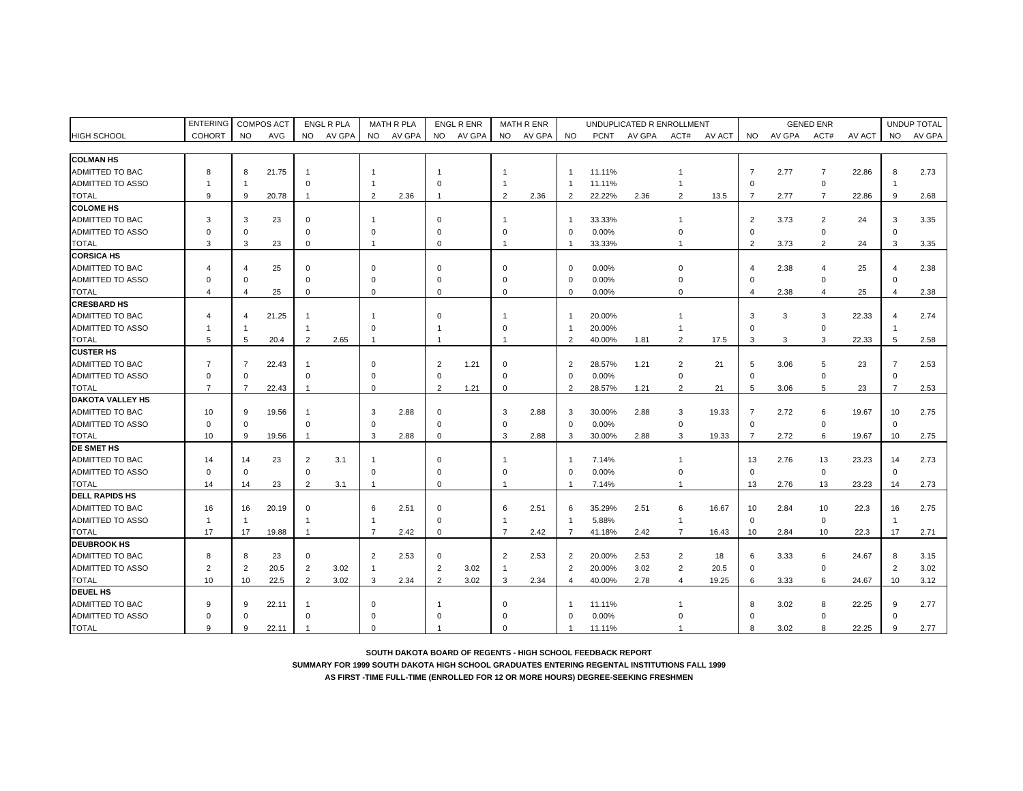|                         | <b>ENTERING</b> |                | <b>COMPOS ACT</b> |                | <b>ENGL R PLA</b> |                | <b>MATH R PLA</b> |                | <b>ENGL R ENR</b> |                | MATH R ENR |                |             | UNDUPLICATED R ENROLLMENT |                |        |              |        | <b>GENED ENR</b> |        |                         | UNDUP TOTAL |
|-------------------------|-----------------|----------------|-------------------|----------------|-------------------|----------------|-------------------|----------------|-------------------|----------------|------------|----------------|-------------|---------------------------|----------------|--------|--------------|--------|------------------|--------|-------------------------|-------------|
| <b>HIGH SCHOOL</b>      | <b>COHORT</b>   | <b>NO</b>      | AVG               | <b>NO</b>      | AV GPA            | <b>NO</b>      | AV GPA            | <b>NO</b>      | AV GPA            | <b>NO</b>      | AV GPA     | <b>NO</b>      | <b>PCNT</b> | AV GPA                    | ACT#           | AV ACT | NO.          | AV GPA | ACT#             | AV ACT | <b>NO</b>               | AV GPA      |
|                         |                 |                |                   |                |                   |                |                   |                |                   |                |            |                |             |                           |                |        |              |        |                  |        |                         |             |
| <b>COLMAN HS</b>        |                 |                |                   |                |                   |                |                   |                |                   |                |            |                |             |                           |                |        |              |        |                  |        |                         |             |
| <b>ADMITTED TO BAC</b>  | 8               | 8              | 21.75             | -1             |                   |                |                   |                |                   |                |            | -1             | 11.11%      |                           |                |        | 7            | 2.77   | 7                | 22.86  | 8                       | 2.73        |
| <b>ADMITTED TO ASSO</b> |                 | -1             |                   | $\Omega$       |                   |                |                   | $\Omega$       |                   |                |            |                | 11.11%      |                           | 1              |        | $\Omega$     |        | $\mathbf 0$      |        | -1                      |             |
| <b>TOTAL</b>            | 9               | 9              | 20.78             | $\overline{1}$ |                   | $\mathcal{P}$  | 2.36              | $\overline{1}$ |                   | 2              | 2.36       | $\overline{2}$ | 22.22%      | 2.36                      | $\overline{2}$ | 13.5   | 7            | 2.77   | $\overline{7}$   | 22.86  | 9                       | 2.68        |
| <b>COLOME HS</b>        |                 |                |                   |                |                   |                |                   |                |                   |                |            |                |             |                           |                |        |              |        |                  |        |                         |             |
| ADMITTED TO BAC         | 3               | 3              | 23                | $\Omega$       |                   |                |                   | $\mathbf 0$    |                   | -1             |            | -1             | 33.33%      |                           |                |        | 2            | 3.73   | $\overline{c}$   | 24     | 3                       | 3.35        |
| ADMITTED TO ASSO        | $\Omega$        | $\Omega$       |                   | $\Omega$       |                   | $\Omega$       |                   | $\Omega$       |                   | $\Omega$       |            | $\Omega$       | 0.00%       |                           | $\Omega$       |        | $\Omega$     |        | $\Omega$         |        | $\mathbf 0$             |             |
| <b>TOTAL</b>            | 3               | 3              | 23                | $\mathbf 0$    |                   | $\overline{1}$ |                   | $\mathbf 0$    |                   | $\mathbf{1}$   |            | $\mathbf{1}$   | 33.33%      |                           | 1              |        | 2            | 3.73   | $\overline{2}$   | 24     | 3                       | 3.35        |
| <b>CORSICA HS</b>       |                 |                |                   |                |                   |                |                   |                |                   |                |            |                |             |                           |                |        |              |        |                  |        |                         |             |
| <b>ADMITTED TO BAC</b>  | Δ               | Δ              | 25                | $\mathbf 0$    |                   | $\Omega$       |                   | $\Omega$       |                   | $\Omega$       |            | $\mathbf 0$    | 0.00%       |                           | $\Omega$       |        | 4            | 2.38   | $\overline{4}$   | 25     | $\overline{4}$          | 2.38        |
| <b>ADMITTED TO ASSO</b> | $\Omega$        | $\Omega$       |                   | $\Omega$       |                   | $\Omega$       |                   | $\Omega$       |                   | $\mathbf 0$    |            | $\Omega$       | 0.00%       |                           | $\Omega$       |        | $\mathbf 0$  |        | $\Omega$         |        | $\Omega$                |             |
| <b>TOTAL</b>            | 4               | 4              | 25                | $\mathbf 0$    |                   | $\Omega$       |                   | $\Omega$       |                   | $\mathbf 0$    |            | $\Omega$       | 0.00%       |                           | $\Omega$       |        | 4            | 2.38   | $\overline{4}$   | 25     | $\overline{4}$          | 2.38        |
| <b>CRESBARD HS</b>      |                 |                |                   |                |                   |                |                   |                |                   |                |            |                |             |                           |                |        |              |        |                  |        |                         |             |
| <b>ADMITTED TO BAC</b>  |                 | 4              | 21.25             |                |                   |                |                   | $\Omega$       |                   |                |            | -1             | 20.00%      |                           |                |        | 3            | 3      | 3                | 22.33  | $\overline{\mathbf{4}}$ | 2.74        |
| <b>ADMITTED TO ASSO</b> |                 |                |                   | -1             |                   | $\Omega$       |                   |                |                   | <sup>0</sup>   |            |                | 20.00%      |                           |                |        | $\Omega$     |        | $\Omega$         |        |                         |             |
| <b>TOTAL</b>            | 5               | 5              | 20.4              | 2              | 2.65              | $\mathbf{1}$   |                   | $\overline{1}$ |                   | -1             |            | $\overline{2}$ | 40.00%      | 1.81                      | 2              | 17.5   | 3            | 3      | 3                | 22.33  | 5                       | 2.58        |
| <b>CUSTER HS</b>        |                 |                |                   |                |                   |                |                   |                |                   |                |            |                |             |                           |                |        |              |        |                  |        |                         |             |
| ADMITTED TO BAC         | $\overline{7}$  | $\overline{7}$ | 22.43             | -1             |                   | $\Omega$       |                   | $\overline{2}$ | 1.21              | $\mathbf 0$    |            | $\overline{2}$ | 28.57%      | 1.21                      | $\overline{2}$ | 21     | 5            | 3.06   | 5                | 23     | $\overline{7}$          | 2.53        |
| ADMITTED TO ASSO        | $\Omega$        | $\Omega$       |                   | $\Omega$       |                   | $\Omega$       |                   | $\Omega$       |                   | $\mathbf 0$    |            | $\Omega$       | 0.00%       |                           | $\mathbf 0$    |        | $\mathbf 0$  |        | $\mathbf 0$      |        | $\mathbf 0$             |             |
| <b>TOTAL</b>            | $\overline{7}$  | $\overline{7}$ | 22.43             | -1             |                   | $\Omega$       |                   | $\overline{2}$ | 1.21              | $\mathbf 0$    |            | $\overline{2}$ | 28.57%      | 1.21                      | $\overline{2}$ | 21     | 5            | 3.06   | 5                | 23     | $\overline{7}$          | 2.53        |
| <b>DAKOTA VALLEY HS</b> |                 |                |                   |                |                   |                |                   |                |                   |                |            |                |             |                           |                |        |              |        |                  |        |                         |             |
| <b>ADMITTED TO BAC</b>  | 10              | 9              | 19.56             |                |                   | 3              | 2.88              | $\Omega$       |                   | 3              | 2.88       | 3              | 30.00%      | 2.88                      | 3              | 19.33  | 7            | 2.72   | 6                | 19.67  | 10                      | 2.75        |
| ADMITTED TO ASSO        | $\Omega$        | $\Omega$       |                   | $\Omega$       |                   | $\Omega$       |                   | $\Omega$       |                   | $\mathbf 0$    |            | $\Omega$       | 0.00%       |                           | $\Omega$       |        | $\Omega$     |        | $\mathbf 0$      |        | $\Omega$                |             |
| <b>TOTAL</b>            | 10              | 9              | 19.56             | -1             |                   | 3              | 2.88              | $\mathbf 0$    |                   | 3              | 2.88       | 3              | 30.00%      | 2.88                      | 3              | 19.33  | 7            | 2.72   | 6                | 19.67  | 10                      | 2.75        |
| <b>DE SMET HS</b>       |                 |                |                   |                |                   |                |                   |                |                   |                |            |                |             |                           |                |        |              |        |                  |        |                         |             |
| <b>ADMITTED TO BAC</b>  | 14              | 14             | 23                | $\overline{2}$ | 3.1               |                |                   | $\Omega$       |                   |                |            |                | 7.14%       |                           |                |        | 13           | 2.76   | 13               | 23.23  | 14                      | 2.73        |
| <b>ADMITTED TO ASSO</b> | $\Omega$        | $\Omega$       |                   | $\mathbf 0$    |                   | $\Omega$       |                   | $\Omega$       |                   | $\Omega$       |            | $\Omega$       | 0.00%       |                           | $\Omega$       |        | $\mathbf 0$  |        | $\mathbf 0$      |        | $\mathbf 0$             |             |
| <b>TOTAL</b>            | 14              | 14             | 23                | $\overline{2}$ | 3.1               |                |                   | $\mathbf 0$    |                   | -1             |            |                | 7.14%       |                           |                |        | 13           | 2.76   | 13               | 23.23  | 14                      | 2.73        |
| <b>DELL RAPIDS HS</b>   |                 |                |                   |                |                   |                |                   |                |                   |                |            |                |             |                           |                |        |              |        |                  |        |                         |             |
| <b>ADMITTED TO BAC</b>  | 16              | 16             | 20.19             | $\Omega$       |                   | 6              | 2.51              | $\Omega$       |                   | 6              | 2.51       | 6              | 35.29%      | 2.51                      | 6              | 16.67  | 10           | 2.84   | 10               | 22.3   | 16                      | 2.75        |
| <b>ADMITTED TO ASSO</b> | -1              | -1             |                   | -1             |                   |                |                   | $\mathbf 0$    |                   | -1             |            | $\mathbf{1}$   | 5.88%       |                           | -1             |        | $\mathbf 0$  |        | $\mathbf 0$      |        | -1                      |             |
| <b>TOTAL</b>            | 17              | 17             | 19.88             | -1             |                   | $\overline{7}$ | 2.42              | $\mathbf 0$    |                   | $\overline{7}$ | 2.42       | $\overline{7}$ | 41.18%      | 2.42                      | $\overline{7}$ | 16.43  | 10           | 2.84   | 10               | 22.3   | 17                      | 2.71        |
| <b>DEUBROOK HS</b>      |                 |                |                   |                |                   |                |                   |                |                   |                |            |                |             |                           |                |        |              |        |                  |        |                         |             |
| <b>ADMITTED TO BAC</b>  | 8               | 8              | 23                | $\mathbf 0$    |                   | $\overline{2}$ | 2.53              | $\mathbf 0$    |                   | 2              | 2.53       | $\overline{2}$ | 20.00%      | 2.53                      | $\overline{2}$ | 18     | 6            | 3.33   | 6                | 24.67  | 8                       | 3.15        |
| ADMITTED TO ASSO        | 2               | 2              | 20.5              | 2              | 3.02              | -1             |                   | $\overline{2}$ | 3.02              | -1             |            | $\overline{2}$ | 20.00%      | 3.02                      | $\overline{2}$ | 20.5   | $\mathbf 0$  |        | $\mathbf 0$      |        | $\overline{2}$          | 3.02        |
| <b>TOTAL</b>            | 10              | 10             | 22.5              | 2              | 3.02              | 3              | 2.34              | $\overline{2}$ | 3.02              | 3              | 2.34       | $\overline{4}$ | 40.00%      | 2.78                      | 4              | 19.25  | 6            | 3.33   | 6                | 24.67  | 10                      | 3.12        |
| <b>DEUEL HS</b>         |                 |                |                   |                |                   |                |                   |                |                   |                |            |                |             |                           |                |        |              |        |                  |        |                         |             |
| ADMITTED TO BAC         | 9               | 9              | 22.11             |                |                   | $\Omega$       |                   |                |                   | O              |            |                | 11.11%      |                           |                |        | 8            | 3.02   | 8                | 22.25  | 9                       | 2.77        |
| <b>ADMITTED TO ASSO</b> | $\Omega$        | O              |                   | $\Omega$       |                   |                |                   | $\Omega$       |                   |                |            | $\Omega$       | 0.00%       |                           |                |        | $\Omega$     |        |                  |        | $\mathbf 0$             |             |
| <b>TOTAL</b>            | q               | $\mathbf{Q}$   | 22.11             |                |                   |                |                   |                |                   |                |            | $\mathbf{1}$   | 11.11%      |                           |                |        | <sub>8</sub> | 3.02   |                  | 22.25  | $\mathbf{Q}$            | 2.77        |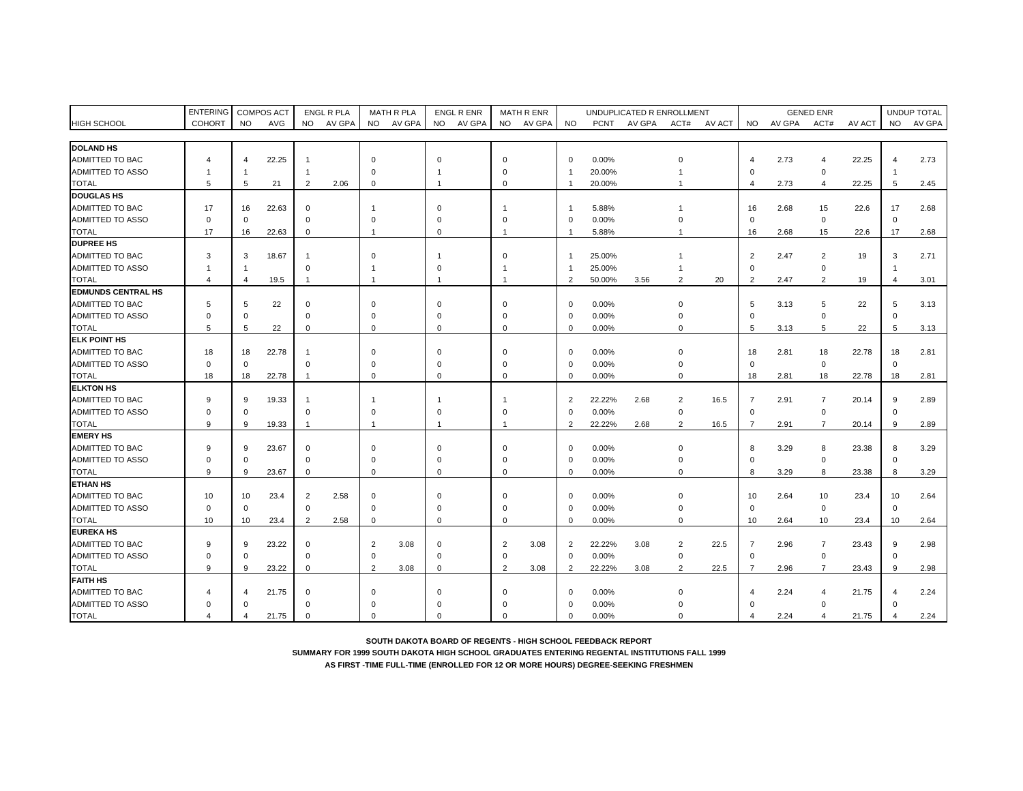|                           | <b>ENTERING</b> |                | <b>COMPOS ACT</b> |                | ENGL R PLA |                | <b>MATH R PLA</b> | <b>ENGL R ENR</b> |        |                | MATH R ENR |                |             | UNDUPLICATED R ENROLLMENT |                |        |                |        | <b>GENED ENR</b> |        |                | UNDUP TOTAL |
|---------------------------|-----------------|----------------|-------------------|----------------|------------|----------------|-------------------|-------------------|--------|----------------|------------|----------------|-------------|---------------------------|----------------|--------|----------------|--------|------------------|--------|----------------|-------------|
| <b>HIGH SCHOOL</b>        | <b>COHORT</b>   | <b>NO</b>      | AVG               |                | NO AV GPA  | <b>NO</b>      | AV GPA            | <b>NO</b>         | AV GPA | NO.            | AV GPA     | <b>NO</b>      | <b>PCNT</b> | AV GPA                    | ACT#           | AV ACT | <b>NO</b>      | AV GPA | ACT#             | AV ACT | <b>NO</b>      | AV GPA      |
|                           |                 |                |                   |                |            |                |                   |                   |        |                |            |                |             |                           |                |        |                |        |                  |        |                |             |
| <b>DOLAND HS</b>          |                 |                |                   |                |            |                |                   |                   |        |                |            |                |             |                           |                |        |                |        |                  |        |                |             |
| <b>ADMITTED TO BAC</b>    | 4               | $\overline{4}$ | 22.25             | $\mathbf{1}$   |            | $\Omega$       |                   | $\Omega$          |        | $\Omega$       |            | $\Omega$       | 0.00%       |                           | O              |        | 4              | 2.73   | $\overline{4}$   | 22.25  | $\overline{4}$ | 2.73        |
| ADMITTED TO ASSO          | -1              | -1             |                   | $\mathbf{1}$   |            | $\Omega$       |                   |                   |        | $\mathbf 0$    |            | $\mathbf{1}$   | 20.00%      |                           |                |        | $\mathbf 0$    |        | $\mathbf 0$      |        |                |             |
| TOTAL                     | 5               | 5              | 21                | $\overline{2}$ | 2.06       | $\Omega$       |                   |                   |        | $\Omega$       |            | $\mathbf{1}$   | 20.00%      |                           |                |        | 4              | 2.73   | $\overline{4}$   | 22.25  | 5              | 2.45        |
| <b>DOUGLAS HS</b>         |                 |                |                   |                |            |                |                   |                   |        |                |            |                |             |                           |                |        |                |        |                  |        |                |             |
| ADMITTED TO BAC           | 17              | 16             | 22.63             | $\mathbf 0$    |            |                |                   | $\Omega$          |        |                |            | $\overline{1}$ | 5.88%       |                           |                |        | 16             | 2.68   | 15               | 22.6   | 17             | 2.68        |
| ADMITTED TO ASSO          | $\Omega$        | $\mathbf 0$    |                   | $\mathbf 0$    |            | $\Omega$       |                   | $\Omega$          |        | $\Omega$       |            | $\Omega$       | 0.00%       |                           | O              |        | $\mathbf 0$    |        | $\mathbf 0$      |        | $\mathbf 0$    |             |
| <b>TOTAL</b>              | 17              | 16             | 22.63             | $\mathbf 0$    |            | $\overline{1}$ |                   | $\Omega$          |        | $\overline{1}$ |            | $\mathbf{1}$   | 5.88%       |                           |                |        | 16             | 2.68   | 15               | 22.6   | 17             | 2.68        |
| <b>DUPREE HS</b>          |                 |                |                   |                |            |                |                   |                   |        |                |            |                |             |                           |                |        |                |        |                  |        |                |             |
| ADMITTED TO BAC           | 3               | 3              | 18.67             | $\overline{1}$ |            | $\mathbf 0$    |                   |                   |        | $\mathbf 0$    |            | $\mathbf{1}$   | 25.00%      |                           |                |        | 2              | 2.47   | $\overline{2}$   | 19     | 3              | 2.71        |
| ADMITTED TO ASSO          | -1              | -1             |                   | $\Omega$       |            | -1             |                   | $\Omega$          |        | -1             |            | $\mathbf{1}$   | 25.00%      |                           | -1             |        | $\mathbf 0$    |        | $\mathbf 0$      |        | -1             |             |
| <b>TOTAL</b>              | $\overline{a}$  | $\overline{4}$ | 19.5              | $\mathbf{1}$   |            | -1             |                   |                   |        | $\mathbf{1}$   |            | $\overline{2}$ | 50.00%      | 3.56                      | $\overline{2}$ | 20     | 2              | 2.47   | $\overline{2}$   | 19     | $\overline{4}$ | 3.01        |
| <b>EDMUNDS CENTRAL HS</b> |                 |                |                   |                |            |                |                   |                   |        |                |            |                |             |                           |                |        |                |        |                  |        |                |             |
| ADMITTED TO BAC           | 5               | 5              | 22                | $\Omega$       |            | $\Omega$       |                   | $\Omega$          |        | $\Omega$       |            | $\Omega$       | 0.00%       |                           | $\Omega$       |        | 5              | 3.13   | 5                | 22     | 5              | 3.13        |
| <b>ADMITTED TO ASSO</b>   | ŋ               | $\Omega$       |                   | $\Omega$       |            | $\Omega$       |                   | $\Omega$          |        | $\Omega$       |            | $\Omega$       | 0.00%       |                           | O              |        | $\Omega$       |        | $\Omega$         |        | $\mathbf 0$    |             |
| TOTAL                     | 5               | 5              | 22                | $\mathbf 0$    |            | $\mathbf 0$    |                   | $\mathbf 0$       |        | $\mathbf 0$    |            | $\Omega$       | 0.00%       |                           | $\Omega$       |        | 5              | 3.13   | 5                | 22     | 5              | 3.13        |
| <b>ELK POINT HS</b>       |                 |                |                   |                |            |                |                   |                   |        |                |            |                |             |                           |                |        |                |        |                  |        |                |             |
| ADMITTED TO BAC           | 18              | 18             | 22.78             | $\overline{1}$ |            | $\Omega$       |                   | $\mathbf 0$       |        | $\Omega$       |            | $\Omega$       | 0.00%       |                           | $\Omega$       |        | 18             | 2.81   | 18               | 22.78  | 18             | 2.81        |
| ADMITTED TO ASSO          | $\Omega$        | $\mathbf 0$    |                   | $\mathbf 0$    |            | $\Omega$       |                   | $\Omega$          |        | $\mathbf 0$    |            | $\Omega$       | 0.00%       |                           | O              |        | $\mathbf 0$    |        | $\mathbf 0$      |        | $\mathbf 0$    |             |
| TOTAL                     | 18              | 18             | 22.78             | $\overline{1}$ |            | $\mathbf 0$    |                   | $\Omega$          |        | $\Omega$       |            | $\Omega$       | 0.00%       |                           | $\Omega$       |        | 18             | 2.81   | 18               | 22.78  | 18             | 2.81        |
| <b>ELKTON HS</b>          |                 |                |                   |                |            |                |                   |                   |        |                |            |                |             |                           |                |        |                |        |                  |        |                |             |
| ADMITTED TO BAC           | 9               | 9              | 19.33             | $\overline{1}$ |            | - 1            |                   |                   |        |                |            | $\overline{2}$ | 22.22%      | 2.68                      | $\overline{2}$ | 16.5   | $\overline{7}$ | 2.91   | $\overline{7}$   | 20.14  | 9              | 2.89        |
| ADMITTED TO ASSO          | $\Omega$        | $\Omega$       |                   | $\Omega$       |            | $\Omega$       |                   | $\Omega$          |        | $\Omega$       |            | $\Omega$       | 0.00%       |                           | $\mathbf 0$    |        | $\mathbf 0$    |        | $\mathbf 0$      |        | $\mathbf 0$    |             |
| <b>TOTAL</b>              | 9               | 9              | 19.33             | $\mathbf{1}$   |            | $\overline{1}$ |                   | $\overline{1}$    |        | $\mathbf{1}$   |            | $\overline{2}$ | 22.22%      | 2.68                      | $\overline{2}$ | 16.5   | $\overline{7}$ | 2.91   | $\overline{7}$   | 20.14  | 9              | 2.89        |
| <b>EMERY HS</b>           |                 |                |                   |                |            |                |                   |                   |        |                |            |                |             |                           |                |        |                |        |                  |        |                |             |
| ADMITTED TO BAC           | g               | 9              | 23.67             | $\mathbf 0$    |            | $\Omega$       |                   | $\mathbf 0$       |        | $\Omega$       |            | $\Omega$       | 0.00%       |                           | $\Omega$       |        | 8              | 3.29   | 8                | 23.38  | 8              | 3.29        |
| ADMITTED TO ASSO          | $\Omega$        | $\Omega$       |                   | $\mathbf 0$    |            | $\Omega$       |                   | $\Omega$          |        | $\Omega$       |            | $\Omega$       | 0.00%       |                           | ŋ              |        | $\Omega$       |        | $\mathbf 0$      |        | $\mathbf 0$    |             |
| <b>TOTAL</b>              | 9               | 9              | 23.67             | $\mathbf 0$    |            | $\mathbf 0$    |                   | $\Omega$          |        | $\Omega$       |            | $\Omega$       | 0.00%       |                           | $\Omega$       |        | 8              | 3.29   | 8                | 23.38  | 8              | 3.29        |
| <b>ETHAN HS</b>           |                 |                |                   |                |            |                |                   |                   |        |                |            |                |             |                           |                |        |                |        |                  |        |                |             |
| ADMITTED TO BAC           | 10              | 10             | 23.4              | $\overline{2}$ | 2.58       | $\Omega$       |                   | $\mathbf 0$       |        | $\Omega$       |            | $\Omega$       | 0.00%       |                           | $\Omega$       |        | 10             | 2.64   | 10               | 23.4   | 10             | 2.64        |
| ADMITTED TO ASSO          | $\Omega$        | $\mathbf 0$    |                   | $\mathsf 0$    |            | $\Omega$       |                   | $\Omega$          |        | $\Omega$       |            | $\Omega$       | 0.00%       |                           |                |        | $\mathbf 0$    |        | $\mathsf 0$      |        | $\mathbf 0$    |             |
| <b>TOTAL</b>              | 10              | 10             | 23.4              | 2              | 2.58       | $\mathbf 0$    |                   | $\mathbf 0$       |        | $\mathbf 0$    |            | $\Omega$       | 0.00%       |                           | $\mathbf 0$    |        | 10             | 2.64   | 10               | 23.4   | 10             | 2.64        |
| <b>EUREKA HS</b>          |                 |                |                   |                |            |                |                   |                   |        |                |            |                |             |                           |                |        |                |        |                  |        |                |             |
| <b>ADMITTED TO BAC</b>    | g               | 9              | 23.22             | $\Omega$       |            | $\overline{2}$ | 3.08              | $\Omega$          |        | $\overline{2}$ | 3.08       | 2              | 22.22%      | 3.08                      | $\overline{2}$ | 22.5   | $\overline{7}$ | 2.96   | $\overline{7}$   | 23.43  | 9              | 2.98        |
| ADMITTED TO ASSO          | $\Omega$        | $\mathbf 0$    |                   | $\mathbf 0$    |            | $\Omega$       |                   | $\mathbf 0$       |        | $\mathbf 0$    |            | $\Omega$       | 0.00%       |                           | $\mathbf 0$    |        | $\mathbf 0$    |        | $\mathbf 0$      |        | $\mathbf 0$    |             |
| <b>TOTAL</b>              | 9               | 9              | 23.22             | $\mathbf 0$    |            | $\overline{2}$ | 3.08              | $\mathbf 0$       |        | $\overline{2}$ | 3.08       | 2              | 22.22%      | 3.08                      | $\overline{2}$ | 22.5   | $\overline{7}$ | 2.96   | $\overline{7}$   | 23.43  | 9              | 2.98        |
| <b>FAITH HS</b>           |                 |                |                   |                |            |                |                   |                   |        |                |            |                |             |                           |                |        |                |        |                  |        |                |             |
| ADMITTED TO BAC           | 4               |                | 21.75             | $\Omega$       |            | $\Omega$       |                   | $\Omega$          |        | $\Omega$       |            | $\Omega$       | 0.00%       |                           | O              |        |                | 2.24   | $\overline{4}$   | 21.75  | $\overline{4}$ | 2.24        |
| ADMITTED TO ASSO          | $\Omega$        | $\Omega$       |                   | $\Omega$       |            |                |                   | $\Omega$          |        |                |            | $\Omega$       | 0.00%       |                           |                |        | O              |        | $\Omega$         |        | $\Omega$       |             |
| <b>TOTAL</b>              | $\overline{4}$  | $\overline{a}$ | 21.75             | $\Omega$       |            | $\Omega$       |                   | $\Omega$          |        | $\Omega$       |            | $\Omega$       | 0.00%       |                           | $\Omega$       |        | 4              | 2.24   | $\overline{4}$   | 21.75  | $\overline{4}$ | 2.24        |

**SUMMARY FOR 1999 SOUTH DAKOTA HIGH SCHOOL GRADUATES ENTERING REGENTAL INSTITUTIONS FALL 1999**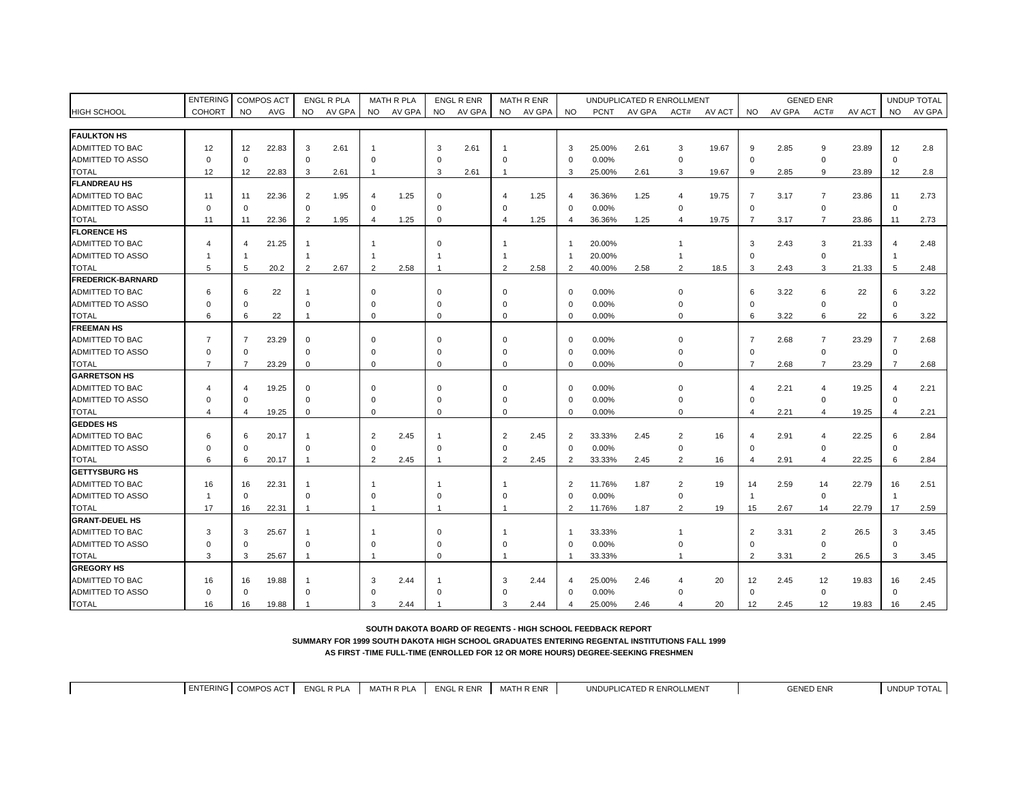|                          | <b>ENTERING</b> |                | <b>COMPOS ACT</b> |                | <b>ENGL R PLA</b> |                | <b>MATH R PLA</b> |                | <b>ENGL R ENR</b> |                         | <b>MATH R ENR</b> |                        |             | UNDUPLICATED R ENROLLMENT |                |        |                |        | <b>GENED ENR</b> |        |                | UNDUP TOTAL |
|--------------------------|-----------------|----------------|-------------------|----------------|-------------------|----------------|-------------------|----------------|-------------------|-------------------------|-------------------|------------------------|-------------|---------------------------|----------------|--------|----------------|--------|------------------|--------|----------------|-------------|
| <b>HIGH SCHOOL</b>       | COHORT          | <b>NO</b>      | AVG               | <b>NO</b>      | AV GPA            |                | NO AV GPA         | <b>NO</b>      | AV GPA            | <b>NO</b>               | AV GPA            | <b>NO</b>              | <b>PCNT</b> | AV GPA                    | ACT#           | AV ACT | NO.            | AV GPA | ACT#             | AV ACT | <b>NO</b>      | AV GPA      |
|                          |                 |                |                   |                |                   |                |                   |                |                   |                         |                   |                        |             |                           |                |        |                |        |                  |        |                |             |
| <b>FAULKTON HS</b>       |                 |                |                   |                |                   |                |                   |                |                   |                         |                   |                        |             |                           |                |        |                |        |                  |        |                |             |
| ADMITTED TO BAC          | 12              | 12             | 22.83             | 3              | 2.61              |                |                   | 3              | 2.61              |                         |                   | 3                      | 25.00%      | 2.61                      | 3              | 19.67  | 9              | 2.85   | 9                | 23.89  | 12             | 2.8         |
| ADMITTED TO ASSO         | $\Omega$        | $\Omega$       |                   | $\mathbf 0$    |                   | $\Omega$       |                   | $\Omega$       |                   | $\Omega$                |                   | $\Omega$               | 0.00%       |                           | 0              |        | $\mathbf 0$    |        | $\mathbf 0$      |        | $\mathbf 0$    |             |
| TOTAL                    | 12              | 12             | 22.83             | 3              | 2.61              | -1             |                   | 3              | 2.61              | $\mathbf{1}$            |                   | 3                      | 25.00%      | 2.61                      | 3              | 19.67  | 9              | 2.85   | 9                | 23.89  | 12             | 2.8         |
| <b>FLANDREAU HS</b>      |                 |                |                   |                |                   |                |                   |                |                   |                         |                   |                        |             |                           |                |        |                |        |                  |        |                |             |
| ADMITTED TO BAC          | 11              | 11             | 22.36             | $\overline{2}$ | 1.95              |                | 1.25              | $\Omega$       |                   | $\overline{\mathbf{A}}$ | 1.25              | $\overline{4}$         | 36.36%      | 1.25                      | 4              | 19.75  | 7              | 3.17   | $\overline{7}$   | 23.86  | 11             | 2.73        |
| ADMITTED TO ASSO         | $\Omega$        | $\mathbf 0$    |                   | $\mathbf 0$    |                   | $\Omega$       |                   | $\mathbf 0$    |                   | $\mathbf 0$             |                   | $\Omega$               | 0.00%       |                           | $\mathbf 0$    |        | $\mathbf 0$    |        | $\mathbf 0$      |        | $\mathbf 0$    |             |
| <b>TOTAL</b>             | 11              | 11             | 22.36             | 2              | 1.95              | $\overline{4}$ | 1.25              | $\Omega$       |                   | $\overline{4}$          | 1.25              | $\overline{4}$         | 36.36%      | 1.25                      | $\overline{4}$ | 19.75  | $\overline{7}$ | 3.17   | $\overline{7}$   | 23.86  | 11             | 2.73        |
| <b>FLORENCE HS</b>       |                 |                |                   |                |                   |                |                   |                |                   |                         |                   |                        |             |                           |                |        |                |        |                  |        |                |             |
| ADMITTED TO BAC          | 4               | 4              | 21.25             |                |                   |                |                   | $\Omega$       |                   |                         |                   |                        | 20.00%      |                           |                |        | 3              | 2.43   | 3                | 21.33  | $\overline{4}$ | 2.48        |
| ADMITTED TO ASSO         |                 |                |                   | -1             |                   |                |                   |                |                   |                         |                   | -1                     | 20.00%      |                           |                |        | $\Omega$       |        | $\mathbf 0$      |        |                |             |
| <b>TOTAL</b>             | 5               | 5              | 20.2              | $\overline{2}$ | 2.67              | $\overline{2}$ | 2.58              | 1              |                   | 2                       | 2.58              | $\overline{2}$         | 40.00%      | 2.58                      | $\overline{2}$ | 18.5   | 3              | 2.43   | 3                | 21.33  | 5              | 2.48        |
| <b>FREDERICK-BARNARD</b> |                 |                |                   |                |                   |                |                   |                |                   |                         |                   |                        |             |                           |                |        |                |        |                  |        |                |             |
| ADMITTED TO BAC          | 6               | 6              | 22                | -1             |                   | $\Omega$       |                   | $\Omega$       |                   | $\Omega$                |                   | $\Omega$               | 0.00%       |                           | $\Omega$       |        | 6              | 3.22   | 6                | 22     | 6              | 3.22        |
| ADMITTED TO ASSO         | $\Omega$        | $\Omega$       |                   | $\mathbf 0$    |                   | $\mathbf 0$    |                   | $\Omega$       |                   | $\Omega$                |                   | $\Omega$               | 0.00%       |                           | $\Omega$       |        | $\Omega$       |        | $\mathbf 0$      |        | $\Omega$       |             |
| <b>TOTAL</b>             | 6               | 6              | 22                | $\overline{1}$ |                   | $\mathbf 0$    |                   | $\mathbf 0$    |                   | $\mathbf 0$             |                   | $\Omega$               | 0.00%       |                           | $\mathbf 0$    |        | 6              | 3.22   | 6                | 22     | 6              | 3.22        |
| <b>FREEMAN HS</b>        |                 |                |                   |                |                   |                |                   |                |                   |                         |                   |                        |             |                           |                |        |                |        |                  |        |                |             |
| ADMITTED TO BAC          | $\overline{7}$  | $\overline{7}$ | 23.29             | $\mathbf 0$    |                   | $\mathbf 0$    |                   | $\Omega$       |                   | $\Omega$                |                   | $\Omega$               | 0.00%       |                           | $\Omega$       |        | $\overline{7}$ | 2.68   | $\overline{7}$   | 23.29  | $\overline{7}$ | 2.68        |
| ADMITTED TO ASSO         | $\Omega$        | $\mathbf 0$    |                   | $\mathbf 0$    |                   | $\mathbf 0$    |                   | $\Omega$       |                   | $\Omega$                |                   | $\Omega$               | 0.00%       |                           | $\Omega$       |        | $\mathbf 0$    |        | $\mathbf 0$      |        | $\mathbf 0$    |             |
| <b>TOTAL</b>             | $\overline{7}$  | $\overline{7}$ | 23.29             | $\mathbf 0$    |                   | $\mathbf 0$    |                   | $\Omega$       |                   | $\mathbf 0$             |                   | $\Omega$               | 0.00%       |                           | $\mathbf 0$    |        | $\overline{7}$ | 2.68   | $\overline{7}$   | 23.29  | $\overline{7}$ | 2.68        |
| <b>GARRETSON HS</b>      |                 |                |                   |                |                   |                |                   |                |                   |                         |                   |                        |             |                           |                |        |                |        |                  |        |                |             |
| ADMITTED TO BAC          | Δ               |                | 19.25             | $\mathbf 0$    |                   | $\Omega$       |                   | $\Omega$       |                   | $\Omega$                |                   | $\Omega$               | 0.00%       |                           | $\Omega$       |        | 4              | 2.21   | $\overline{4}$   | 19.25  | $\overline{4}$ | 2.21        |
| ADMITTED TO ASSO         | $\Omega$        | $\Omega$       |                   | $\mathbf 0$    |                   | $\Omega$       |                   | $\Omega$       |                   | $\Omega$                |                   | $\Omega$               | 0.00%       |                           | $\Omega$       |        | $\Omega$       |        | $\mathbf 0$      |        | $\Omega$       |             |
| <b>TOTAL</b>             | 4               | $\overline{4}$ | 19.25             | $\mathbf 0$    |                   | $\mathbf 0$    |                   | $\Omega$       |                   | $\mathbf 0$             |                   | $\Omega$               | 0.00%       |                           | $\Omega$       |        | 4              | 2.21   | $\overline{4}$   | 19.25  | $\overline{4}$ | 2.21        |
| <b>GEDDES HS</b>         |                 |                |                   |                |                   |                |                   |                |                   |                         |                   |                        |             |                           |                |        |                |        |                  |        |                |             |
| ADMITTED TO BAC          | 6               | 6              | 20.17             | -1             |                   | $\overline{2}$ | 2.45              | -1             |                   | $\overline{2}$          | 2.45              | $\overline{2}$         | 33.33%      | 2.45                      | $\overline{2}$ | 16     |                | 2.91   | $\overline{4}$   | 22.25  | 6              | 2.84        |
| ADMITTED TO ASSO         | $\Omega$        | $\Omega$       |                   | $\mathbf 0$    |                   | $\Omega$       |                   | $\Omega$       |                   | $\Omega$                |                   | $\Omega$               | 0.00%       |                           | $\mathbf 0$    |        | $\mathbf 0$    |        | $\mathbf 0$      |        | $\mathbf 0$    |             |
| <b>TOTAL</b>             | 6               | 6              | 20.17             | $\overline{1}$ |                   | $\overline{2}$ | 2.45              | $\overline{1}$ |                   | 2                       | 2.45              | $\overline{2}$         | 33.33%      | 2.45                      | $\overline{2}$ | 16     | 4              | 2.91   | $\overline{4}$   | 22.25  | 6              | 2.84        |
| <b>GETTYSBURG HS</b>     |                 |                |                   |                |                   |                |                   |                |                   |                         |                   |                        |             |                           |                |        |                |        |                  |        |                |             |
| ADMITTED TO BAC          | 16              | 16             | 22.31             | -1             |                   |                |                   | -1             |                   | -1                      |                   | $\overline{2}$         | 11.76%      | 1.87                      | $\overline{2}$ | 19     | 14             | 2.59   | 14               | 22.79  | 16             | 2.51        |
| ADMITTED TO ASSO         |                 | $\mathbf 0$    |                   | $\mathbf 0$    |                   | $\Omega$       |                   | $\Omega$       |                   | $\Omega$                |                   | $\Omega$               | 0.00%       |                           | $\Omega$       |        | $\mathbf{1}$   |        | $\mathsf 0$      |        |                |             |
| <b>TOTAL</b>             | 17              | 16             | 22.31             | $\overline{1}$ |                   |                |                   | $\mathbf{1}$   |                   | $\mathbf{1}$            |                   | $\overline{2}$         | 11.76%      | 1.87                      | $\overline{2}$ | 19     | 15             | 2.67   | 14               | 22.79  | 17             | 2.59        |
| <b>GRANT-DEUEL HS</b>    |                 |                |                   |                |                   |                |                   |                |                   |                         |                   |                        |             |                           |                |        |                |        |                  |        |                |             |
| ADMITTED TO BAC          | 3               | 3              | 25.67             | -1             |                   |                |                   | $\Omega$       |                   |                         |                   | -1                     | 33.33%      |                           |                |        | 2              | 3.31   | 2                | 26.5   | 3              | 3.45        |
| ADMITTED TO ASSO         | $\Omega$        | $\Omega$       |                   | $\mathbf 0$    |                   | $\Omega$       |                   | $\Omega$       |                   | $\Omega$                |                   | $\Omega$               | 0.00%       |                           |                |        | $\mathbf 0$    |        | $\mathsf 0$      |        | $\mathbf 0$    |             |
| <b>TOTAL</b>             | 3               | 3              | 25.67             | $\overline{1}$ |                   |                |                   | $\Omega$       |                   | $\overline{1}$          |                   | -1                     | 33.33%      |                           | $\mathbf{1}$   |        | 2              | 3.31   | $\overline{2}$   | 26.5   | 3              | 3.45        |
| <b>GREGORY IIS</b>       |                 |                |                   |                |                   |                |                   |                |                   |                         |                   |                        |             |                           |                |        |                |        |                  |        |                |             |
| ADMITTED TO BAC          | 16              | 16             | 19.88             | -1             |                   | 3              | 2.44              | -1             |                   | 3                       | 2.44              |                        | 25.00%      | 2.46                      | 4              | 20     | 12             | 2.45   | 12               | 19.83  | 16             | 2.45        |
| ADMITTED TO ASSO         | $\Omega$        | $\Omega$       |                   | $\Omega$       |                   | $\Omega$       |                   | $\Omega$       |                   | $\Omega$                |                   | $\Omega$               | 0.00%       |                           | ŋ              |        | $\mathbf 0$    |        | $\mathbf 0$      |        | $\mathbf 0$    |             |
| <b>TOTAL</b>             | 16              | 16             | 19.88             | -1             |                   | 3              | 2.44              | 1              |                   | 3                       | 2.44              | $\boldsymbol{\Lambda}$ | 25.00%      | 2.46                      | $\Delta$       | 20     | 12             | 2.45   | 12               | 19.83  | 16             | 2.45        |

**SOUTH DAKOTA BOARD OF REGENTS - HIGH SCHOOL FEEDBACK REPORT**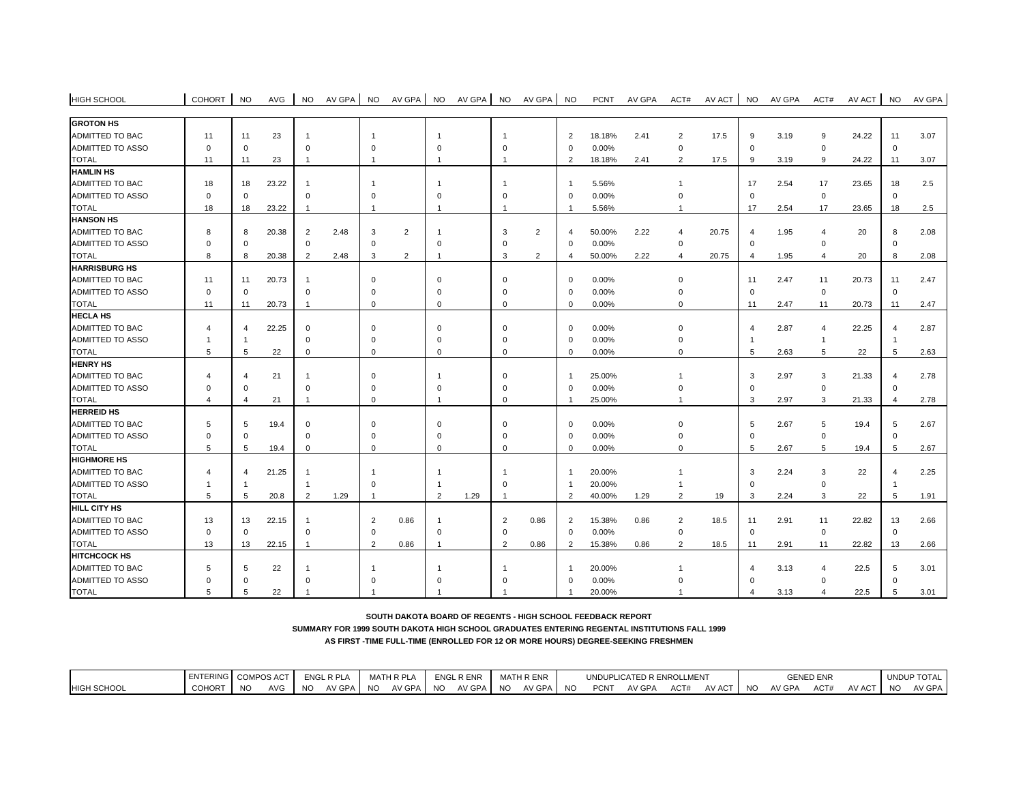| <b>GROTON HS</b>        |                |                         |       |                |      |                |                |                |      |                |                |                |        |      |                       |       |                |      |                |       |                        |      |
|-------------------------|----------------|-------------------------|-------|----------------|------|----------------|----------------|----------------|------|----------------|----------------|----------------|--------|------|-----------------------|-------|----------------|------|----------------|-------|------------------------|------|
| ADMITTED TO BAC         | 11             | 11                      | 23    | $\mathbf{1}$   |      | -1             |                |                |      | -1             |                | $\overline{2}$ | 18.18% | 2.41 | 2                     | 17.5  | 9              | 3.19 | 9              | 24.22 | 11                     | 3.07 |
| ADMITTED TO ASSO        | $\Omega$       | $\mathbf 0$             |       | $\Omega$       |      | $\Omega$       |                | $\Omega$       |      | $\Omega$       |                | $\Omega$       | 0.00%  |      | $\Omega$              |       | $\Omega$       |      | $\Omega$       |       | $\mathbf 0$            |      |
|                         |                |                         |       |                |      |                |                |                |      |                |                |                |        |      |                       |       |                |      |                |       |                        |      |
| <b>TOTAL</b>            | 11             | 11                      | 23    | $\overline{1}$ |      | $\overline{1}$ |                | -1             |      | $\overline{1}$ |                | $\mathcal{P}$  | 18.18% | 2.41 | $\overline{2}$        | 17.5  | 9              | 3.19 | 9              | 24.22 | 11                     | 3.07 |
| <b>HAMLIN HS</b>        |                |                         |       |                |      |                |                |                |      |                |                |                |        |      |                       |       |                |      |                |       |                        |      |
| ADMITTED TO BAC         | 18             | 18                      | 23.22 | $\overline{1}$ |      | -1             |                |                |      | -1             |                | $\overline{1}$ | 5.56%  |      |                       |       | 17             | 2.54 | 17             | 23.65 | 18                     | 2.5  |
| <b>ADMITTED TO ASSO</b> | $\Omega$       | $\mathbf 0$             |       | $\Omega$       |      | $\Omega$       |                | $\Omega$       |      | $\Omega$       |                | $\Omega$       | 0.00%  |      |                       |       | $\mathbf 0$    |      | $\mathbf 0$    |       | $\mathbf 0$            |      |
| <b>TOTAL</b>            | 18             | 18                      | 23.22 | $\overline{1}$ |      |                |                |                |      |                |                | -1             | 5.56%  |      |                       |       | 17             | 2.54 | 17             | 23.65 | 18                     | 2.5  |
| <b>HANSON HS</b>        |                |                         |       |                |      |                |                |                |      |                |                |                |        |      |                       |       |                |      |                |       |                        |      |
| ADMITTED TO BAC         | 8              | 8                       | 20.38 | 2              | 2.48 | 3              | $\overline{2}$ |                |      | 3              | 2              | $\overline{4}$ | 50.00% | 2.22 | $\boldsymbol{\Delta}$ | 20.75 | 4              | 1.95 | $\overline{4}$ | 20    | 8                      | 2.08 |
| ADMITTED TO ASSO        | $\Omega$       | $\Omega$                |       | $\Omega$       |      | $\Omega$       |                | $\Omega$       |      | $\Omega$       |                | $\Omega$       | 0.00%  |      | $\Omega$              |       | $\Omega$       |      | $\Omega$       |       | $\mathbf 0$            |      |
| <b>TOTAL</b>            | 8              | 8                       | 20.38 | $\overline{2}$ | 2.48 | 3              | $\overline{2}$ | -1             |      | 3              | $\overline{2}$ | $\overline{4}$ | 50.00% | 2.22 | 4                     | 20.75 | $\overline{4}$ | 1.95 | $\overline{4}$ | 20    | 8                      | 2.08 |
| <b>HARRISBURG HS</b>    |                |                         |       |                |      |                |                |                |      |                |                |                |        |      |                       |       |                |      |                |       |                        |      |
| ADMITTED TO BAC         | 11             | 11                      | 20.73 | $\mathbf{1}$   |      | $\mathbf 0$    |                | $\mathbf 0$    |      | $\mathbf 0$    |                | $\Omega$       | 0.00%  |      | $\Omega$              |       | 11             | 2.47 | 11             | 20.73 | 11                     | 2.47 |
| <b>ADMITTED TO ASSO</b> | $\Omega$       | $\mathbf 0$             |       | $\mathbf 0$    |      | $\Omega$       |                | $\Omega$       |      | $\Omega$       |                | $\Omega$       | 0.00%  |      | O                     |       | $\mathbf 0$    |      | $\mathbf 0$    |       | $\mathbf 0$            |      |
| <b>TOTAL</b>            | 11             | 11                      | 20.73 | $\overline{1}$ |      | $\mathbf 0$    |                | $\mathbf 0$    |      | $\Omega$       |                | $\Omega$       | 0.00%  |      | $\Omega$              |       | 11             | 2.47 | 11             | 20.73 | 11                     | 2.47 |
| <b>HECLA HS</b>         |                |                         |       |                |      |                |                |                |      |                |                |                |        |      |                       |       |                |      |                |       |                        |      |
| ADMITTED TO BAC         | 4              | $\overline{a}$          | 22.25 | $\mathbf 0$    |      | $\Omega$       |                | $\Omega$       |      | $\mathbf 0$    |                | $\Omega$       | 0.00%  |      | $\Omega$              |       | $\overline{4}$ | 2.87 | $\overline{4}$ | 22.25 | $\overline{4}$         | 2.87 |
| ADMITTED TO ASSO        |                |                         |       | $\mathbf 0$    |      | $\Omega$       |                | $\Omega$       |      | $\Omega$       |                | $\Omega$       | 0.00%  |      | $\Omega$              |       | -1             |      | $\overline{1}$ |       | -1                     |      |
| <b>TOTAL</b>            | 5              | 5                       | 22    | $\mathbf 0$    |      | $\mathbf 0$    |                | $\mathbf 0$    |      | $\mathbf 0$    |                | $\Omega$       | 0.00%  |      | $\Omega$              |       | 5              | 2.63 | 5              | 22    | 5                      | 2.63 |
| <b>HENRY HS</b>         |                |                         |       |                |      |                |                |                |      |                |                |                |        |      |                       |       |                |      |                |       |                        |      |
| ADMITTED TO BAC         | 4              | $\overline{\mathbf{4}}$ | 21    | $\overline{1}$ |      | $\Omega$       |                | -1             |      | $\mathbf 0$    |                | $\overline{1}$ | 25.00% |      |                       |       | 3              | 2.97 | 3              | 21.33 | $\overline{4}$         | 2.78 |
|                         |                |                         |       | $\Omega$       |      | $\Omega$       |                |                |      |                |                |                |        |      | O                     |       |                |      |                |       |                        |      |
| <b>ADMITTED TO ASSO</b> | $\Omega$       | 0                       |       |                |      |                |                | 0              |      | $\Omega$       |                | $\Omega$       | 0.00%  |      |                       |       | $\mathbf 0$    |      | $\mathbf 0$    |       | $\mathbf 0$            |      |
| <b>TOTAL</b>            | 4              | $\overline{4}$          | 21    | $\mathbf{1}$   |      | $\Omega$       |                |                |      | $\Omega$       |                | $\overline{1}$ | 25.00% |      |                       |       | 3              | 2.97 | 3              | 21.33 | $\overline{4}$         | 2.78 |
| <b>HERREID HS</b>       |                |                         |       |                |      |                |                |                |      |                |                |                |        |      |                       |       |                |      |                |       |                        |      |
| <b>ADMITTED TO BAC</b>  | 5              | 5                       | 19.4  | $\mathbf 0$    |      | $\Omega$       |                | $\mathbf 0$    |      | $\Omega$       |                | $\mathbf 0$    | 0.00%  |      | $\Omega$              |       | 5              | 2.67 | 5              | 19.4  | 5                      | 2.67 |
| ADMITTED TO ASSO        | $\Omega$       | $\Omega$                |       | $\mathbf 0$    |      | $\Omega$       |                | $\Omega$       |      | $\Omega$       |                | $\mathbf 0$    | 0.00%  |      | ŋ                     |       | $\Omega$       |      | $\mathbf 0$    |       | $\mathbf 0$            |      |
| <b>TOTAL</b>            | 5              | 5                       | 19.4  | $\mathbf 0$    |      | $\mathbf 0$    |                | $\mathbf 0$    |      | $\mathbf 0$    |                | $\Omega$       | 0.00%  |      | 0                     |       | 5              | 2.67 | 5              | 19.4  | 5                      | 2.67 |
| <b>HIGHMORE HS</b>      |                |                         |       |                |      |                |                |                |      |                |                |                |        |      |                       |       |                |      |                |       |                        |      |
| ADMITTED TO BAC         | 4              | 4                       | 21.25 | 1              |      | -1             |                |                |      |                |                | $\overline{1}$ | 20.00% |      |                       |       | 3              | 2.24 | 3              | 22    | $\boldsymbol{\Lambda}$ | 2.25 |
| ADMITTED TO ASSO        | $\overline{1}$ | -1                      |       | 1              |      | $\Omega$       |                |                |      | $\mathbf 0$    |                | $\mathbf{1}$   | 20.00% |      |                       |       | $\mathbf 0$    |      | $\mathbf 0$    |       | -1                     |      |
| <b>TOTAL</b>            | 5              | 5                       | 20.8  | $\overline{2}$ | 1.29 | -1             |                | $\overline{2}$ | 1.29 | $\overline{1}$ |                | $\overline{2}$ | 40.00% | 1.29 | $\overline{2}$        | 19    | 3              | 2.24 | 3              | 22    | 5                      | 1.91 |
| HILL CITY HS            |                |                         |       |                |      |                |                |                |      |                |                |                |        |      |                       |       |                |      |                |       |                        |      |
| ADMITTED TO BAC         | 13             | 13                      | 22.15 | $\mathbf{1}$   |      | 2              | 0.86           | -1             |      | $\overline{2}$ | 0.86           | $\overline{2}$ | 15.38% | 0.86 | $\overline{2}$        | 18.5  | 11             | 2.91 | 11             | 22.82 | 13                     | 2.66 |
| ADMITTED TO ASSO        | $\mathbf 0$    | $\mathbf 0$             |       | $\Omega$       |      | $\Omega$       |                | $\Omega$       |      | $\mathbf 0$    |                | $\Omega$       | 0.00%  |      | $\Omega$              |       | $\mathbf 0$    |      | $\mathbf 0$    |       | $\mathbf 0$            |      |
| <b>TOTAL</b>            | 13             | 13                      | 22.15 | $\overline{1}$ |      | $\overline{2}$ | 0.86           | $\overline{1}$ |      | $\overline{2}$ | 0.86           | 2              | 15.38% | 0.86 | $\overline{2}$        | 18.5  | 11             | 2.91 | 11             | 22.82 | 13                     | 2.66 |
| <b>HITCHCOCK HS</b>     |                |                         |       |                |      |                |                |                |      |                |                |                |        |      |                       |       |                |      |                |       |                        |      |
| ADMITTED TO BAC         | 5              | 5                       | 22    | -1             |      |                |                |                |      |                |                | -1             | 20.00% |      |                       |       |                | 3.13 | 4              | 22.5  | 5                      | 3.01 |
| ADMITTED TO ASSO        | $\Omega$       | $\Omega$                |       | $\Omega$       |      |                |                | $\Omega$       |      |                |                | $\Omega$       | 0.00%  |      |                       |       | $\Omega$       |      | $\Omega$       |       | $\mathbf 0$            |      |
| <b>TOTAL</b>            | 5              | 5                       | 22    |                |      |                |                |                |      |                |                | $\mathbf{1}$   | 20.00% |      |                       |       | 4              | 3.13 | $\overline{4}$ | 22.5  | 5                      | 3.01 |

HIGH SCHOOL | COHORT | NO AVG | NO AV GPA | NO AV GPA | NO AV GPA | NO PCNT AV GPA ACT# AV ACT | NO AV ACT | NO AV GPA |

**SOUTH DAKOTA BOARD OF REGENTS - HIGH SCHOOL FEEDBACK REPORT**

# **SUMMARY FOR 1999 SOUTH DAKOTA HIGH SCHOOL GRADUATES ENTERING REGENTAL INSTITUTIONS FALL 1999**

|                    | <b>ENTERING</b> COMPL |                | <b>COMPOS ACT</b> |               | <b>ENGL R PLA</b> |     | MATH R PLA | <b>ENGL</b> | R ENR  |           | <b>MATH R ENR</b> |    |             | UNDUPLICATED R ENROLLMEN |      |        |           |        | <b>GENED ENR</b> |        |           | UNDUP TOTA<br>'I∪IA∟ |
|--------------------|-----------------------|----------------|-------------------|---------------|-------------------|-----|------------|-------------|--------|-----------|-------------------|----|-------------|--------------------------|------|--------|-----------|--------|------------------|--------|-----------|----------------------|
| <b>HIGH SCHOOL</b> | <b>COHORT</b>         | N <sub>O</sub> | AVG               | <sub>NC</sub> | AV GPA            | NO. | AV GPA     | - NC        | AV GPA | <b>NO</b> | AV GPA            | NO | <b>PCNT</b> | AV GPA                   | ACT# | AV ACT | <b>NO</b> | AV GPA | ACT#             | AV ACT | <b>NO</b> | AV GPA               |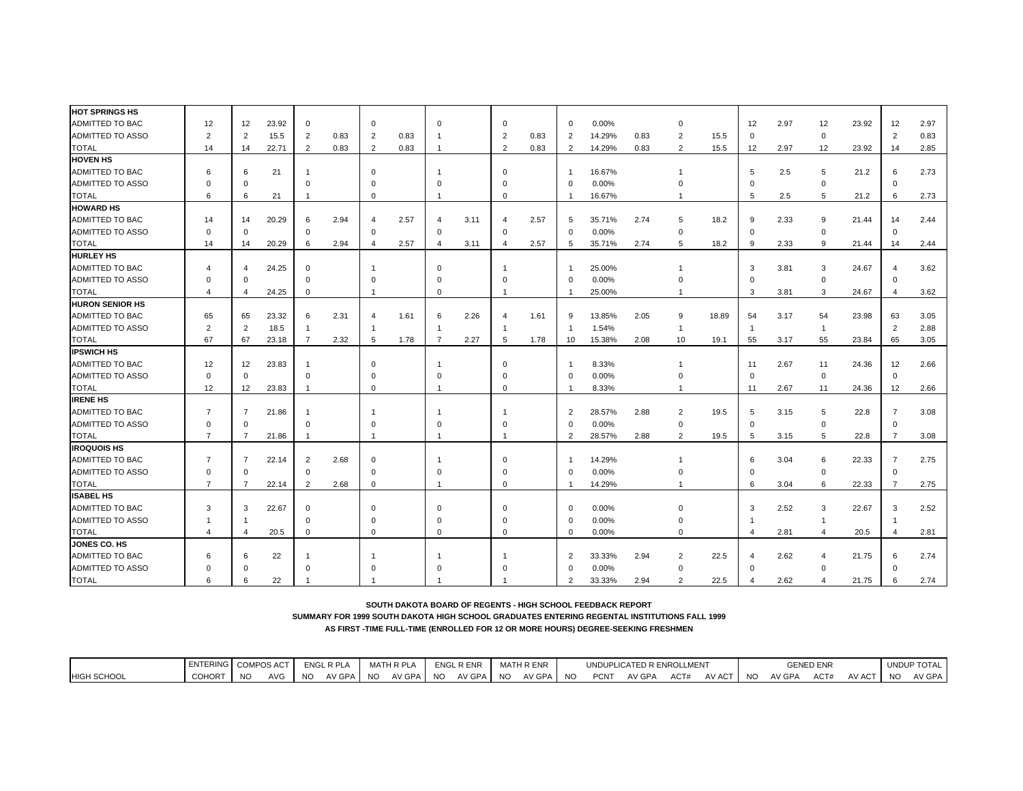| <b>HOT SPRINGS HS</b><br>ADMITTED TO BAC<br>12<br>23.92<br>0.00%<br>2.97<br>12<br>23.92<br>12<br>2.97<br>12<br>$\mathbf 0$<br>$\mathbf 0$<br>0<br>12<br>$\mathbf{0}$<br>$\Omega$<br>0<br>ADMITTED TO ASSO<br>$\overline{2}$<br>$\overline{2}$<br>0.83<br>2<br>$\overline{2}$<br>15.5<br>2<br>0.83<br>$\overline{2}$<br>0.83<br>$\overline{2}$<br>0.83<br>14.29%<br>0.83<br>$\mathbf 0$<br>$\overline{2}$<br>15.5<br>0<br>2<br>0.83<br>14.29%<br><b>TOTAL</b><br>22.71<br>2<br>0.83<br>$\overline{2}$<br>0.83<br>0.83<br>$\overline{2}$<br>15.5<br>12<br>2.97<br>12<br>23.92<br>14<br>2.85<br>14<br>$\overline{2}$<br>14<br>-1<br><b>HOVEN HS</b><br>ADMITTED TO BAC<br>16.67%<br>2.73<br>21<br>$\mathbf 0$<br>5<br>2.5<br>5<br>21.2<br>6<br>6<br>6<br>$\Omega$<br>-1<br>ADMITTED TO ASSO<br>0.00%<br>$\Omega$<br>$\Omega$<br>$\Omega$<br>$\Omega$<br>$\mathbf 0$<br>0<br>$\mathbf 0$<br>$\Omega$<br>$\Omega$<br>5<br>5<br><b>TOTAL</b><br>6<br>21<br>$\Omega$<br>16.67%<br>2.5<br>21.2<br>2.73<br>6<br>$\Omega$<br>6<br>-1<br><b>HOWARD HS</b><br>ADMITTED TO BAC<br>14<br>20.29<br>2.94<br>2.57<br>3.11<br>2.57<br>35.71%<br>2.74<br>5<br>18.2<br>9<br>2.33<br>9<br>21.44<br>14<br>2.44<br>14<br>6<br>5<br>$\overline{4}$<br>$\overline{4}$<br>$\overline{4}$<br>ADMITTED TO ASSO<br>$\mathsf{O}\xspace$<br>$\mathbf 0$<br>$\Omega$<br>0.00%<br>$\mathbf 0$<br>$\mathbf 0$<br>$\mathbf 0$<br>$\mathbf 0$<br>0<br>$\Omega$<br>$\Omega$<br>$\Omega$<br>5<br>9<br><b>TOTAL</b><br>20.29<br>6<br>2.94<br>2.57<br>3.11<br>2.57<br>35.71%<br>2.74<br>18.2<br>2.33<br>9<br>21.44<br>14<br>2.44<br>14<br>14<br>$\overline{4}$<br>$\overline{4}$<br>$\overline{4}$<br>5<br><b>HURLEY HS</b><br>ADMITTED TO BAC<br>24.25<br>25.00%<br>3<br>3<br>24.67<br>3.62<br>$\mathbf 0$<br>$\Omega$<br>3.81<br>$\overline{4}$<br>Δ<br>Δ<br>ADMITTED TO ASSO<br>0.00%<br>$\mathbf 0$<br>$\mathbf 0$<br>$\Omega$<br>$\Omega$<br>$\mathbf 0$<br>$\Omega$<br>$\Omega$<br>$\Omega$<br>$\Omega$<br>$\mathbf 0$<br>$\Omega$<br><b>TOTAL</b><br>24.25<br>25.00%<br>3<br>3<br>0<br>$\Omega$<br>3.81<br>24.67<br>3.62<br>4<br>4<br>$\overline{4}$<br>-1<br><b>HURON SENIOR HS</b><br>ADMITTED TO BAC<br>23.32<br>2.31<br>2.26<br>54<br>3.05<br>65<br>65<br>1.61<br>1.61<br>13.85%<br>2.05<br>9<br>18.89<br>54<br>3.17<br>23.98<br>63<br>6<br>6<br>9<br>$\overline{4}$<br>$\overline{2}$<br>2.88<br>ADMITTED TO ASSO<br>$\overline{2}$<br>2<br>18.5<br>1.54%<br>$\overline{1}$<br>$\overline{1}$<br>$\overline{1}$<br>$\mathbf{1}$<br>$\mathbf{1}$<br>-1<br>-1<br>67<br>23.18<br>2.32<br>2.27<br>1.78<br>15.38%<br>2.08<br>55<br>55<br>23.84<br>3.05<br><b>TOTAL</b><br>67<br>1.78<br>$\overline{7}$<br>5<br>10<br>19.1<br>3.17<br>65<br>$\overline{7}$<br>5<br>10<br><b>IPSWICH HS</b><br>ADMITTED TO BAC<br>8.33%<br>2.66<br>12<br>23.83<br>2.67<br>11<br>24.36<br>12<br>12<br>$\mathbf 0$<br>11<br>$\Omega$<br>ADMITTED TO ASSO<br>0.00%<br>$\mathbf 0$<br>$\Omega$<br>$\mathbf 0$<br>$\Omega$<br>$\Omega$<br>$\Omega$<br>$\mathbf 0$<br>$\mathbf 0$<br>0<br>12<br>8.33%<br>2.66<br><b>TOTAL</b><br>12<br>23.83<br>$\mathbf 0$<br>11<br>2.67<br>11<br>24.36<br>12<br>$\Omega$<br>-1<br>-1<br><b>IRENE HS</b><br>22.8<br>3.08<br>ADMITTED TO BAC<br>$\overline{7}$<br>21.86<br>$\overline{2}$<br>28.57%<br>2.88<br>$\overline{2}$<br>19.5<br>5<br>3.15<br>5<br>$\overline{7}$<br>$\overline{7}$<br>-1<br>ADMITTED TO ASSO<br>0.00%<br>$\mathbf 0$<br>$\mathbf 0$<br>$\mathbf 0$<br>$\Omega$<br>$\Omega$<br>$\mathbf 0$<br>$\Omega$<br>$\Omega$<br>0<br>$\mathbf 0$<br>$\overline{2}$<br>$\overline{7}$<br><b>TOTAL</b><br>$\overline{7}$<br>$\overline{7}$<br>21.86<br>$\overline{2}$<br>28.57%<br>2.88<br>19.5<br>5<br>3.15<br>5<br>22.8<br>3.08<br>$\overline{1}$<br>$\overline{1}$<br>$\overline{1}$<br>$\mathbf{1}$<br><b>IROQUOIS HS</b><br>ADMITTED TO BAC<br>$\overline{7}$<br>22.14<br>2<br>2.68<br>14.29%<br>3.04<br>22.33<br>$\overline{7}$<br>2.75<br>$\overline{7}$<br>$\Omega$<br>6<br>6<br>-1<br>$\Omega$<br>-1<br>ADMITTED TO ASSO<br>0.00%<br>$\Omega$<br>$\mathbf 0$<br>$\Omega$<br>$\mathbf 0$<br>$\Omega$<br>$\Omega$<br>0<br>$\mathbf 0$<br>$\Omega$<br>$\Omega$<br>14.29%<br><b>TOTAL</b><br>$\overline{7}$<br>22.14<br>$\overline{2}$<br>2.68<br>$\mathbf 0$<br>6<br>3.04<br>6<br>22.33<br>2.75<br>7<br>$\Omega$<br>7<br>-1<br>-1<br><b>ISABEL HS</b><br>ADMITTED TO BAC<br>0.00%<br>2.52<br>22.67<br>2.52<br>3<br>22.67<br>3<br>3<br>$\mathbf 0$<br>$\Omega$<br>$\mathbf 0$<br>$\mathbf 0$<br>$\Omega$<br>3<br>3<br>ADMITTED TO ASSO<br>0.00%<br>$\Omega$<br>$\Omega$<br>$\mathbf 0$<br>$\Omega$<br>$\Omega$<br>$\overline{1}$<br>-1<br>$\Omega$<br><b>TOTAL</b><br>20.5<br>$\mathbf 0$<br>$\mathbf 0$<br>0.00%<br>$\mathbf 0$<br>2.81<br>20.5<br>2.81<br>$\overline{4}$<br>$\overline{4}$<br>$\mathbf 0$<br>$\mathbf 0$<br>$\mathbf 0$<br>$\overline{4}$<br>4<br>$\Delta$<br><b>JONES CO. HS</b><br>ADMITTED TO BAC<br>33.33%<br>22.5<br>2.74<br>22<br>$\overline{2}$<br>2.94<br>2<br>2.62<br>21.75<br>6<br>6<br>$\overline{4}$<br>4<br>6<br><b>ADMITTED TO ASSO</b><br>0.00%<br>$\mathbf 0$<br>$\Omega$<br>$\mathbf 0$<br>$\Omega$<br>$\Omega$<br>O<br>$\Omega$<br><b>TOTAL</b><br>22<br>33.33%<br>2.94<br>2<br>22.5<br>2.62<br>21.75<br>2.74<br>6<br>6<br>$\overline{2}$<br>6<br>$\overline{4}$<br>$\overline{4}$ |  |  |  |  |  |  |  |  |  |  |  |  |
|----------------------------------------------------------------------------------------------------------------------------------------------------------------------------------------------------------------------------------------------------------------------------------------------------------------------------------------------------------------------------------------------------------------------------------------------------------------------------------------------------------------------------------------------------------------------------------------------------------------------------------------------------------------------------------------------------------------------------------------------------------------------------------------------------------------------------------------------------------------------------------------------------------------------------------------------------------------------------------------------------------------------------------------------------------------------------------------------------------------------------------------------------------------------------------------------------------------------------------------------------------------------------------------------------------------------------------------------------------------------------------------------------------------------------------------------------------------------------------------------------------------------------------------------------------------------------------------------------------------------------------------------------------------------------------------------------------------------------------------------------------------------------------------------------------------------------------------------------------------------------------------------------------------------------------------------------------------------------------------------------------------------------------------------------------------------------------------------------------------------------------------------------------------------------------------------------------------------------------------------------------------------------------------------------------------------------------------------------------------------------------------------------------------------------------------------------------------------------------------------------------------------------------------------------------------------------------------------------------------------------------------------------------------------------------------------------------------------------------------------------------------------------------------------------------------------------------------------------------------------------------------------------------------------------------------------------------------------------------------------------------------------------------------------------------------------------------------------------------------------------------------------------------------------------------------------------------------------------------------------------------------------------------------------------------------------------------------------------------------------------------------------------------------------------------------------------------------------------------------------------------------------------------------------------------------------------------------------------------------------------------------------------------------------------------------------------------------------------------------------------------------------------------------------------------------------------------------------------------------------------------------------------------------------------------------------------------------------------------------------------------------------------------------------------------------------------------------------------------------------------------------------------------------------------------------------------------------------------------------------------------------------------------------------------------------------------------------------------------------------------------------------------------------------------------------------------------------------------------------------------------------------------------------------------------------------------------------------------------------------------------------------------------------------------------------------------------------------------------------------------------------------------------------------------------------------------------------------------------------------------------------------------------------------------------------------------------------------------------------------------------------------------------------------------------------------------------------------------------------------------------------------------------------------------------------------------------------------------------------------------------------------------------------------------------------|--|--|--|--|--|--|--|--|--|--|--|--|
|                                                                                                                                                                                                                                                                                                                                                                                                                                                                                                                                                                                                                                                                                                                                                                                                                                                                                                                                                                                                                                                                                                                                                                                                                                                                                                                                                                                                                                                                                                                                                                                                                                                                                                                                                                                                                                                                                                                                                                                                                                                                                                                                                                                                                                                                                                                                                                                                                                                                                                                                                                                                                                                                                                                                                                                                                                                                                                                                                                                                                                                                                                                                                                                                                                                                                                                                                                                                                                                                                                                                                                                                                                                                                                                                                                                                                                                                                                                                                                                                                                                                                                                                                                                                                                                                                                                                                                                                                                                                                                                                                                                                                                                                                                                                                                                                                                                                                                                                                                                                                                                                                                                                                                                                                                                                                                                |  |  |  |  |  |  |  |  |  |  |  |  |
|                                                                                                                                                                                                                                                                                                                                                                                                                                                                                                                                                                                                                                                                                                                                                                                                                                                                                                                                                                                                                                                                                                                                                                                                                                                                                                                                                                                                                                                                                                                                                                                                                                                                                                                                                                                                                                                                                                                                                                                                                                                                                                                                                                                                                                                                                                                                                                                                                                                                                                                                                                                                                                                                                                                                                                                                                                                                                                                                                                                                                                                                                                                                                                                                                                                                                                                                                                                                                                                                                                                                                                                                                                                                                                                                                                                                                                                                                                                                                                                                                                                                                                                                                                                                                                                                                                                                                                                                                                                                                                                                                                                                                                                                                                                                                                                                                                                                                                                                                                                                                                                                                                                                                                                                                                                                                                                |  |  |  |  |  |  |  |  |  |  |  |  |
|                                                                                                                                                                                                                                                                                                                                                                                                                                                                                                                                                                                                                                                                                                                                                                                                                                                                                                                                                                                                                                                                                                                                                                                                                                                                                                                                                                                                                                                                                                                                                                                                                                                                                                                                                                                                                                                                                                                                                                                                                                                                                                                                                                                                                                                                                                                                                                                                                                                                                                                                                                                                                                                                                                                                                                                                                                                                                                                                                                                                                                                                                                                                                                                                                                                                                                                                                                                                                                                                                                                                                                                                                                                                                                                                                                                                                                                                                                                                                                                                                                                                                                                                                                                                                                                                                                                                                                                                                                                                                                                                                                                                                                                                                                                                                                                                                                                                                                                                                                                                                                                                                                                                                                                                                                                                                                                |  |  |  |  |  |  |  |  |  |  |  |  |
|                                                                                                                                                                                                                                                                                                                                                                                                                                                                                                                                                                                                                                                                                                                                                                                                                                                                                                                                                                                                                                                                                                                                                                                                                                                                                                                                                                                                                                                                                                                                                                                                                                                                                                                                                                                                                                                                                                                                                                                                                                                                                                                                                                                                                                                                                                                                                                                                                                                                                                                                                                                                                                                                                                                                                                                                                                                                                                                                                                                                                                                                                                                                                                                                                                                                                                                                                                                                                                                                                                                                                                                                                                                                                                                                                                                                                                                                                                                                                                                                                                                                                                                                                                                                                                                                                                                                                                                                                                                                                                                                                                                                                                                                                                                                                                                                                                                                                                                                                                                                                                                                                                                                                                                                                                                                                                                |  |  |  |  |  |  |  |  |  |  |  |  |
|                                                                                                                                                                                                                                                                                                                                                                                                                                                                                                                                                                                                                                                                                                                                                                                                                                                                                                                                                                                                                                                                                                                                                                                                                                                                                                                                                                                                                                                                                                                                                                                                                                                                                                                                                                                                                                                                                                                                                                                                                                                                                                                                                                                                                                                                                                                                                                                                                                                                                                                                                                                                                                                                                                                                                                                                                                                                                                                                                                                                                                                                                                                                                                                                                                                                                                                                                                                                                                                                                                                                                                                                                                                                                                                                                                                                                                                                                                                                                                                                                                                                                                                                                                                                                                                                                                                                                                                                                                                                                                                                                                                                                                                                                                                                                                                                                                                                                                                                                                                                                                                                                                                                                                                                                                                                                                                |  |  |  |  |  |  |  |  |  |  |  |  |
|                                                                                                                                                                                                                                                                                                                                                                                                                                                                                                                                                                                                                                                                                                                                                                                                                                                                                                                                                                                                                                                                                                                                                                                                                                                                                                                                                                                                                                                                                                                                                                                                                                                                                                                                                                                                                                                                                                                                                                                                                                                                                                                                                                                                                                                                                                                                                                                                                                                                                                                                                                                                                                                                                                                                                                                                                                                                                                                                                                                                                                                                                                                                                                                                                                                                                                                                                                                                                                                                                                                                                                                                                                                                                                                                                                                                                                                                                                                                                                                                                                                                                                                                                                                                                                                                                                                                                                                                                                                                                                                                                                                                                                                                                                                                                                                                                                                                                                                                                                                                                                                                                                                                                                                                                                                                                                                |  |  |  |  |  |  |  |  |  |  |  |  |
|                                                                                                                                                                                                                                                                                                                                                                                                                                                                                                                                                                                                                                                                                                                                                                                                                                                                                                                                                                                                                                                                                                                                                                                                                                                                                                                                                                                                                                                                                                                                                                                                                                                                                                                                                                                                                                                                                                                                                                                                                                                                                                                                                                                                                                                                                                                                                                                                                                                                                                                                                                                                                                                                                                                                                                                                                                                                                                                                                                                                                                                                                                                                                                                                                                                                                                                                                                                                                                                                                                                                                                                                                                                                                                                                                                                                                                                                                                                                                                                                                                                                                                                                                                                                                                                                                                                                                                                                                                                                                                                                                                                                                                                                                                                                                                                                                                                                                                                                                                                                                                                                                                                                                                                                                                                                                                                |  |  |  |  |  |  |  |  |  |  |  |  |
|                                                                                                                                                                                                                                                                                                                                                                                                                                                                                                                                                                                                                                                                                                                                                                                                                                                                                                                                                                                                                                                                                                                                                                                                                                                                                                                                                                                                                                                                                                                                                                                                                                                                                                                                                                                                                                                                                                                                                                                                                                                                                                                                                                                                                                                                                                                                                                                                                                                                                                                                                                                                                                                                                                                                                                                                                                                                                                                                                                                                                                                                                                                                                                                                                                                                                                                                                                                                                                                                                                                                                                                                                                                                                                                                                                                                                                                                                                                                                                                                                                                                                                                                                                                                                                                                                                                                                                                                                                                                                                                                                                                                                                                                                                                                                                                                                                                                                                                                                                                                                                                                                                                                                                                                                                                                                                                |  |  |  |  |  |  |  |  |  |  |  |  |
|                                                                                                                                                                                                                                                                                                                                                                                                                                                                                                                                                                                                                                                                                                                                                                                                                                                                                                                                                                                                                                                                                                                                                                                                                                                                                                                                                                                                                                                                                                                                                                                                                                                                                                                                                                                                                                                                                                                                                                                                                                                                                                                                                                                                                                                                                                                                                                                                                                                                                                                                                                                                                                                                                                                                                                                                                                                                                                                                                                                                                                                                                                                                                                                                                                                                                                                                                                                                                                                                                                                                                                                                                                                                                                                                                                                                                                                                                                                                                                                                                                                                                                                                                                                                                                                                                                                                                                                                                                                                                                                                                                                                                                                                                                                                                                                                                                                                                                                                                                                                                                                                                                                                                                                                                                                                                                                |  |  |  |  |  |  |  |  |  |  |  |  |
|                                                                                                                                                                                                                                                                                                                                                                                                                                                                                                                                                                                                                                                                                                                                                                                                                                                                                                                                                                                                                                                                                                                                                                                                                                                                                                                                                                                                                                                                                                                                                                                                                                                                                                                                                                                                                                                                                                                                                                                                                                                                                                                                                                                                                                                                                                                                                                                                                                                                                                                                                                                                                                                                                                                                                                                                                                                                                                                                                                                                                                                                                                                                                                                                                                                                                                                                                                                                                                                                                                                                                                                                                                                                                                                                                                                                                                                                                                                                                                                                                                                                                                                                                                                                                                                                                                                                                                                                                                                                                                                                                                                                                                                                                                                                                                                                                                                                                                                                                                                                                                                                                                                                                                                                                                                                                                                |  |  |  |  |  |  |  |  |  |  |  |  |
|                                                                                                                                                                                                                                                                                                                                                                                                                                                                                                                                                                                                                                                                                                                                                                                                                                                                                                                                                                                                                                                                                                                                                                                                                                                                                                                                                                                                                                                                                                                                                                                                                                                                                                                                                                                                                                                                                                                                                                                                                                                                                                                                                                                                                                                                                                                                                                                                                                                                                                                                                                                                                                                                                                                                                                                                                                                                                                                                                                                                                                                                                                                                                                                                                                                                                                                                                                                                                                                                                                                                                                                                                                                                                                                                                                                                                                                                                                                                                                                                                                                                                                                                                                                                                                                                                                                                                                                                                                                                                                                                                                                                                                                                                                                                                                                                                                                                                                                                                                                                                                                                                                                                                                                                                                                                                                                |  |  |  |  |  |  |  |  |  |  |  |  |
|                                                                                                                                                                                                                                                                                                                                                                                                                                                                                                                                                                                                                                                                                                                                                                                                                                                                                                                                                                                                                                                                                                                                                                                                                                                                                                                                                                                                                                                                                                                                                                                                                                                                                                                                                                                                                                                                                                                                                                                                                                                                                                                                                                                                                                                                                                                                                                                                                                                                                                                                                                                                                                                                                                                                                                                                                                                                                                                                                                                                                                                                                                                                                                                                                                                                                                                                                                                                                                                                                                                                                                                                                                                                                                                                                                                                                                                                                                                                                                                                                                                                                                                                                                                                                                                                                                                                                                                                                                                                                                                                                                                                                                                                                                                                                                                                                                                                                                                                                                                                                                                                                                                                                                                                                                                                                                                |  |  |  |  |  |  |  |  |  |  |  |  |
|                                                                                                                                                                                                                                                                                                                                                                                                                                                                                                                                                                                                                                                                                                                                                                                                                                                                                                                                                                                                                                                                                                                                                                                                                                                                                                                                                                                                                                                                                                                                                                                                                                                                                                                                                                                                                                                                                                                                                                                                                                                                                                                                                                                                                                                                                                                                                                                                                                                                                                                                                                                                                                                                                                                                                                                                                                                                                                                                                                                                                                                                                                                                                                                                                                                                                                                                                                                                                                                                                                                                                                                                                                                                                                                                                                                                                                                                                                                                                                                                                                                                                                                                                                                                                                                                                                                                                                                                                                                                                                                                                                                                                                                                                                                                                                                                                                                                                                                                                                                                                                                                                                                                                                                                                                                                                                                |  |  |  |  |  |  |  |  |  |  |  |  |
|                                                                                                                                                                                                                                                                                                                                                                                                                                                                                                                                                                                                                                                                                                                                                                                                                                                                                                                                                                                                                                                                                                                                                                                                                                                                                                                                                                                                                                                                                                                                                                                                                                                                                                                                                                                                                                                                                                                                                                                                                                                                                                                                                                                                                                                                                                                                                                                                                                                                                                                                                                                                                                                                                                                                                                                                                                                                                                                                                                                                                                                                                                                                                                                                                                                                                                                                                                                                                                                                                                                                                                                                                                                                                                                                                                                                                                                                                                                                                                                                                                                                                                                                                                                                                                                                                                                                                                                                                                                                                                                                                                                                                                                                                                                                                                                                                                                                                                                                                                                                                                                                                                                                                                                                                                                                                                                |  |  |  |  |  |  |  |  |  |  |  |  |
|                                                                                                                                                                                                                                                                                                                                                                                                                                                                                                                                                                                                                                                                                                                                                                                                                                                                                                                                                                                                                                                                                                                                                                                                                                                                                                                                                                                                                                                                                                                                                                                                                                                                                                                                                                                                                                                                                                                                                                                                                                                                                                                                                                                                                                                                                                                                                                                                                                                                                                                                                                                                                                                                                                                                                                                                                                                                                                                                                                                                                                                                                                                                                                                                                                                                                                                                                                                                                                                                                                                                                                                                                                                                                                                                                                                                                                                                                                                                                                                                                                                                                                                                                                                                                                                                                                                                                                                                                                                                                                                                                                                                                                                                                                                                                                                                                                                                                                                                                                                                                                                                                                                                                                                                                                                                                                                |  |  |  |  |  |  |  |  |  |  |  |  |
|                                                                                                                                                                                                                                                                                                                                                                                                                                                                                                                                                                                                                                                                                                                                                                                                                                                                                                                                                                                                                                                                                                                                                                                                                                                                                                                                                                                                                                                                                                                                                                                                                                                                                                                                                                                                                                                                                                                                                                                                                                                                                                                                                                                                                                                                                                                                                                                                                                                                                                                                                                                                                                                                                                                                                                                                                                                                                                                                                                                                                                                                                                                                                                                                                                                                                                                                                                                                                                                                                                                                                                                                                                                                                                                                                                                                                                                                                                                                                                                                                                                                                                                                                                                                                                                                                                                                                                                                                                                                                                                                                                                                                                                                                                                                                                                                                                                                                                                                                                                                                                                                                                                                                                                                                                                                                                                |  |  |  |  |  |  |  |  |  |  |  |  |
|                                                                                                                                                                                                                                                                                                                                                                                                                                                                                                                                                                                                                                                                                                                                                                                                                                                                                                                                                                                                                                                                                                                                                                                                                                                                                                                                                                                                                                                                                                                                                                                                                                                                                                                                                                                                                                                                                                                                                                                                                                                                                                                                                                                                                                                                                                                                                                                                                                                                                                                                                                                                                                                                                                                                                                                                                                                                                                                                                                                                                                                                                                                                                                                                                                                                                                                                                                                                                                                                                                                                                                                                                                                                                                                                                                                                                                                                                                                                                                                                                                                                                                                                                                                                                                                                                                                                                                                                                                                                                                                                                                                                                                                                                                                                                                                                                                                                                                                                                                                                                                                                                                                                                                                                                                                                                                                |  |  |  |  |  |  |  |  |  |  |  |  |
|                                                                                                                                                                                                                                                                                                                                                                                                                                                                                                                                                                                                                                                                                                                                                                                                                                                                                                                                                                                                                                                                                                                                                                                                                                                                                                                                                                                                                                                                                                                                                                                                                                                                                                                                                                                                                                                                                                                                                                                                                                                                                                                                                                                                                                                                                                                                                                                                                                                                                                                                                                                                                                                                                                                                                                                                                                                                                                                                                                                                                                                                                                                                                                                                                                                                                                                                                                                                                                                                                                                                                                                                                                                                                                                                                                                                                                                                                                                                                                                                                                                                                                                                                                                                                                                                                                                                                                                                                                                                                                                                                                                                                                                                                                                                                                                                                                                                                                                                                                                                                                                                                                                                                                                                                                                                                                                |  |  |  |  |  |  |  |  |  |  |  |  |
|                                                                                                                                                                                                                                                                                                                                                                                                                                                                                                                                                                                                                                                                                                                                                                                                                                                                                                                                                                                                                                                                                                                                                                                                                                                                                                                                                                                                                                                                                                                                                                                                                                                                                                                                                                                                                                                                                                                                                                                                                                                                                                                                                                                                                                                                                                                                                                                                                                                                                                                                                                                                                                                                                                                                                                                                                                                                                                                                                                                                                                                                                                                                                                                                                                                                                                                                                                                                                                                                                                                                                                                                                                                                                                                                                                                                                                                                                                                                                                                                                                                                                                                                                                                                                                                                                                                                                                                                                                                                                                                                                                                                                                                                                                                                                                                                                                                                                                                                                                                                                                                                                                                                                                                                                                                                                                                |  |  |  |  |  |  |  |  |  |  |  |  |
|                                                                                                                                                                                                                                                                                                                                                                                                                                                                                                                                                                                                                                                                                                                                                                                                                                                                                                                                                                                                                                                                                                                                                                                                                                                                                                                                                                                                                                                                                                                                                                                                                                                                                                                                                                                                                                                                                                                                                                                                                                                                                                                                                                                                                                                                                                                                                                                                                                                                                                                                                                                                                                                                                                                                                                                                                                                                                                                                                                                                                                                                                                                                                                                                                                                                                                                                                                                                                                                                                                                                                                                                                                                                                                                                                                                                                                                                                                                                                                                                                                                                                                                                                                                                                                                                                                                                                                                                                                                                                                                                                                                                                                                                                                                                                                                                                                                                                                                                                                                                                                                                                                                                                                                                                                                                                                                |  |  |  |  |  |  |  |  |  |  |  |  |
|                                                                                                                                                                                                                                                                                                                                                                                                                                                                                                                                                                                                                                                                                                                                                                                                                                                                                                                                                                                                                                                                                                                                                                                                                                                                                                                                                                                                                                                                                                                                                                                                                                                                                                                                                                                                                                                                                                                                                                                                                                                                                                                                                                                                                                                                                                                                                                                                                                                                                                                                                                                                                                                                                                                                                                                                                                                                                                                                                                                                                                                                                                                                                                                                                                                                                                                                                                                                                                                                                                                                                                                                                                                                                                                                                                                                                                                                                                                                                                                                                                                                                                                                                                                                                                                                                                                                                                                                                                                                                                                                                                                                                                                                                                                                                                                                                                                                                                                                                                                                                                                                                                                                                                                                                                                                                                                |  |  |  |  |  |  |  |  |  |  |  |  |
|                                                                                                                                                                                                                                                                                                                                                                                                                                                                                                                                                                                                                                                                                                                                                                                                                                                                                                                                                                                                                                                                                                                                                                                                                                                                                                                                                                                                                                                                                                                                                                                                                                                                                                                                                                                                                                                                                                                                                                                                                                                                                                                                                                                                                                                                                                                                                                                                                                                                                                                                                                                                                                                                                                                                                                                                                                                                                                                                                                                                                                                                                                                                                                                                                                                                                                                                                                                                                                                                                                                                                                                                                                                                                                                                                                                                                                                                                                                                                                                                                                                                                                                                                                                                                                                                                                                                                                                                                                                                                                                                                                                                                                                                                                                                                                                                                                                                                                                                                                                                                                                                                                                                                                                                                                                                                                                |  |  |  |  |  |  |  |  |  |  |  |  |
|                                                                                                                                                                                                                                                                                                                                                                                                                                                                                                                                                                                                                                                                                                                                                                                                                                                                                                                                                                                                                                                                                                                                                                                                                                                                                                                                                                                                                                                                                                                                                                                                                                                                                                                                                                                                                                                                                                                                                                                                                                                                                                                                                                                                                                                                                                                                                                                                                                                                                                                                                                                                                                                                                                                                                                                                                                                                                                                                                                                                                                                                                                                                                                                                                                                                                                                                                                                                                                                                                                                                                                                                                                                                                                                                                                                                                                                                                                                                                                                                                                                                                                                                                                                                                                                                                                                                                                                                                                                                                                                                                                                                                                                                                                                                                                                                                                                                                                                                                                                                                                                                                                                                                                                                                                                                                                                |  |  |  |  |  |  |  |  |  |  |  |  |
|                                                                                                                                                                                                                                                                                                                                                                                                                                                                                                                                                                                                                                                                                                                                                                                                                                                                                                                                                                                                                                                                                                                                                                                                                                                                                                                                                                                                                                                                                                                                                                                                                                                                                                                                                                                                                                                                                                                                                                                                                                                                                                                                                                                                                                                                                                                                                                                                                                                                                                                                                                                                                                                                                                                                                                                                                                                                                                                                                                                                                                                                                                                                                                                                                                                                                                                                                                                                                                                                                                                                                                                                                                                                                                                                                                                                                                                                                                                                                                                                                                                                                                                                                                                                                                                                                                                                                                                                                                                                                                                                                                                                                                                                                                                                                                                                                                                                                                                                                                                                                                                                                                                                                                                                                                                                                                                |  |  |  |  |  |  |  |  |  |  |  |  |
|                                                                                                                                                                                                                                                                                                                                                                                                                                                                                                                                                                                                                                                                                                                                                                                                                                                                                                                                                                                                                                                                                                                                                                                                                                                                                                                                                                                                                                                                                                                                                                                                                                                                                                                                                                                                                                                                                                                                                                                                                                                                                                                                                                                                                                                                                                                                                                                                                                                                                                                                                                                                                                                                                                                                                                                                                                                                                                                                                                                                                                                                                                                                                                                                                                                                                                                                                                                                                                                                                                                                                                                                                                                                                                                                                                                                                                                                                                                                                                                                                                                                                                                                                                                                                                                                                                                                                                                                                                                                                                                                                                                                                                                                                                                                                                                                                                                                                                                                                                                                                                                                                                                                                                                                                                                                                                                |  |  |  |  |  |  |  |  |  |  |  |  |
|                                                                                                                                                                                                                                                                                                                                                                                                                                                                                                                                                                                                                                                                                                                                                                                                                                                                                                                                                                                                                                                                                                                                                                                                                                                                                                                                                                                                                                                                                                                                                                                                                                                                                                                                                                                                                                                                                                                                                                                                                                                                                                                                                                                                                                                                                                                                                                                                                                                                                                                                                                                                                                                                                                                                                                                                                                                                                                                                                                                                                                                                                                                                                                                                                                                                                                                                                                                                                                                                                                                                                                                                                                                                                                                                                                                                                                                                                                                                                                                                                                                                                                                                                                                                                                                                                                                                                                                                                                                                                                                                                                                                                                                                                                                                                                                                                                                                                                                                                                                                                                                                                                                                                                                                                                                                                                                |  |  |  |  |  |  |  |  |  |  |  |  |
|                                                                                                                                                                                                                                                                                                                                                                                                                                                                                                                                                                                                                                                                                                                                                                                                                                                                                                                                                                                                                                                                                                                                                                                                                                                                                                                                                                                                                                                                                                                                                                                                                                                                                                                                                                                                                                                                                                                                                                                                                                                                                                                                                                                                                                                                                                                                                                                                                                                                                                                                                                                                                                                                                                                                                                                                                                                                                                                                                                                                                                                                                                                                                                                                                                                                                                                                                                                                                                                                                                                                                                                                                                                                                                                                                                                                                                                                                                                                                                                                                                                                                                                                                                                                                                                                                                                                                                                                                                                                                                                                                                                                                                                                                                                                                                                                                                                                                                                                                                                                                                                                                                                                                                                                                                                                                                                |  |  |  |  |  |  |  |  |  |  |  |  |
|                                                                                                                                                                                                                                                                                                                                                                                                                                                                                                                                                                                                                                                                                                                                                                                                                                                                                                                                                                                                                                                                                                                                                                                                                                                                                                                                                                                                                                                                                                                                                                                                                                                                                                                                                                                                                                                                                                                                                                                                                                                                                                                                                                                                                                                                                                                                                                                                                                                                                                                                                                                                                                                                                                                                                                                                                                                                                                                                                                                                                                                                                                                                                                                                                                                                                                                                                                                                                                                                                                                                                                                                                                                                                                                                                                                                                                                                                                                                                                                                                                                                                                                                                                                                                                                                                                                                                                                                                                                                                                                                                                                                                                                                                                                                                                                                                                                                                                                                                                                                                                                                                                                                                                                                                                                                                                                |  |  |  |  |  |  |  |  |  |  |  |  |
|                                                                                                                                                                                                                                                                                                                                                                                                                                                                                                                                                                                                                                                                                                                                                                                                                                                                                                                                                                                                                                                                                                                                                                                                                                                                                                                                                                                                                                                                                                                                                                                                                                                                                                                                                                                                                                                                                                                                                                                                                                                                                                                                                                                                                                                                                                                                                                                                                                                                                                                                                                                                                                                                                                                                                                                                                                                                                                                                                                                                                                                                                                                                                                                                                                                                                                                                                                                                                                                                                                                                                                                                                                                                                                                                                                                                                                                                                                                                                                                                                                                                                                                                                                                                                                                                                                                                                                                                                                                                                                                                                                                                                                                                                                                                                                                                                                                                                                                                                                                                                                                                                                                                                                                                                                                                                                                |  |  |  |  |  |  |  |  |  |  |  |  |
|                                                                                                                                                                                                                                                                                                                                                                                                                                                                                                                                                                                                                                                                                                                                                                                                                                                                                                                                                                                                                                                                                                                                                                                                                                                                                                                                                                                                                                                                                                                                                                                                                                                                                                                                                                                                                                                                                                                                                                                                                                                                                                                                                                                                                                                                                                                                                                                                                                                                                                                                                                                                                                                                                                                                                                                                                                                                                                                                                                                                                                                                                                                                                                                                                                                                                                                                                                                                                                                                                                                                                                                                                                                                                                                                                                                                                                                                                                                                                                                                                                                                                                                                                                                                                                                                                                                                                                                                                                                                                                                                                                                                                                                                                                                                                                                                                                                                                                                                                                                                                                                                                                                                                                                                                                                                                                                |  |  |  |  |  |  |  |  |  |  |  |  |
|                                                                                                                                                                                                                                                                                                                                                                                                                                                                                                                                                                                                                                                                                                                                                                                                                                                                                                                                                                                                                                                                                                                                                                                                                                                                                                                                                                                                                                                                                                                                                                                                                                                                                                                                                                                                                                                                                                                                                                                                                                                                                                                                                                                                                                                                                                                                                                                                                                                                                                                                                                                                                                                                                                                                                                                                                                                                                                                                                                                                                                                                                                                                                                                                                                                                                                                                                                                                                                                                                                                                                                                                                                                                                                                                                                                                                                                                                                                                                                                                                                                                                                                                                                                                                                                                                                                                                                                                                                                                                                                                                                                                                                                                                                                                                                                                                                                                                                                                                                                                                                                                                                                                                                                                                                                                                                                |  |  |  |  |  |  |  |  |  |  |  |  |
|                                                                                                                                                                                                                                                                                                                                                                                                                                                                                                                                                                                                                                                                                                                                                                                                                                                                                                                                                                                                                                                                                                                                                                                                                                                                                                                                                                                                                                                                                                                                                                                                                                                                                                                                                                                                                                                                                                                                                                                                                                                                                                                                                                                                                                                                                                                                                                                                                                                                                                                                                                                                                                                                                                                                                                                                                                                                                                                                                                                                                                                                                                                                                                                                                                                                                                                                                                                                                                                                                                                                                                                                                                                                                                                                                                                                                                                                                                                                                                                                                                                                                                                                                                                                                                                                                                                                                                                                                                                                                                                                                                                                                                                                                                                                                                                                                                                                                                                                                                                                                                                                                                                                                                                                                                                                                                                |  |  |  |  |  |  |  |  |  |  |  |  |
|                                                                                                                                                                                                                                                                                                                                                                                                                                                                                                                                                                                                                                                                                                                                                                                                                                                                                                                                                                                                                                                                                                                                                                                                                                                                                                                                                                                                                                                                                                                                                                                                                                                                                                                                                                                                                                                                                                                                                                                                                                                                                                                                                                                                                                                                                                                                                                                                                                                                                                                                                                                                                                                                                                                                                                                                                                                                                                                                                                                                                                                                                                                                                                                                                                                                                                                                                                                                                                                                                                                                                                                                                                                                                                                                                                                                                                                                                                                                                                                                                                                                                                                                                                                                                                                                                                                                                                                                                                                                                                                                                                                                                                                                                                                                                                                                                                                                                                                                                                                                                                                                                                                                                                                                                                                                                                                |  |  |  |  |  |  |  |  |  |  |  |  |
|                                                                                                                                                                                                                                                                                                                                                                                                                                                                                                                                                                                                                                                                                                                                                                                                                                                                                                                                                                                                                                                                                                                                                                                                                                                                                                                                                                                                                                                                                                                                                                                                                                                                                                                                                                                                                                                                                                                                                                                                                                                                                                                                                                                                                                                                                                                                                                                                                                                                                                                                                                                                                                                                                                                                                                                                                                                                                                                                                                                                                                                                                                                                                                                                                                                                                                                                                                                                                                                                                                                                                                                                                                                                                                                                                                                                                                                                                                                                                                                                                                                                                                                                                                                                                                                                                                                                                                                                                                                                                                                                                                                                                                                                                                                                                                                                                                                                                                                                                                                                                                                                                                                                                                                                                                                                                                                |  |  |  |  |  |  |  |  |  |  |  |  |
|                                                                                                                                                                                                                                                                                                                                                                                                                                                                                                                                                                                                                                                                                                                                                                                                                                                                                                                                                                                                                                                                                                                                                                                                                                                                                                                                                                                                                                                                                                                                                                                                                                                                                                                                                                                                                                                                                                                                                                                                                                                                                                                                                                                                                                                                                                                                                                                                                                                                                                                                                                                                                                                                                                                                                                                                                                                                                                                                                                                                                                                                                                                                                                                                                                                                                                                                                                                                                                                                                                                                                                                                                                                                                                                                                                                                                                                                                                                                                                                                                                                                                                                                                                                                                                                                                                                                                                                                                                                                                                                                                                                                                                                                                                                                                                                                                                                                                                                                                                                                                                                                                                                                                                                                                                                                                                                |  |  |  |  |  |  |  |  |  |  |  |  |
|                                                                                                                                                                                                                                                                                                                                                                                                                                                                                                                                                                                                                                                                                                                                                                                                                                                                                                                                                                                                                                                                                                                                                                                                                                                                                                                                                                                                                                                                                                                                                                                                                                                                                                                                                                                                                                                                                                                                                                                                                                                                                                                                                                                                                                                                                                                                                                                                                                                                                                                                                                                                                                                                                                                                                                                                                                                                                                                                                                                                                                                                                                                                                                                                                                                                                                                                                                                                                                                                                                                                                                                                                                                                                                                                                                                                                                                                                                                                                                                                                                                                                                                                                                                                                                                                                                                                                                                                                                                                                                                                                                                                                                                                                                                                                                                                                                                                                                                                                                                                                                                                                                                                                                                                                                                                                                                |  |  |  |  |  |  |  |  |  |  |  |  |
|                                                                                                                                                                                                                                                                                                                                                                                                                                                                                                                                                                                                                                                                                                                                                                                                                                                                                                                                                                                                                                                                                                                                                                                                                                                                                                                                                                                                                                                                                                                                                                                                                                                                                                                                                                                                                                                                                                                                                                                                                                                                                                                                                                                                                                                                                                                                                                                                                                                                                                                                                                                                                                                                                                                                                                                                                                                                                                                                                                                                                                                                                                                                                                                                                                                                                                                                                                                                                                                                                                                                                                                                                                                                                                                                                                                                                                                                                                                                                                                                                                                                                                                                                                                                                                                                                                                                                                                                                                                                                                                                                                                                                                                                                                                                                                                                                                                                                                                                                                                                                                                                                                                                                                                                                                                                                                                |  |  |  |  |  |  |  |  |  |  |  |  |
|                                                                                                                                                                                                                                                                                                                                                                                                                                                                                                                                                                                                                                                                                                                                                                                                                                                                                                                                                                                                                                                                                                                                                                                                                                                                                                                                                                                                                                                                                                                                                                                                                                                                                                                                                                                                                                                                                                                                                                                                                                                                                                                                                                                                                                                                                                                                                                                                                                                                                                                                                                                                                                                                                                                                                                                                                                                                                                                                                                                                                                                                                                                                                                                                                                                                                                                                                                                                                                                                                                                                                                                                                                                                                                                                                                                                                                                                                                                                                                                                                                                                                                                                                                                                                                                                                                                                                                                                                                                                                                                                                                                                                                                                                                                                                                                                                                                                                                                                                                                                                                                                                                                                                                                                                                                                                                                |  |  |  |  |  |  |  |  |  |  |  |  |
|                                                                                                                                                                                                                                                                                                                                                                                                                                                                                                                                                                                                                                                                                                                                                                                                                                                                                                                                                                                                                                                                                                                                                                                                                                                                                                                                                                                                                                                                                                                                                                                                                                                                                                                                                                                                                                                                                                                                                                                                                                                                                                                                                                                                                                                                                                                                                                                                                                                                                                                                                                                                                                                                                                                                                                                                                                                                                                                                                                                                                                                                                                                                                                                                                                                                                                                                                                                                                                                                                                                                                                                                                                                                                                                                                                                                                                                                                                                                                                                                                                                                                                                                                                                                                                                                                                                                                                                                                                                                                                                                                                                                                                                                                                                                                                                                                                                                                                                                                                                                                                                                                                                                                                                                                                                                                                                |  |  |  |  |  |  |  |  |  |  |  |  |
|                                                                                                                                                                                                                                                                                                                                                                                                                                                                                                                                                                                                                                                                                                                                                                                                                                                                                                                                                                                                                                                                                                                                                                                                                                                                                                                                                                                                                                                                                                                                                                                                                                                                                                                                                                                                                                                                                                                                                                                                                                                                                                                                                                                                                                                                                                                                                                                                                                                                                                                                                                                                                                                                                                                                                                                                                                                                                                                                                                                                                                                                                                                                                                                                                                                                                                                                                                                                                                                                                                                                                                                                                                                                                                                                                                                                                                                                                                                                                                                                                                                                                                                                                                                                                                                                                                                                                                                                                                                                                                                                                                                                                                                                                                                                                                                                                                                                                                                                                                                                                                                                                                                                                                                                                                                                                                                |  |  |  |  |  |  |  |  |  |  |  |  |

**SOUTH DAKOTA BOARD OF REGENTS - HIGH SCHOOL FEEDBACK REPORT**

**SUMMARY FOR 1999 SOUTH DAKOTA HIGH SCHOOL GRADUATES ENTERING REGENTAL INSTITUTIONS FALL 1999**

|                    | <b>ENTERING</b> |               | COMPOS ACT | <b>ENGL</b>    | R PLA  |     | <b>MATH R PLA</b> |     | <b>ENGL R ENR</b> |           | MATH R ENR |           |             | UNDUPLICATED R ENROLI |      |        |           |        | <b>GENED ENR</b> |        |           | UNDUP TOTAL |
|--------------------|-----------------|---------------|------------|----------------|--------|-----|-------------------|-----|-------------------|-----------|------------|-----------|-------------|-----------------------|------|--------|-----------|--------|------------------|--------|-----------|-------------|
| <b>HIGH SCHOOL</b> | <b>COHORT</b>   | <sub>NO</sub> | AVG        | N <sub>O</sub> | AV GPA | NO. | AV GPA            | NO. | AV GPA I          | <b>NO</b> | AV GPA     | <b>NO</b> | <b>PCNT</b> | AV GPA                | ACT# | AV ACT | <b>NO</b> | AV GPA | ACT#             | AV ACT | <b>NO</b> | AV GPA      |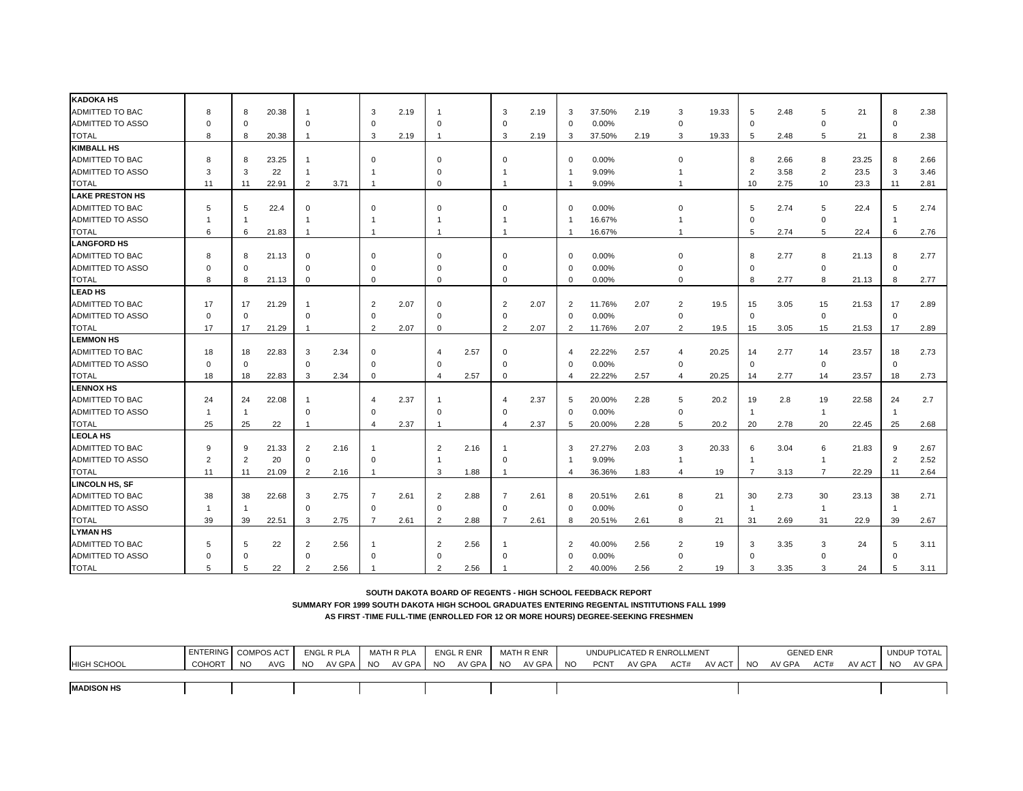| <b>KADOKA HS</b>        |                |                |       |                |      |                |      |                |      |                         |      |                |        |      |                         |       |                |      |                |       |              |      |
|-------------------------|----------------|----------------|-------|----------------|------|----------------|------|----------------|------|-------------------------|------|----------------|--------|------|-------------------------|-------|----------------|------|----------------|-------|--------------|------|
| ADMITTED TO BAC         | 8              | 8              | 20.38 | $\mathbf{1}$   |      | 3              | 2.19 | -1             |      | 3                       | 2.19 | 3              | 37.50% | 2.19 | 3                       | 19.33 | 5              | 2.48 | 5              | 21    | 8            | 2.38 |
| <b>ADMITTED TO ASSO</b> | $\Omega$       | $\Omega$       |       | $\mathbf 0$    |      | $\Omega$       |      | $\Omega$       |      | $\mathbf 0$             |      | $\mathbf 0$    | 0.00%  |      | $\mathbf 0$             |       | $\Omega$       |      | $\Omega$       |       | $\Omega$     |      |
| <b>TOTAL</b>            | 8              | 8              | 20.38 | $\mathbf{1}$   |      | 3              | 2.19 | -1             |      | 3                       | 2.19 | -3             | 37.50% | 2.19 | 3                       | 19.33 | 5              | 2.48 | 5              | 21    | 8            | 2.38 |
| <b>KIMBALL HS</b>       |                |                |       |                |      |                |      |                |      |                         |      |                |        |      |                         |       |                |      |                |       |              |      |
| <b>ADMITTED TO BAC</b>  | 8              | 8              | 23.25 | $\overline{1}$ |      | $\Omega$       |      | $\Omega$       |      | $\Omega$                |      | $\Omega$       | 0.00%  |      | $\Omega$                |       | 8              | 2.66 | 8              | 23.25 | 8            | 2.66 |
| ADMITTED TO ASSO        | 3              | 3              | 22    | $\mathbf{1}$   |      |                |      | $\Omega$       |      |                         |      | -1             | 9.09%  |      |                         |       | $\overline{2}$ | 3.58 | $\overline{2}$ | 23.5  | 3            | 3.46 |
| <b>TOTAL</b>            | 11             | 11             | 22.91 | $\overline{2}$ | 3.71 |                |      | $\Omega$       |      | -1                      |      | -1             | 9.09%  |      | $\overline{1}$          |       | 10             | 2.75 | 10             | 23.3  | 11           | 2.81 |
| <b>LAKE PRESTON HS</b>  |                |                |       |                |      |                |      |                |      |                         |      |                |        |      |                         |       |                |      |                |       |              |      |
| <b>ADMITTED TO BAC</b>  | 5              | 5              | 22.4  | $\mathbf 0$    |      | $\Omega$       |      | $\Omega$       |      | $\Omega$                |      | $\mathbf 0$    | 0.00%  |      | $\Omega$                |       | 5              | 2.74 | 5              | 22.4  | 5            | 2.74 |
| ADMITTED TO ASSO        |                |                |       | $\mathbf{1}$   |      |                |      |                |      |                         |      | -1             | 16.67% |      |                         |       | $\Omega$       |      | $\mathbf 0$    |       | -1           |      |
| <b>TOTAL</b>            | 6              | 6              | 21.83 | $\overline{1}$ |      | -1             |      | -1             |      | $\overline{1}$          |      | -1             | 16.67% |      | $\mathbf{1}$            |       | 5              | 2.74 | 5              | 22.4  | 6            | 2.76 |
| <b>LANGFORD HS</b>      |                |                |       |                |      |                |      |                |      |                         |      |                |        |      |                         |       |                |      |                |       |              |      |
| <b>ADMITTED TO BAC</b>  | 8              | 8              | 21.13 | $\Omega$       |      | $\Omega$       |      | $\Omega$       |      | $\Omega$                |      | $\mathbf 0$    | 0.00%  |      | $\Omega$                |       | 8              | 2.77 | 8              | 21.13 | 8            | 2.77 |
| ADMITTED TO ASSO        | $\Omega$       | $\Omega$       |       | $\mathbf 0$    |      | $\Omega$       |      | $\Omega$       |      | $\Omega$                |      | $\Omega$       | 0.00%  |      | $\Omega$                |       | $\Omega$       |      | 0              |       | $\mathbf 0$  |      |
| <b>TOTAL</b>            | 8              | 8              | 21.13 | $\mathbf 0$    |      | 0              |      | $\Omega$       |      | $\Omega$                |      | $\Omega$       | 0.00%  |      | $\Omega$                |       | 8              | 2.77 | 8              | 21.13 | 8            | 2.77 |
| <b>LEAD HS</b>          |                |                |       |                |      |                |      |                |      |                         |      |                |        |      |                         |       |                |      |                |       |              |      |
| <b>ADMITTED TO BAC</b>  | 17             | 17             | 21.29 | $\mathbf{1}$   |      | $\overline{2}$ | 2.07 | $\Omega$       |      | 2                       | 2.07 | $\overline{2}$ | 11.76% | 2.07 | $\overline{2}$          | 19.5  | 15             | 3.05 | 15             | 21.53 | 17           | 2.89 |
| ADMITTED TO ASSO        | $\Omega$       | $\mathbf 0$    |       | $\Omega$       |      | $\Omega$       |      | $\Omega$       |      | $\Omega$                |      | $\Omega$       | 0.00%  |      | $\mathbf 0$             |       | $\Omega$       |      | $\mathbf 0$    |       | $\Omega$     |      |
| <b>TOTAL</b>            | 17             | 17             | 21.29 | $\mathbf{1}$   |      | $\overline{2}$ | 2.07 | $\Omega$       |      | 2                       | 2.07 | $\overline{2}$ | 11.76% | 2.07 | $\overline{2}$          | 19.5  | 15             | 3.05 | 15             | 21.53 | 17           | 2.89 |
| <b>LEMMON HS</b>        |                |                |       |                |      |                |      |                |      |                         |      |                |        |      |                         |       |                |      |                |       |              |      |
| <b>ADMITTED TO BAC</b>  | 18             | 18             | 22.83 | 3              | 2.34 | $\Omega$       |      | $\overline{4}$ | 2.57 | $\Omega$                |      | $\overline{4}$ | 22.22% | 2.57 | $\overline{\mathbf{A}}$ | 20.25 | 14             | 2.77 | 14             | 23.57 | 18           | 2.73 |
| <b>ADMITTED TO ASSO</b> | $\Omega$       | $\Omega$       |       | $\mathbf 0$    |      | $\Omega$       |      | $\Omega$       |      | $\Omega$                |      | $\Omega$       | 0.00%  |      | $\Omega$                |       | $\Omega$       |      | $\mathbf 0$    |       | $\mathbf 0$  |      |
| <b>TOTAL</b>            | 18             | 18             | 22.83 | 3              | 2.34 | $\mathbf 0$    |      | $\overline{4}$ | 2.57 | $\Omega$                |      | $\overline{4}$ | 22.22% | 2.57 | 4                       | 20.25 | 14             | 2.77 | 14             | 23.57 | 18           | 2.73 |
| <b>LENNOX HS</b>        |                |                |       |                |      |                |      |                |      |                         |      |                |        |      |                         |       |                |      |                |       |              |      |
| <b>ADMITTED TO BAC</b>  | 24             | 24             | 22.08 | $\mathbf{1}$   |      |                | 2.37 |                |      | $\overline{\mathbf{4}}$ | 2.37 | 5              | 20.00% | 2.28 | 5                       | 20.2  | 19             | 2.8  | 19             | 22.58 | 24           | 2.7  |
| ADMITTED TO ASSO        | -1             | -1             |       | $\mathbf 0$    |      | $\Omega$       |      | $\Omega$       |      | $\mathbf 0$             |      | $\mathbf 0$    | 0.00%  |      | $\mathbf 0$             |       | $\overline{1}$ |      | $\overline{1}$ |       | $\mathbf{1}$ |      |
| <b>TOTAL</b>            | 25             | 25             | 22    | $\mathbf{1}$   |      | 4              | 2.37 | -1             |      | $\overline{4}$          | 2.37 | 5              | 20.00% | 2.28 | 5                       | 20.2  | 20             | 2.78 | 20             | 22.45 | 25           | 2.68 |
| <b>LEOLA HS</b>         |                |                |       |                |      |                |      |                |      |                         |      |                |        |      |                         |       |                |      |                |       |              |      |
| ADMITTED TO BAC         | <sub>9</sub>   | 9              | 21.33 | $\overline{2}$ | 2.16 |                |      | $\overline{2}$ | 2.16 |                         |      | 3              | 27.27% | 2.03 | 3                       | 20.33 | 6              | 3.04 | 6              | 21.83 | 9            | 2.67 |
| ADMITTED TO ASSO        | $\overline{2}$ | $\overline{2}$ | 20    | 0              |      | $\mathbf 0$    |      | -1             |      | $\Omega$                |      | -1             | 9.09%  |      | $\mathbf{1}$            |       | $\overline{1}$ |      | $\overline{1}$ |       | 2            | 2.52 |
| <b>TOTAL</b>            | 11             | 11             | 21.09 | $\overline{2}$ | 2.16 |                |      | 3              | 1.88 | -1                      |      | $\overline{4}$ | 36.36% | 1.83 | 4                       | 19    | 7              | 3.13 | $\overline{7}$ | 22.29 | 11           | 2.64 |
| LINCOLN HS, SF          |                |                |       |                |      |                |      |                |      |                         |      |                |        |      |                         |       |                |      |                |       |              |      |
| <b>ADMITTED TO BAC</b>  | 38             | 38             | 22.68 | 3              | 2.75 | 7              | 2.61 | 2              | 2.88 | 7                       | 2.61 | 8              | 20.51% | 2.61 | 8                       | 21    | 30             | 2.73 | 30             | 23.13 | 38           | 2.71 |
| ADMITTED TO ASSO        | $\mathbf{1}$   | -1             |       | $\Omega$       |      | $\Omega$       |      | $\Omega$       |      | $\Omega$                |      | $\Omega$       | 0.00%  |      | $\mathbf 0$             |       | $\mathbf 1$    |      | $\overline{1}$ |       | $\mathbf{1}$ |      |
| <b>TOTAL</b>            | 39             | 39             | 22.51 | 3              | 2.75 | $\overline{7}$ | 2.61 | 2              | 2.88 | 7                       | 2.61 | 8              | 20.51% | 2.61 | 8                       | 21    | 31             | 2.69 | 31             | 22.9  | 39           | 2.67 |
| <b>LYMAN HS</b>         |                |                |       |                |      |                |      |                |      |                         |      |                |        |      |                         |       |                |      |                |       |              |      |
| <b>ADMITTED TO BAC</b>  |                | 5              | 22    | 2              | 2.56 |                |      | $\overline{2}$ | 2.56 |                         |      | $\overline{2}$ | 40.00% | 2.56 | $\overline{2}$          | 19    | 3              | 3.35 | 3              | 24    | 5            | 3.11 |
| ADMITTED TO ASSO        | $\Omega$       | $\Omega$       |       | $\mathbf 0$    |      |                |      | $\Omega$       |      |                         |      | $\Omega$       | 0.00%  |      | $\Omega$                |       | $\Omega$       |      | O              |       | $\Omega$     |      |
| <b>TOTAL</b>            | 5              | 5              | 22    | $\overline{2}$ | 2.56 |                |      | $\overline{2}$ | 2.56 |                         |      | $\overline{2}$ | 40.00% | 2.56 | $\mathfrak{p}$          | 19    | 3              | 3.35 | 3              | 24    | 5            | 3.11 |

**SUMMARY FOR 1999 SOUTH DAKOTA HIGH SCHOOL GRADUATES ENTERING REGENTAL INSTITUTIONS FALL 1999**

|                    | <b>ENTERING</b> |           | <b>COMPOS ACT</b> |           | <b>ENGL R PLA</b> |      | MATH R PLA |           | ENGL R ENR |           | MATH R ENR |           |             | UNDUPLICATED R ENROLLMENT |      |        |           |        | <b>GENED ENR</b> |        |           | UNDUP TOTAL |
|--------------------|-----------------|-----------|-------------------|-----------|-------------------|------|------------|-----------|------------|-----------|------------|-----------|-------------|---------------------------|------|--------|-----------|--------|------------------|--------|-----------|-------------|
| <b>HIGH SCHOOL</b> | <b>COHORT</b>   | <b>NO</b> | <b>AVG</b>        | <b>NO</b> | AV GPA            | - NO | AV GPA     | <b>NO</b> | AV GPA     | <b>NO</b> | AV GPA     | <b>NO</b> | <b>PCNT</b> | AV GPA                    | ACT# | AV ACT | <b>NO</b> | AV GPA | ACT#             | AV ACT | <b>NO</b> | AV GPA I    |
|                    |                 |           |                   |           |                   |      |            |           |            |           |            |           |             |                           |      |        |           |        |                  |        |           |             |
| <b>MADISON HS</b>  |                 |           |                   |           |                   |      |            |           |            |           |            |           |             |                           |      |        |           |        |                  |        |           |             |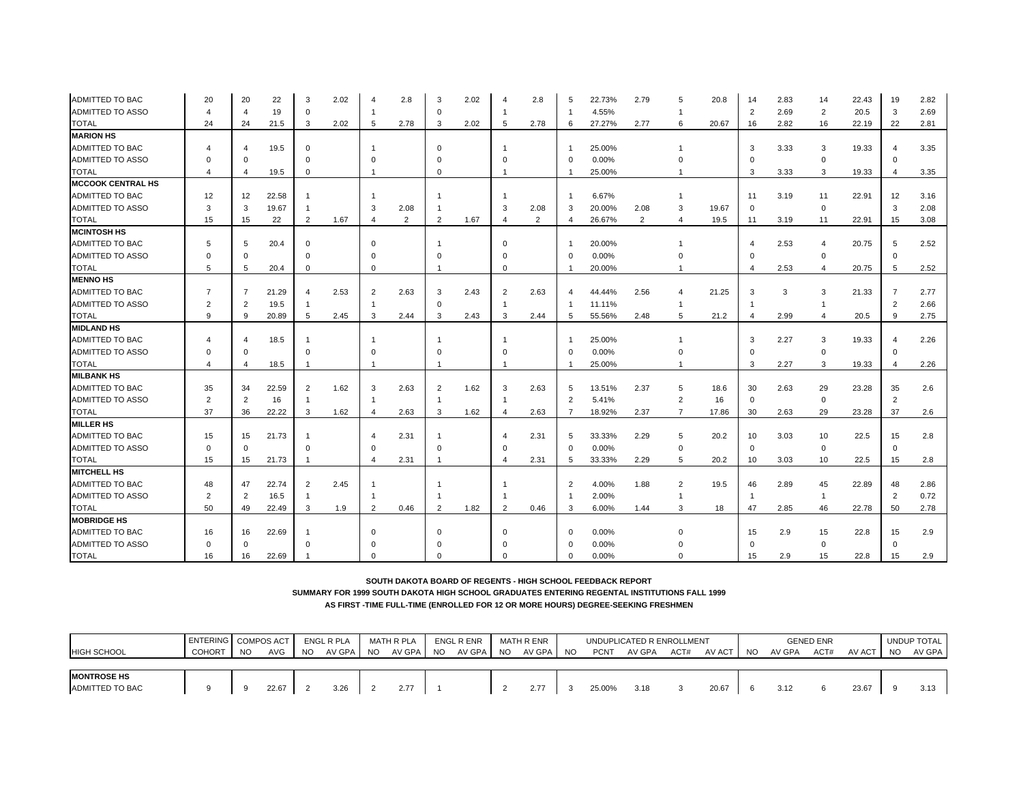| ADMITTED TO BAC          | 20             | 20             | 22    | 3                       | 2.02 |                | 2.8            | 3              | 2.02 |                         | 2.8  | 5                      | 22.73% | 2.79 | 5              | 20.8  | 14             | 2.83 | 14             | 22.43 | 19                      | 2.82 |
|--------------------------|----------------|----------------|-------|-------------------------|------|----------------|----------------|----------------|------|-------------------------|------|------------------------|--------|------|----------------|-------|----------------|------|----------------|-------|-------------------------|------|
| <b>ADMITTED TO ASSO</b>  | 4              | $\overline{4}$ | 19    | $\mathbf 0$             |      |                |                | $\Omega$       |      |                         |      | -1                     | 4.55%  |      |                |       | $\overline{2}$ | 2.69 | $\overline{2}$ | 20.5  | 3                       | 2.69 |
| <b>TOTAL</b>             | 24             | 24             | 21.5  | 3                       | 2.02 | 5              | 2.78           | 3              | 2.02 | 5                       | 2.78 | 6                      | 27.27% | 2.77 | 6              | 20.67 | 16             | 2.82 | 16             | 22.19 | 22                      | 2.81 |
| <b>MARION HS</b>         |                |                |       |                         |      |                |                |                |      |                         |      |                        |        |      |                |       |                |      |                |       |                         |      |
| ADMITTED TO BAC          | 4              | Δ              | 19.5  | $\Omega$                |      |                |                | $\Omega$       |      |                         |      | -1                     | 25.00% |      |                |       | 3              | 3.33 | 3              | 19.33 | $\overline{\mathbf{4}}$ | 3.35 |
| <b>ADMITTED TO ASSO</b>  | $\Omega$       | $\Omega$       |       | $\Omega$                |      | $\Omega$       |                | $\Omega$       |      |                         |      | $\Omega$               | 0.00%  |      | O              |       |                |      | $\mathbf 0$    |       | $\Omega$                |      |
| <b>TOTAL</b>             | 4              | 4              | 19.5  | $\Omega$                |      |                |                | $\Omega$       |      | -1                      |      |                        | 25.00% |      | 1              |       | 3              | 3.33 | 3              | 19.33 | $\overline{4}$          | 3.35 |
| <b>MCCOOK CENTRAL HS</b> |                |                |       |                         |      |                |                |                |      |                         |      |                        |        |      |                |       |                |      |                |       |                         |      |
| ADMITTED TO BAC          | 12             | 12             | 22.58 |                         |      |                |                |                |      |                         |      |                        | 6.67%  |      | 1              |       | 11             | 3.19 | 11             | 22.91 | 12                      | 3.16 |
| <b>ADMITTED TO ASSO</b>  | 3              | 3              | 19.67 | -1                      |      | 3              | 2.08           |                |      | 3                       | 2.08 | 3                      | 20.00% | 2.08 | 3              | 19.67 | $\Omega$       |      | $\mathbf 0$    |       | 3                       | 2.08 |
| <b>TOTAL</b>             | 15             | 15             | 22    | 2                       | 1.67 | $\overline{4}$ | $\overline{2}$ | 2              | 1.67 | $\overline{\mathbf{4}}$ | 2    | $\overline{4}$         | 26.67% | 2    | 4              | 19.5  | 11             | 3.19 | 11             | 22.91 | 15                      | 3.08 |
| <b>MCINTOSH HS</b>       |                |                |       |                         |      |                |                |                |      |                         |      |                        |        |      |                |       |                |      |                |       |                         |      |
| ADMITTED TO BAC          | 5              | 5              | 20.4  | $\mathbf 0$             |      | $\Omega$       |                |                |      | $\Omega$                |      |                        | 20.00% |      |                |       |                | 2.53 | 4              | 20.75 | 5                       | 2.52 |
| <b>ADMITTED TO ASSO</b>  | $\Omega$       | $\Omega$       |       | $\Omega$                |      |                |                | $\Omega$       |      | $\Omega$                |      | $\Omega$               | 0.00%  |      |                |       | $\Omega$       |      | $\mathbf 0$    |       | $\mathbf 0$             |      |
| TOTAL                    | 5              | 5              | 20.4  | $\mathbf 0$             |      | $\mathbf 0$    |                |                |      | $\Omega$                |      |                        | 20.00% |      |                |       | $\overline{4}$ | 2.53 | $\overline{4}$ | 20.75 | 5                       | 2.52 |
| <b>MENNO HS</b>          |                |                |       |                         |      |                |                |                |      |                         |      |                        |        |      |                |       |                |      |                |       |                         |      |
| ADMITTED TO BAC          | $\overline{7}$ | 7              | 21.29 | $\overline{\mathbf{A}}$ | 2.53 | 2              | 2.63           | 3              | 2.43 | 2                       | 2.63 | $\boldsymbol{\Lambda}$ | 44.44% | 2.56 | 4              | 21.25 | 3              | 3    | 3              | 21.33 | $\overline{7}$          | 2.77 |
| ADMITTED TO ASSO         | $\overline{2}$ | 2              | 19.5  | -1                      |      |                |                | $\Omega$       |      | $\overline{1}$          |      | $\overline{1}$         | 11.11% |      | 1              |       |                |      | $\overline{1}$ |       | $\overline{2}$          | 2.66 |
| <b>TOTAL</b>             | 9              | 9              | 20.89 | $\overline{5}$          | 2.45 | 3              | 2.44           | 3              | 2.43 | 3                       | 2.44 | 5                      | 55.56% | 2.48 | 5              | 21.2  | $\overline{4}$ | 2.99 | $\overline{4}$ | 20.5  | 9                       | 2.75 |
| <b>MIDLAND HS</b>        |                |                |       |                         |      |                |                |                |      |                         |      |                        |        |      |                |       |                |      |                |       |                         |      |
| ADMITTED TO BAC          |                |                | 18.5  |                         |      |                |                |                |      |                         |      |                        | 25.00% |      |                |       | 3              | 2.27 | 3              | 19.33 | $\boldsymbol{\Delta}$   | 2.26 |
| ADMITTED TO ASSO         | $\Omega$       | $\Omega$       |       | $\Omega$                |      |                |                | $\Omega$       |      | $\Omega$                |      | $\Omega$               | 0.00%  |      |                |       | $\Omega$       |      | $\mathbf 0$    |       | $\mathbf 0$             |      |
| TOTAL                    | 4              | 4              | 18.5  | -1                      |      |                |                |                |      |                         |      |                        | 25.00% |      |                |       | 3              | 2.27 | 3              | 19.33 | $\overline{4}$          | 2.26 |
| <b>MILBANK HS</b>        |                |                |       |                         |      |                |                |                |      |                         |      |                        |        |      |                |       |                |      |                |       |                         |      |
| ADMITTED TO BAC          | 35             | 34             | 22.59 | $\overline{2}$          | 1.62 | 3              | 2.63           | $\overline{2}$ | 1.62 | 3                       | 2.63 | 5                      | 13.51% | 2.37 | 5              | 18.6  | 30             | 2.63 | 29             | 23.28 | 35                      | 2.6  |
| ADMITTED TO ASSO         | $\overline{2}$ | 2              | 16    | -1                      |      |                |                | -1             |      | -1                      |      | $\overline{2}$         | 5.41%  |      | $\overline{2}$ | 16    | $\mathbf 0$    |      | $\mathbf 0$    |       | $\overline{2}$          |      |
| <b>TOTAL</b>             | 37             | 36             | 22.22 | 3                       | 1.62 |                | 2.63           | 3              | 1.62 | $\overline{4}$          | 2.63 | -7                     | 18.92% | 2.37 | $\overline{7}$ | 17.86 | 30             | 2.63 | 29             | 23.28 | 37                      | 2.6  |
| <b>MILLER HS</b>         |                |                |       |                         |      |                |                |                |      |                         |      |                        |        |      |                |       |                |      |                |       |                         |      |
| ADMITTED TO BAC          | 15             | 15             | 21.73 | -1                      |      |                | 2.31           | -1             |      | $\overline{\mathbf{4}}$ | 2.31 | 5                      | 33.33% | 2.29 | 5              | 20.2  | 10             | 3.03 | 10             | 22.5  | 15                      | 2.8  |
| <b>ADMITTED TO ASSO</b>  | $\Omega$       | $\Omega$       |       | $\Omega$                |      | $\Omega$       |                | $\Omega$       |      | $\Omega$                |      | $\Omega$               | 0.00%  |      | $\mathbf 0$    |       | $\Omega$       |      | $\mathbf 0$    |       | $\mathbf 0$             |      |
| <b>TOTAL</b>             | 15             | 15             | 21.73 | $\overline{1}$          |      | $\overline{4}$ | 2.31           | -1             |      | $\overline{4}$          | 2.31 | 5                      | 33.33% | 2.29 | 5              | 20.2  | 10             | 3.03 | 10             | 22.5  | 15                      | 2.8  |
| <b>MITCHELL HS</b>       |                |                |       |                         |      |                |                |                |      |                         |      |                        |        |      |                |       |                |      |                |       |                         |      |
| ADMITTED TO BAC          | 48             | 47             | 22.74 | $\overline{2}$          | 2.45 |                |                |                |      |                         |      | $\overline{2}$         | 4.00%  | 1.88 | $\overline{2}$ | 19.5  | 46             | 2.89 | 45             | 22.89 | 48                      | 2.86 |
| ADMITTED TO ASSO         | $\overline{2}$ | 2              | 16.5  | $\overline{1}$          |      |                |                | -1             |      |                         |      | $\overline{1}$         | 2.00%  |      | $\overline{1}$ |       | $\mathbf{1}$   |      | $\overline{1}$ |       | $\overline{2}$          | 0.72 |
| TOTAL                    | 50             | 49             | 22.49 | 3                       | 1.9  | $\overline{2}$ | 0.46           | 2              | 1.82 | 2                       | 0.46 | 3                      | 6.00%  | 1.44 | 3              | 18    | 47             | 2.85 | 46             | 22.78 | 50                      | 2.78 |
| <b>MOBRIDGE HS</b>       |                |                |       |                         |      |                |                |                |      |                         |      |                        |        |      |                |       |                |      |                |       |                         |      |
| ADMITTED TO BAC          | 16             | 16             | 22.69 |                         |      | $\Omega$       |                | $\Omega$       |      | $\Omega$                |      | $\Omega$               | 0.00%  |      |                |       | 15             | 2.9  | 15             | 22.8  | 15                      | 2.9  |
| ADMITTED TO ASSO         | $\Omega$       | $\Omega$       |       | $\Omega$                |      |                |                |                |      |                         |      | $\Omega$               | 0.00%  |      |                |       |                |      | $\mathbf 0$    |       | $\mathbf 0$             |      |
| <b>TOTAL</b>             | 16             | 16             | 22.69 |                         |      |                |                |                |      | $\Omega$                |      | $\Omega$               | 0.00%  |      | $\Omega$       |       | 15             | 2.9  | 15             | 22.8  | 15                      | 2.9  |

|                        | <b>ENTERING COMPOS ACT</b> |           |       |           | ENGL R PLA | MATH R PLA | ENGL R ENR |           | MATH R ENR |           |             | UNDUPLICATED R ENROLLMENT |      |           |        | <b>GENED ENR</b> |          |     | UNDUP TOTAL |
|------------------------|----------------------------|-----------|-------|-----------|------------|------------|------------|-----------|------------|-----------|-------------|---------------------------|------|-----------|--------|------------------|----------|-----|-------------|
| <b>HIGH SCHOOL</b>     | COHORT                     | <b>NO</b> | AVG   | <b>NO</b> | AV GPA NO  | AV GPA NO  | AV GPA     | <b>NO</b> | AV GPA     | <b>NO</b> | <b>PCNT</b> | AV GPA                    | ACT# | AV ACT NO | AV GPA | ACT#             | AV ACT I | NO. | AV GPA      |
|                        |                            |           |       |           |            |            |            |           |            |           |             |                           |      |           |        |                  |          |     |             |
| <b>MONTROSE HS</b>     |                            |           |       |           |            |            |            |           |            |           |             |                           |      |           |        |                  |          |     |             |
| <b>ADMITTED TO BAC</b> |                            |           | 22.67 |           | 3.26       | 2.77       |            |           | 2.77       |           | 25.00%      | 3.18                      |      | 20.67     | 3.12   | 6                | 23.67    |     | 3.13        |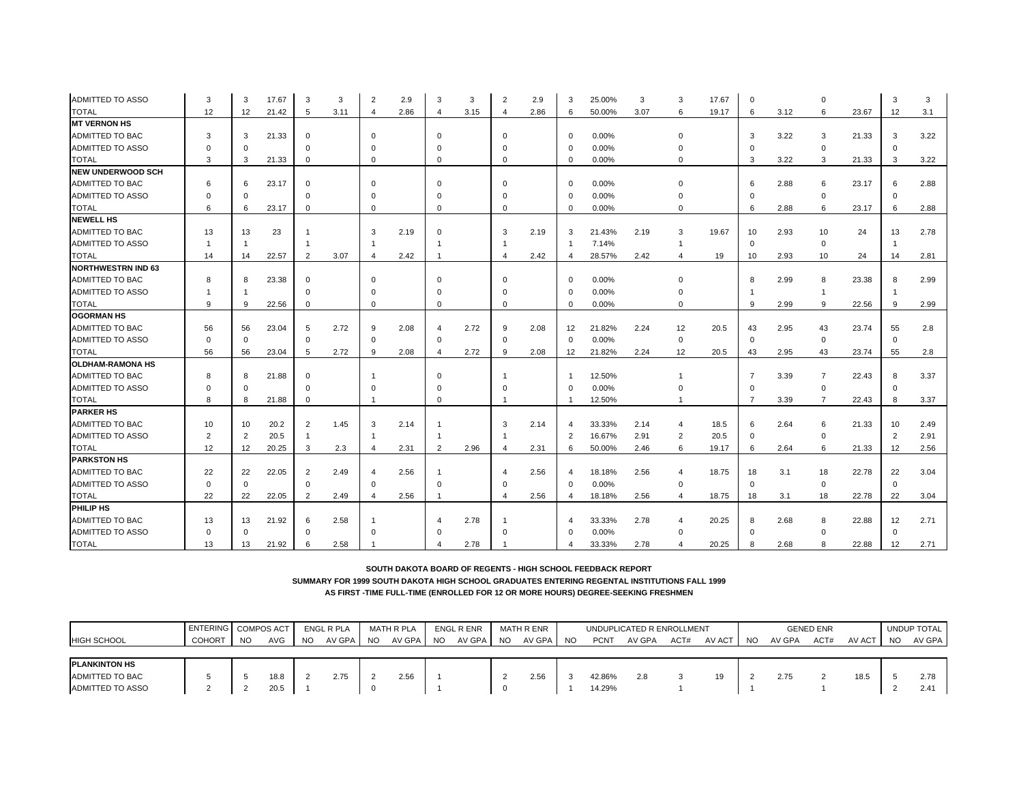| <b>ADMITTED TO ASSO</b>   | 3              | 3        | 17.67 | 3              | 3    |                | 2.9  | 3              | 3    | $\overline{2}$          | 2.9  | 3              | 25.00% | 3    | 3              | 17.67 | $\Omega$       |      |                |       | 3              | 3    |
|---------------------------|----------------|----------|-------|----------------|------|----------------|------|----------------|------|-------------------------|------|----------------|--------|------|----------------|-------|----------------|------|----------------|-------|----------------|------|
| TOTAL                     | 12             | 12       | 21.42 | 5              | 3.11 | $\overline{4}$ | 2.86 | 4              | 3.15 | $\overline{a}$          | 2.86 | 6              | 50.00% | 3.07 | 6              | 19.17 | 6              | 3.12 | 6              | 23.67 | 12             | 3.1  |
| <b>MT VERNON HS</b>       |                |          |       |                |      |                |      |                |      |                         |      |                |        |      |                |       |                |      |                |       |                |      |
| ADMITTED TO BAC           | 3              | 3        | 21.33 | $\mathbf 0$    |      | $\Omega$       |      | $\Omega$       |      | $\Omega$                |      | $\mathbf 0$    | 0.00%  |      | $\Omega$       |       | 3              | 3.22 | 3              | 21.33 | 3              | 3.22 |
| ADMITTED TO ASSO          | $\Omega$       |          |       | $\Omega$       |      |                |      | $\Omega$       |      |                         |      | $\mathbf 0$    | 0.00%  |      | $\Omega$       |       |                |      | $\Omega$       |       | $\Omega$       |      |
| <b>TOTAL</b>              | 3              | 3        | 21.33 | $\Omega$       |      | $\Omega$       |      | $\Omega$       |      | $\Omega$                |      | $\Omega$       | 0.00%  |      | $\Omega$       |       | 3              | 3.22 | 3              | 21.33 | 3              | 3.22 |
| <b>NEW UNDERWOOD SCH</b>  |                |          |       |                |      |                |      |                |      |                         |      |                |        |      |                |       |                |      |                |       |                |      |
| ADMITTED TO BAC           | 6              |          | 23.17 | $\mathbf 0$    |      | $\cap$         |      | $\Omega$       |      |                         |      | $\mathbf 0$    | 0.00%  |      | $\Omega$       |       | 6              | 2.88 | 6              | 23.17 | 6              | 2.88 |
| ADMITTED TO ASSO          | $\Omega$       | $\Omega$ |       | $\Omega$       |      | $\Omega$       |      | $\Omega$       |      |                         |      | $\Omega$       | 0.00%  |      | $\Omega$       |       |                |      | $\mathbf 0$    |       | $\Omega$       |      |
| <b>TOTAL</b>              | 6              | 6        | 23.17 | $\Omega$       |      | $\Omega$       |      | $\Omega$       |      | $\Omega$                |      | $\Omega$       | 0.00%  |      | $\Omega$       |       | 6              | 2.88 | 6              | 23.17 | 6              | 2.88 |
| <b>NEWELL HS</b>          |                |          |       |                |      |                |      |                |      |                         |      |                |        |      |                |       |                |      |                |       |                |      |
| ADMITTED TO BAC           | 13             | 13       | 23    |                |      | 3              | 2.19 | $\Omega$       |      | 3                       | 2.19 | 3              | 21.43% | 2.19 | 3              | 19.67 | 10             | 2.93 | 10             | 24    | 13             | 2.78 |
| ADMITTED TO ASSO          |                |          |       |                |      |                |      |                |      |                         |      |                | 7.14%  |      | -1             |       | $\mathbf 0$    |      | 0              |       | -1             |      |
| <b>TOTAL</b>              | 14             | 14       | 22.57 | 2              | 3.07 |                | 2.42 |                |      | $\overline{4}$          | 2.42 |                | 28.57% | 2.42 | 4              | 19    | 10             | 2.93 | 10             | 24    | 14             | 2.81 |
| <b>NORTHWESTRN IND 63</b> |                |          |       |                |      |                |      |                |      |                         |      |                |        |      |                |       |                |      |                |       |                |      |
| <b>ADMITTED TO BAC</b>    | 8              | 8        | 23.38 | $\mathbf 0$    |      | $\Omega$       |      | $\Omega$       |      | $\Omega$                |      | $\mathbf 0$    | 0.00%  |      | $\Omega$       |       | 8              | 2.99 | 8              | 23.38 | 8              | 2.99 |
| ADMITTED TO ASSO          |                |          |       | $\Omega$       |      | $\Omega$       |      | $\Omega$       |      |                         |      | $\Omega$       | 0.00%  |      |                |       |                |      | -1             |       | -1             |      |
| <b>TOTAL</b>              | 9              | 9        | 22.56 | $\mathbf 0$    |      | $\Omega$       |      | $\Omega$       |      | $\Omega$                |      | $\mathbf 0$    | 0.00%  |      | $\Omega$       |       | 9              | 2.99 | 9              | 22.56 | 9              | 2.99 |
| <b>OGORMAN HS</b>         |                |          |       |                |      |                |      |                |      |                         |      |                |        |      |                |       |                |      |                |       |                |      |
| <b>ADMITTED TO BAC</b>    | 56             | 56       | 23.04 | 5              | 2.72 | ۰g             | 2.08 | $\overline{4}$ | 2.72 | 9                       | 2.08 | 12             | 21.82% | 2.24 | 12             | 20.5  | 43             | 2.95 | 43             | 23.74 | 55             | 2.8  |
| ADMITTED TO ASSO          | $\Omega$       | 0        |       | $\mathbf 0$    |      | $\Omega$       |      | $\Omega$       |      | $\Omega$                |      | $\overline{0}$ | 0.00%  |      | $\mathbf 0$    |       | $\mathbf 0$    |      | $\mathbf 0$    |       | $\mathbf 0$    |      |
| <b>TOTAL</b>              | 56             | 56       | 23.04 | 5              | 2.72 | <sub>9</sub>   | 2.08 | $\overline{4}$ | 2.72 | 9                       | 2.08 | 12             | 21.82% | 2.24 | 12             | 20.5  | 43             | 2.95 | 43             | 23.74 | 55             | 2.8  |
| <b>OLDHAM-RAMONA HS</b>   |                |          |       |                |      |                |      |                |      |                         |      |                |        |      |                |       |                |      |                |       |                |      |
| <b>ADMITTED TO BAC</b>    |                | 8        | 21.88 | 0              |      |                |      | $\Omega$       |      |                         |      |                | 12.50% |      |                |       | -7             | 3.39 | 7              | 22.43 | 8              | 3.37 |
| ADMITTED TO ASSO          | $\Omega$       | $\Omega$ |       | $\mathbf 0$    |      |                |      | $\Omega$       |      |                         |      | $\Omega$       | 0.00%  |      |                |       | $\Omega$       |      | 0              |       | $\mathbf 0$    |      |
| <b>TOTAL</b>              | 8              | 8        | 21.88 | $\mathbf 0$    |      |                |      | $\Omega$       |      |                         |      |                | 12.50% |      | $\mathbf{1}$   |       | $\overline{7}$ | 3.39 | $\overline{7}$ | 22.43 | 8              | 3.37 |
| <b>PARKER HS</b>          |                |          |       |                |      |                |      |                |      |                         |      |                |        |      |                |       |                |      |                |       |                |      |
| ADMITTED TO BAC           | 10             | 10       | 20.2  | 2              | 1.45 | з              | 2.14 |                |      | 3                       | 2.14 | $\overline{4}$ | 33.33% | 2.14 | 4              | 18.5  | 6              | 2.64 | 6              | 21.33 | 10             | 2.49 |
| ADMITTED TO ASSO          | $\overline{2}$ | 2        | 20.5  | $\overline{1}$ |      |                |      | -1             |      |                         |      | $\overline{2}$ | 16.67% | 2.91 | $\overline{2}$ | 20.5  | $\mathbf 0$    |      | $\mathbf 0$    |       | $\overline{2}$ | 2.91 |
| <b>TOTAL</b>              | 12             | 12       | 20.25 | 3              | 2.3  |                | 2.31 | 2              | 2.96 | $\overline{\mathbf{4}}$ | 2.31 | 6              | 50.00% | 2.46 | 6              | 19.17 | 6              | 2.64 | 6              | 21.33 | 12             | 2.56 |
| <b>PARKSTON HS</b>        |                |          |       |                |      |                |      |                |      |                         |      |                |        |      |                |       |                |      |                |       |                |      |
| <b>ADMITTED TO BAC</b>    | 22             | 22       | 22.05 | 2              | 2.49 |                | 2.56 |                |      |                         | 2.56 | $\overline{4}$ | 18.18% | 2.56 | 4              | 18.75 | 18             | 3.1  | 18             | 22.78 | 22             | 3.04 |
| <b>ADMITTED TO ASSO</b>   | $\Omega$       | 0        |       | $\mathbf 0$    |      | $\Omega$       |      | 0              |      | $\Omega$                |      | - 0            | 0.00%  |      | $\Omega$       |       | $\mathbf 0$    |      | $\mathbf 0$    |       | $\mathbf 0$    |      |
| <b>TOTAL</b>              | 22             | 22       | 22.05 | 2              | 2.49 |                | 2.56 | -1             |      | $\overline{\mathbf{A}}$ | 2.56 | $\overline{4}$ | 18.18% | 2.56 | $\overline{a}$ | 18.75 | 18             | 3.1  | 18             | 22.78 | 22             | 3.04 |
| PHILIP HS                 |                |          |       |                |      |                |      |                |      |                         |      |                |        |      |                |       |                |      |                |       |                |      |
| ADMITTED TO BAC           | 13             | 13       | 21.92 | 6              | 2.58 |                |      |                | 2.78 |                         |      | $\overline{4}$ | 33.33% | 2.78 |                | 20.25 | 8              | 2.68 | 8              | 22.88 | 12             | 2.71 |
| <b>ADMITTED TO ASSO</b>   | $\Omega$       | 0        |       | 0              |      |                |      |                |      |                         |      |                | 0.00%  |      |                |       |                |      |                |       | $\mathbf 0$    |      |
| <b>TOTAL</b>              | 13             | 13       | 21.92 | 6              | 2.58 |                |      |                | 2.78 |                         |      | $\overline{4}$ | 33.33% | 2.78 | $\Delta$       | 20.25 | 8              | 2.68 | 8              | 22.88 | 12             | 2.71 |

|                         | <b>ENTERING</b> COMPOS ACT |           |            |    | ENGL R PLA |    | MATH R PLA |           | <b>ENGL R ENR</b> |           | MATH R ENR |    |             | UNDUPLICATED R ENROLLMENT |      |        |           |        | <b>GENED ENR</b> |        |           | UNDUP TOTAL |
|-------------------------|----------------------------|-----------|------------|----|------------|----|------------|-----------|-------------------|-----------|------------|----|-------------|---------------------------|------|--------|-----------|--------|------------------|--------|-----------|-------------|
| HIGH SCHOOL             | <b>COHORT</b>              | <b>NO</b> | <b>AVG</b> | NO | AV GPA     | NO | AV GPA     | <b>NO</b> | AV GPA            | <b>NO</b> | AV GPA     | NO | <b>PCNT</b> | AV GPA                    | ACT# | AV ACT | <b>NO</b> | AV GPA | ACT#             | AV ACT | <b>NO</b> | AV GPA      |
|                         |                            |           |            |    |            |    |            |           |                   |           |            |    |             |                           |      |        |           |        |                  |        |           |             |
| <b>PLANKINTON HS</b>    |                            |           |            |    |            |    |            |           |                   |           |            |    |             |                           |      |        |           |        |                  |        |           |             |
| ADMITTED TO BAC         |                            |           | 18.8       |    | 2.75       |    | 2.56       |           |                   |           | 2.56       |    | 42.86%      | 2.8                       |      |        |           | 2.75   |                  | 18.5   |           | 2.78        |
| <b>ADMITTED TO ASSO</b> |                            |           | 20.5       |    |            |    |            |           |                   |           |            |    | 14.29%      |                           |      |        |           |        |                  |        |           | 2.41        |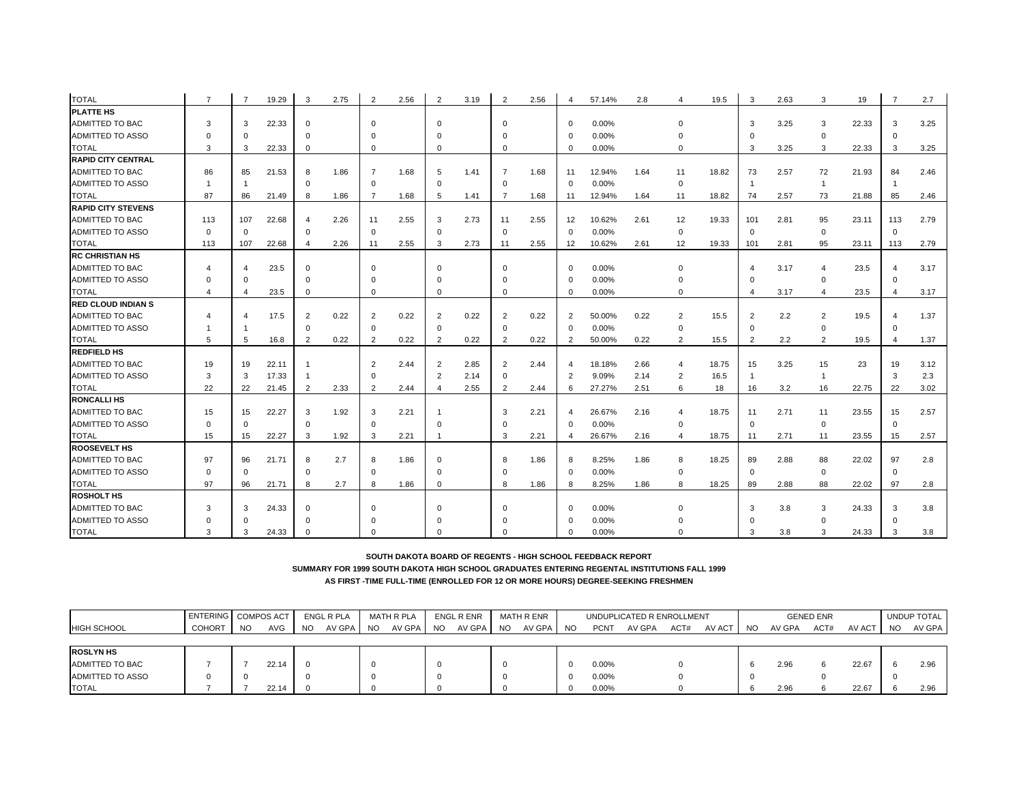| <b>TOTAL</b>              | $\overline{7}$ | $\overline{7}$          | 19.29 | 3              | 2.75 | $\overline{2}$ | 2.56 | $\overline{2}$ | 3.19 | $\overline{2}$ | 2.56 | $\overline{4}$ | 57.14% | 2.8  | 4              | 19.5  | 3              | 2.63 | 3                       | 19    | 7              | 2.7  |
|---------------------------|----------------|-------------------------|-------|----------------|------|----------------|------|----------------|------|----------------|------|----------------|--------|------|----------------|-------|----------------|------|-------------------------|-------|----------------|------|
| <b>PLATTE HS</b>          |                |                         |       |                |      |                |      |                |      |                |      |                |        |      |                |       |                |      |                         |       |                |      |
| ADMITTED TO BAC           | 3              | 3                       | 22.33 | $\mathbf 0$    |      | $\Omega$       |      | $\Omega$       |      | $\Omega$       |      | $\Omega$       | 0.00%  |      |                |       | 3              | 3.25 | 3                       | 22.33 | 3              | 3.25 |
| ADMITTED TO ASSO          | $\Omega$       | $\Omega$                |       | $\Omega$       |      |                |      | O              |      | $\Omega$       |      | $\Omega$       | 0.00%  |      |                |       | $\Omega$       |      | $\mathbf 0$             |       | $\Omega$       |      |
| <b>TOTAL</b>              | 3              | 3                       | 22.33 | $\Omega$       |      | $\Omega$       |      | $\Omega$       |      | $\Omega$       |      | $\Omega$       | 0.00%  |      | $\Omega$       |       | 3              | 3.25 | 3                       | 22.33 | $\mathbf{3}$   | 3.25 |
| <b>RAPID CITY CENTRAL</b> |                |                         |       |                |      |                |      |                |      |                |      |                |        |      |                |       |                |      |                         |       |                |      |
| ADMITTED TO BAC           | 86             | 85                      | 21.53 | 8              | 1.86 |                | 1.68 | 5              | 1.41 | 7              | 1.68 | 11             | 12.94% | 1.64 | 11             | 18.82 | 73             | 2.57 | 72                      | 21.93 | 84             | 2.46 |
| <b>ADMITTED TO ASSO</b>   |                |                         |       | $\mathbf 0$    |      | $\Omega$       |      | $\mathbf 0$    |      | $\mathbf 0$    |      | $\Omega$       | 0.00%  |      | $\mathbf 0$    |       |                |      | $\overline{1}$          |       | -1             |      |
| <b>TOTAL</b>              | 87             | 86                      | 21.49 | 8              | 1.86 |                | 1.68 | 5              | 1.41 | 7              | 1.68 | 11             | 12.94% | 1.64 | 11             | 18.82 | 74             | 2.57 | 73                      | 21.88 | 85             | 2.46 |
| <b>RAPID CITY STEVENS</b> |                |                         |       |                |      |                |      |                |      |                |      |                |        |      |                |       |                |      |                         |       |                |      |
| ADMITTED TO BAC           | 113            | 107                     | 22.68 | $\overline{4}$ | 2.26 | 11             | 2.55 | 3              | 2.73 | 11             | 2.55 | 12             | 10.62% | 2.61 | 12             | 19.33 | 101            | 2.81 | 95                      | 23.11 | 113            | 2.79 |
| ADMITTED TO ASSO          | $\Omega$       | $\Omega$                |       | $\Omega$       |      | $\Omega$       |      | $\Omega$       |      | $\Omega$       |      | $\Omega$       | 0.00%  |      | $\mathbf 0$    |       | $\Omega$       |      | $\mathbf 0$             |       | $\mathbf{0}$   |      |
| <b>TOTAL</b>              | 113            | 107                     | 22.68 | $\overline{a}$ | 2.26 | 11             | 2.55 | 3              | 2.73 | 11             | 2.55 | 12             | 10.62% | 2.61 | 12             | 19.33 | 101            | 2.81 | 95                      | 23.11 | 113            | 2.79 |
| <b>RC CHRISTIAN HS</b>    |                |                         |       |                |      |                |      |                |      |                |      |                |        |      |                |       |                |      |                         |       |                |      |
| ADMITTED TO BAC           |                | $\overline{\mathbf{A}}$ | 23.5  | $\Omega$       |      | $\Omega$       |      | $\Omega$       |      | $\Omega$       |      | $\Omega$       | 0.00%  |      |                |       |                | 3.17 | $\overline{\mathbf{4}}$ | 23.5  | $\overline{4}$ | 3.17 |
| <b>ADMITTED TO ASSO</b>   | O              | $\Omega$                |       | $\Omega$       |      |                |      |                |      | $\Omega$       |      | $\Omega$       | 0.00%  |      |                |       | $\Omega$       |      | $\mathbf 0$             |       | $\mathbf 0$    |      |
| TOTAL                     |                | 4                       | 23.5  | $\mathbf 0$    |      | $\Omega$       |      | $\Omega$       |      | $\Omega$       |      | $\Omega$       | 0.00%  |      | $\Omega$       |       | 4              | 3.17 | $\overline{4}$          | 23.5  | $\overline{4}$ | 3.17 |
| <b>RED CLOUD INDIAN S</b> |                |                         |       |                |      |                |      |                |      |                |      |                |        |      |                |       |                |      |                         |       |                |      |
| ADMITTED TO BAC           |                | 4                       | 17.5  | $\overline{2}$ | 0.22 | 2              | 0.22 | 2              | 0.22 | $\overline{2}$ | 0.22 | $\overline{2}$ | 50.00% | 0.22 | $\overline{2}$ | 15.5  | 2              | 2.2  | $\overline{2}$          | 19.5  | $\overline{4}$ | 1.37 |
| ADMITTED TO ASSO          |                |                         |       | $\mathbf 0$    |      | $\Omega$       |      | $\Omega$       |      | $\mathbf 0$    |      | $\Omega$       | 0.00%  |      | 0              |       | $\mathbf 0$    |      | 0                       |       | $\Omega$       |      |
| <b>TOTAL</b>              | 5              | 5                       | 16.8  | $\overline{2}$ | 0.22 | $\overline{2}$ | 0.22 | $\overline{2}$ | 0.22 | $\overline{2}$ | 0.22 | $\overline{2}$ | 50.00% | 0.22 | $\overline{2}$ | 15.5  | $\overline{2}$ | 2.2  | 2                       | 19.5  | $\overline{4}$ | 1.37 |
| <b>REDFIELD HS</b>        |                |                         |       |                |      |                |      |                |      |                |      |                |        |      |                |       |                |      |                         |       |                |      |
| ADMITTED TO BAC           | 19             | 19                      | 22.11 |                |      | $\overline{2}$ | 2.44 | $\overline{2}$ | 2.85 | 2              | 2.44 |                | 18.18% | 2.66 | 4              | 18.75 | 15             | 3.25 | 15                      | 23    | 19             | 3.12 |
| ADMITTED TO ASSO          | 3              | 3                       | 17.33 |                |      | $\Omega$       |      | $\overline{2}$ | 2.14 | $\Omega$       |      | $\overline{2}$ | 9.09%  | 2.14 | $\overline{2}$ | 16.5  | $\overline{1}$ |      | $\overline{1}$          |       | 3              | 2.3  |
| <b>TOTAL</b>              | 22             | 22                      | 21.45 | 2              | 2.33 | 2              | 2.44 | $\overline{4}$ | 2.55 | 2              | 2.44 | 6              | 27.27% | 2.51 | 6              | 18    | 16             | 3.2  | 16                      | 22.75 | 22             | 3.02 |
| <b>RONCALLI HS</b>        |                |                         |       |                |      |                |      |                |      |                |      |                |        |      |                |       |                |      |                         |       |                |      |
| <b>ADMITTED TO BAC</b>    | 15             | 15                      | 22.27 | 3              | 1.92 | 3              | 2.21 |                |      | 3              | 2.21 | $\overline{4}$ | 26.67% | 2.16 | 4              | 18.75 | 11             | 2.71 | 11                      | 23.55 | 15             | 2.57 |
| ADMITTED TO ASSO          | $\Omega$       | $\Omega$                |       | $\mathbf 0$    |      | $\Omega$       |      | $\Omega$       |      | $\Omega$       |      | $\Omega$       | 0.00%  |      | $\mathbf 0$    |       | $\mathbf 0$    |      | $\mathbf 0$             |       | $\mathbf 0$    |      |
| <b>TOTAL</b>              | 15             | 15                      | 22.27 | 3              | 1.92 | 3              | 2.21 |                |      | 3              | 2.21 |                | 26.67% | 2.16 | 4              | 18.75 | 11             | 2.71 | 11                      | 23.55 | 15             | 2.57 |
| <b>ROOSEVELT HS</b>       |                |                         |       |                |      |                |      |                |      |                |      |                |        |      |                |       |                |      |                         |       |                |      |
| ADMITTED TO BAC           | 97             | 96                      | 21.71 | 8              | 2.7  | 8              | 1.86 | $\Omega$       |      | 8              | 1.86 | 8              | 8.25%  | 1.86 | 8              | 18.25 | 89             | 2.88 | 88                      | 22.02 | 97             | 2.8  |
| ADMITTED TO ASSO          | $\Omega$       | $\Omega$                |       | 0              |      | $\Omega$       |      | $\Omega$       |      | $\Omega$       |      | $\mathbf 0$    | 0.00%  |      | 0              |       | 0              |      | $\mathbf 0$             |       | $\mathbf 0$    |      |
| <b>TOTAL</b>              | 97             | 96                      | 21.71 | 8              | 2.7  | 8              | 1.86 | $\Omega$       |      | 8              | 1.86 | 8              | 8.25%  | 1.86 | 8              | 18.25 | 89             | 2.88 | 88                      | 22.02 | 97             | 2.8  |
| <b>ROSHOLT HS</b>         |                |                         |       |                |      |                |      |                |      |                |      |                |        |      |                |       |                |      |                         |       |                |      |
| <b>ADMITTED TO BAC</b>    | 3              | 3                       | 24.33 | $\Omega$       |      |                |      | $\Omega$       |      | $\Omega$       |      | $\Omega$       | 0.00%  |      |                |       | 3              | 3.8  | 3                       | 24.33 | 3              | 3.8  |
| <b>ADMITTED TO ASSO</b>   |                | $\Omega$                |       | $\Omega$       |      |                |      |                |      |                |      | $\Omega$       | 0.00%  |      |                |       |                |      | $\Omega$                |       | $\Omega$       |      |
| <b>TOTAL</b>              | 3              | 3                       | 24.33 |                |      |                |      |                |      |                |      | $\Omega$       | 0.00%  |      |                |       | 3              | 3.8  | $\mathcal{R}$           | 24.33 | 3              | 3.8  |

**SUMMARY FOR 1999 SOUTH DAKOTA HIGH SCHOOL GRADUATES ENTERING REGENTAL INSTITUTIONS FALL 1999**

|                         | <b>ENTERING COMPOS ACT</b> |           |       |           | ENGL R PLA |     | MATH R PLA |           | <b>ENGL R ENR</b> |           | MATH R ENR |     |             | UNDUPLICATED R ENROLLMENT |      |        |    |        | <b>GENED ENR</b> |        |           | UNDUP TOTAL |
|-------------------------|----------------------------|-----------|-------|-----------|------------|-----|------------|-----------|-------------------|-----------|------------|-----|-------------|---------------------------|------|--------|----|--------|------------------|--------|-----------|-------------|
| <b>HIGH SCHOOL</b>      | <b>COHORT</b>              | <b>NO</b> | AVG   | <b>NO</b> | AV GPA     | NO. | AV GPA     | <b>NO</b> | AV GPA            | <b>NO</b> | AV GPA     | NO. | <b>PCNT</b> | AV GPA                    | ACT# | AV ACT | NO | AV GPA | ACT#             | AV ACT | <b>NO</b> | AV GPA      |
|                         |                            |           |       |           |            |     |            |           |                   |           |            |     |             |                           |      |        |    |        |                  |        |           |             |
| <b>ROSLYN HS</b>        |                            |           |       |           |            |     |            |           |                   |           |            |     |             |                           |      |        |    |        |                  |        |           |             |
| ADMITTED TO BAC         |                            |           | 22.14 |           |            |     |            |           |                   |           |            |     | $0.00\%$    |                           |      |        |    | 2.96   |                  | 22.67  |           | 2.96        |
| <b>ADMITTED TO ASSO</b> |                            |           |       |           |            |     |            |           |                   |           |            |     | $0.00\%$    |                           |      |        |    |        |                  |        |           |             |
| <b>TOTAL</b>            |                            |           | 22.14 |           |            |     |            |           |                   |           |            | 0   | $0.00\%$    |                           |      |        |    | 2.96   |                  | 22.67  |           | 2.96        |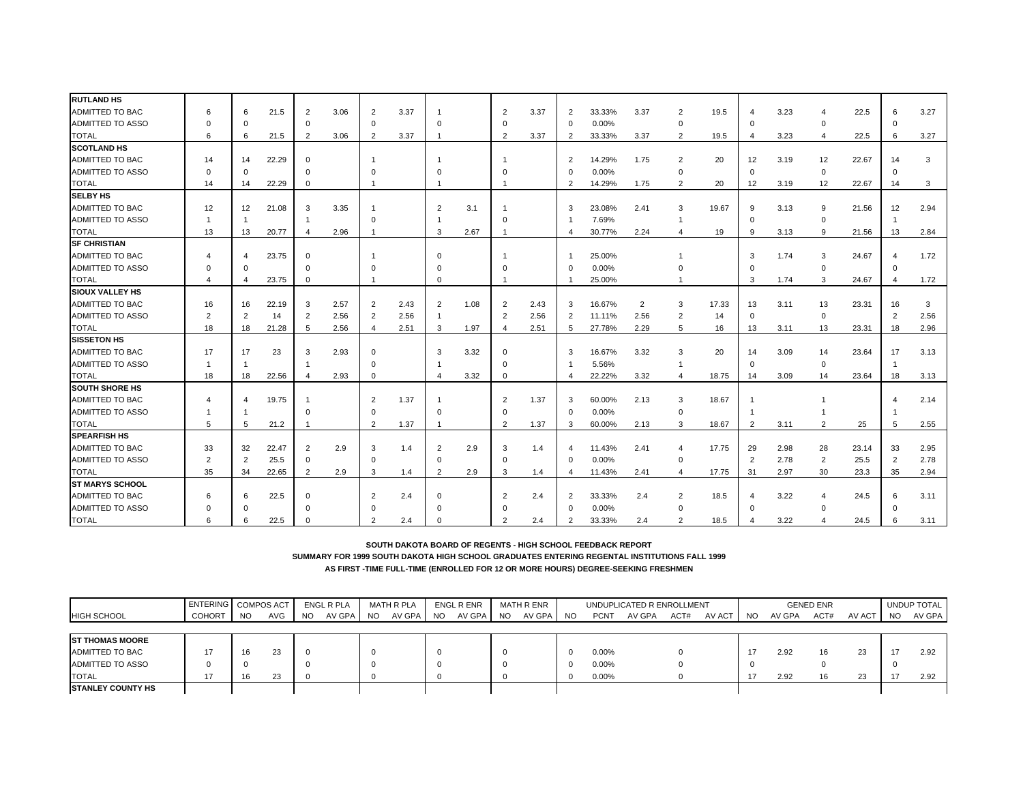| <b>RUTLAND HS</b><br>ADMITTED TO BAC<br>21.5<br>3.06<br>$\overline{2}$<br>3.37<br>$\overline{2}$<br>3.37<br>33.33%<br>3.37<br>$\overline{2}$<br>19.5<br>3.23<br>22.5<br>3.27<br>6<br>6<br>2<br>$\overline{2}$<br>6<br>4<br>4<br>ADMITTED TO ASSO<br>0.00%<br>$\mathbf 0$<br>$\Omega$<br>$\Omega$<br>$\Omega$<br>$\Omega$<br>$\Omega$<br>$\mathbf 0$<br>$\mathbf 0$<br>$\Omega$<br>$\Omega$<br>$\Omega$<br><b>TOTAL</b><br>3.37<br>3.37<br>3.27<br>3.06<br>$\overline{2}$<br>2<br>33.33%<br>3.37<br>$\overline{2}$<br>3.23<br>22.5<br>6<br>21.5<br>2<br>$\overline{2}$<br>19.5<br>6<br>4<br>6<br>$\mathbf{1}$<br>$\overline{4}$<br><b>SCOTLAND HS</b><br><b>ADMITTED TO BAC</b><br>22.29<br>14.29%<br>1.75<br>$\overline{2}$<br>3.19<br>12<br>22.67<br>3<br>14<br>14<br>$\overline{2}$<br>20<br>12<br>14<br>$\Omega$<br>$\mathbf{1}$<br>-1<br>ADMITTED TO ASSO<br>0.00%<br>$\mathbf 0$<br>$\Omega$<br>$\Omega$<br>$\mathbf 0$<br>$\Omega$<br>0<br>$\Omega$<br>$\Omega$<br>$\Omega$<br><b>TOTAL</b><br>22.29<br>14.29%<br>20<br>12<br>3<br>14<br>$\overline{2}$<br>1.75<br>2<br>3.19<br>22.67<br>14<br>$\mathbf 0$<br>12<br>14<br>$\mathbf{1}$<br><b>SELBY HS</b><br>ADMITTED TO BAC<br>12<br>3.35<br>2.41<br>2.94<br>12<br>21.08<br>3<br>$\overline{2}$<br>3.1<br>3<br>23.08%<br>3<br>19.67<br>9<br>3.13<br>9<br>21.56<br>12<br>ADMITTED TO ASSO<br>7.69%<br>$\Omega$<br>$\mathbf 0$<br>0<br>-1<br>$\overline{1}$<br>$\Omega$<br>-1<br>-1<br><b>TOTAL</b><br>13<br>20.77<br>2.96<br>2.67<br>30.77%<br>2.24<br>21.56<br>2.84<br>3<br>19<br>3.13<br>9<br>13<br>13<br>$\overline{4}$<br>9<br>$\overline{4}$<br>$\mathbf{1}$<br>4<br><b>SF CHRISTIAN</b><br><b>ADMITTED TO BAC</b><br>23.75<br>25.00%<br>3<br>1.74<br>3<br>24.67<br>$\overline{4}$<br>$\Omega$<br>1.72<br>$\overline{\mathbf{4}}$<br>$\Omega$<br>-1<br>$\overline{4}$<br>ADMITTED TO ASSO<br>0.00%<br>$\mathbf 0$<br>$\Omega$<br>$\mathbf 0$<br>$\mathbf 0$<br>$\Omega$<br>$\Omega$<br>$\Omega$<br>$\Omega$<br>$\Omega$<br><b>TOTAL</b><br>25.00%<br>24.67<br>23.75<br>3<br>1.74<br>3<br>1.72<br>$\overline{4}$<br>$\overline{4}$<br>$\mathbf 0$<br>$\Omega$<br>1<br>-1<br>$\overline{4}$<br>-1<br><b>SIOUX VALLEY HS</b><br><b>ADMITTED TO BAC</b><br>2.57<br>2.43<br>$\overline{2}$<br>17.33<br>13<br>16<br>22.19<br>2<br>1.08<br>2.43<br>16.67%<br>3<br>13<br>3.11<br>23.31<br>3<br>16<br>3<br>2<br>2<br>3<br>16<br>ADMITTED TO ASSO<br>2.56<br>$\overline{2}$<br>2.56<br>$\overline{2}$<br>2.56<br>2.56<br>$\overline{2}$<br>2.56<br>2<br>$\overline{2}$<br>14<br>$\overline{2}$<br>$\overline{2}$<br>11.11%<br>14<br>2<br>$\overline{1}$<br>$\mathbf{0}$<br>$\mathbf{0}$<br><b>TOTAL</b><br>18<br>18<br>21.28<br>2.56<br>2.51<br>1.97<br>2.51<br>27.78%<br>2.29<br>5<br>16<br>3.11<br>13<br>23.31<br>18<br>2.96<br>5<br>$\overline{4}$<br>3<br>5<br>13<br>$\overline{4}$<br><b>SISSETON HS</b><br>3.32<br><b>ADMITTED TO BAC</b><br>17<br>23<br>2.93<br>3<br>3.32<br>16.67%<br>3<br>20<br>3.09<br>17<br>3<br>3<br>23.64<br>3.13<br>$\Omega$<br>$\Omega$<br>14<br>14<br>17<br><b>ADMITTED TO ASSO</b><br>5.56%<br>$\overline{1}$<br>$\mathbf{0}$<br>$\mathbf{0}$<br>$\overline{1}$<br>$\Omega$<br>$\Omega$<br>-1<br>$\overline{1}$<br>-1<br>-1<br>-1<br><b>TOTAL</b><br>18<br>22.56<br>3.32<br>22.22%<br>3.32<br>2.93<br>$\Omega$<br>$\overline{4}$<br>18.75<br>3.09<br>14<br>23.64<br>3.13<br>18<br>$\overline{4}$<br>$\Omega$<br>4<br>14<br>18<br>$\overline{4}$<br><b>SOUTH SHORE HS</b><br>ADMITTED TO BAC<br>19.75<br>1.37<br>1.37<br>2.13<br>2.14<br>2<br>2<br>60.00%<br>3<br>18.67<br>$\overline{4}$<br>$\overline{4}$<br>3<br>-1<br>-1<br><b>ADMITTED TO ASSO</b><br>0.00%<br>$\mathbf 0$<br>$\Omega$<br>$\Omega$<br>$\Omega$<br>$\Omega$<br>- 1<br><b>TOTAL</b><br>5<br>21.2<br>2<br>1.37<br>2<br>1.37<br>60.00%<br>2.13<br>3<br>18.67<br>3.11<br>$\overline{2}$<br>25<br>2.55<br>-5<br>3<br>2<br>5<br>-1<br><b>SPEARFISH HS</b><br>ADMITTED TO BAC<br>33<br>32<br>22.47<br>$\overline{2}$<br>2.9<br>3<br>1.4<br>$\overline{2}$<br>2.9<br>3<br>11.43%<br>2.41<br>17.75<br>29<br>2.98<br>28<br>23.14<br>33<br>2.95<br>1.4<br>4<br>4<br><b>ADMITTED TO ASSO</b><br>$\overline{2}$<br>2.78<br>$\overline{2}$<br>2.78<br>2<br>2<br>25.5<br>$\mathbf 0$<br>0.00%<br>25.5<br>$\overline{2}$<br>$\Omega$<br>$\Omega$<br>$\Omega$<br>$\Omega$<br>$\Omega$<br><b>TOTAL</b><br>35<br>22.65<br>2.9<br>17.75<br>34<br>2.9<br>3<br>1.4<br>2<br>3<br>1.4<br>11.43%<br>2.41<br>2.97<br>30<br>23.3<br>2.94<br>$\overline{2}$<br>31<br>35<br>$\overline{4}$<br>$\Delta$<br><b>ST MARYS SCHOOL</b><br><b>ADMITTED TO BAC</b><br>22.5<br>2.4<br>2.4<br>33.33%<br>2.4<br>2<br>18.5<br>3.22<br>3.11<br>6<br>6<br>$\overline{2}$<br>2<br>$\overline{2}$<br>24.5<br>$\Omega$<br>$\Omega$<br>4<br>6<br>4<br><b>ADMITTED TO ASSO</b><br>0.00%<br>$\Omega$<br>$\Omega$<br>$\mathbf 0$<br>$\Omega$<br>$\mathbf 0$<br>$\Omega$<br>$\Omega$<br>$\Omega$<br>$\Omega$<br>$\Omega$<br>$\Omega$ |              |  |      |  |  |  |  |        |     |      |      |  |      |
|----------------------------------------------------------------------------------------------------------------------------------------------------------------------------------------------------------------------------------------------------------------------------------------------------------------------------------------------------------------------------------------------------------------------------------------------------------------------------------------------------------------------------------------------------------------------------------------------------------------------------------------------------------------------------------------------------------------------------------------------------------------------------------------------------------------------------------------------------------------------------------------------------------------------------------------------------------------------------------------------------------------------------------------------------------------------------------------------------------------------------------------------------------------------------------------------------------------------------------------------------------------------------------------------------------------------------------------------------------------------------------------------------------------------------------------------------------------------------------------------------------------------------------------------------------------------------------------------------------------------------------------------------------------------------------------------------------------------------------------------------------------------------------------------------------------------------------------------------------------------------------------------------------------------------------------------------------------------------------------------------------------------------------------------------------------------------------------------------------------------------------------------------------------------------------------------------------------------------------------------------------------------------------------------------------------------------------------------------------------------------------------------------------------------------------------------------------------------------------------------------------------------------------------------------------------------------------------------------------------------------------------------------------------------------------------------------------------------------------------------------------------------------------------------------------------------------------------------------------------------------------------------------------------------------------------------------------------------------------------------------------------------------------------------------------------------------------------------------------------------------------------------------------------------------------------------------------------------------------------------------------------------------------------------------------------------------------------------------------------------------------------------------------------------------------------------------------------------------------------------------------------------------------------------------------------------------------------------------------------------------------------------------------------------------------------------------------------------------------------------------------------------------------------------------------------------------------------------------------------------------------------------------------------------------------------------------------------------------------------------------------------------------------------------------------------------------------------------------------------------------------------------------------------------------------------------------------------------------------------------------------------------------------------------------------------------------------------------------------------------------------------------------------------------------------------------------------------------------------------------------------------------------------------------------------------------------------------------------------------------------------------------------------------------------------------------------------------------------------------------------------------------------------------------------------------------------------------------------------------------------------------------------------------------------------------|--------------|--|------|--|--|--|--|--------|-----|------|------|--|------|
|                                                                                                                                                                                                                                                                                                                                                                                                                                                                                                                                                                                                                                                                                                                                                                                                                                                                                                                                                                                                                                                                                                                                                                                                                                                                                                                                                                                                                                                                                                                                                                                                                                                                                                                                                                                                                                                                                                                                                                                                                                                                                                                                                                                                                                                                                                                                                                                                                                                                                                                                                                                                                                                                                                                                                                                                                                                                                                                                                                                                                                                                                                                                                                                                                                                                                                                                                                                                                                                                                                                                                                                                                                                                                                                                                                                                                                                                                                                                                                                                                                                                                                                                                                                                                                                                                                                                                                                                                                                                                                                                                                                                                                                                                                                                                                                                                                                                                                                                        |              |  |      |  |  |  |  |        |     |      |      |  |      |
|                                                                                                                                                                                                                                                                                                                                                                                                                                                                                                                                                                                                                                                                                                                                                                                                                                                                                                                                                                                                                                                                                                                                                                                                                                                                                                                                                                                                                                                                                                                                                                                                                                                                                                                                                                                                                                                                                                                                                                                                                                                                                                                                                                                                                                                                                                                                                                                                                                                                                                                                                                                                                                                                                                                                                                                                                                                                                                                                                                                                                                                                                                                                                                                                                                                                                                                                                                                                                                                                                                                                                                                                                                                                                                                                                                                                                                                                                                                                                                                                                                                                                                                                                                                                                                                                                                                                                                                                                                                                                                                                                                                                                                                                                                                                                                                                                                                                                                                                        |              |  |      |  |  |  |  |        |     |      |      |  |      |
|                                                                                                                                                                                                                                                                                                                                                                                                                                                                                                                                                                                                                                                                                                                                                                                                                                                                                                                                                                                                                                                                                                                                                                                                                                                                                                                                                                                                                                                                                                                                                                                                                                                                                                                                                                                                                                                                                                                                                                                                                                                                                                                                                                                                                                                                                                                                                                                                                                                                                                                                                                                                                                                                                                                                                                                                                                                                                                                                                                                                                                                                                                                                                                                                                                                                                                                                                                                                                                                                                                                                                                                                                                                                                                                                                                                                                                                                                                                                                                                                                                                                                                                                                                                                                                                                                                                                                                                                                                                                                                                                                                                                                                                                                                                                                                                                                                                                                                                                        |              |  |      |  |  |  |  |        |     |      |      |  |      |
|                                                                                                                                                                                                                                                                                                                                                                                                                                                                                                                                                                                                                                                                                                                                                                                                                                                                                                                                                                                                                                                                                                                                                                                                                                                                                                                                                                                                                                                                                                                                                                                                                                                                                                                                                                                                                                                                                                                                                                                                                                                                                                                                                                                                                                                                                                                                                                                                                                                                                                                                                                                                                                                                                                                                                                                                                                                                                                                                                                                                                                                                                                                                                                                                                                                                                                                                                                                                                                                                                                                                                                                                                                                                                                                                                                                                                                                                                                                                                                                                                                                                                                                                                                                                                                                                                                                                                                                                                                                                                                                                                                                                                                                                                                                                                                                                                                                                                                                                        |              |  |      |  |  |  |  |        |     |      |      |  |      |
|                                                                                                                                                                                                                                                                                                                                                                                                                                                                                                                                                                                                                                                                                                                                                                                                                                                                                                                                                                                                                                                                                                                                                                                                                                                                                                                                                                                                                                                                                                                                                                                                                                                                                                                                                                                                                                                                                                                                                                                                                                                                                                                                                                                                                                                                                                                                                                                                                                                                                                                                                                                                                                                                                                                                                                                                                                                                                                                                                                                                                                                                                                                                                                                                                                                                                                                                                                                                                                                                                                                                                                                                                                                                                                                                                                                                                                                                                                                                                                                                                                                                                                                                                                                                                                                                                                                                                                                                                                                                                                                                                                                                                                                                                                                                                                                                                                                                                                                                        |              |  |      |  |  |  |  |        |     |      |      |  |      |
|                                                                                                                                                                                                                                                                                                                                                                                                                                                                                                                                                                                                                                                                                                                                                                                                                                                                                                                                                                                                                                                                                                                                                                                                                                                                                                                                                                                                                                                                                                                                                                                                                                                                                                                                                                                                                                                                                                                                                                                                                                                                                                                                                                                                                                                                                                                                                                                                                                                                                                                                                                                                                                                                                                                                                                                                                                                                                                                                                                                                                                                                                                                                                                                                                                                                                                                                                                                                                                                                                                                                                                                                                                                                                                                                                                                                                                                                                                                                                                                                                                                                                                                                                                                                                                                                                                                                                                                                                                                                                                                                                                                                                                                                                                                                                                                                                                                                                                                                        |              |  |      |  |  |  |  |        |     |      |      |  |      |
|                                                                                                                                                                                                                                                                                                                                                                                                                                                                                                                                                                                                                                                                                                                                                                                                                                                                                                                                                                                                                                                                                                                                                                                                                                                                                                                                                                                                                                                                                                                                                                                                                                                                                                                                                                                                                                                                                                                                                                                                                                                                                                                                                                                                                                                                                                                                                                                                                                                                                                                                                                                                                                                                                                                                                                                                                                                                                                                                                                                                                                                                                                                                                                                                                                                                                                                                                                                                                                                                                                                                                                                                                                                                                                                                                                                                                                                                                                                                                                                                                                                                                                                                                                                                                                                                                                                                                                                                                                                                                                                                                                                                                                                                                                                                                                                                                                                                                                                                        |              |  |      |  |  |  |  |        |     |      |      |  |      |
|                                                                                                                                                                                                                                                                                                                                                                                                                                                                                                                                                                                                                                                                                                                                                                                                                                                                                                                                                                                                                                                                                                                                                                                                                                                                                                                                                                                                                                                                                                                                                                                                                                                                                                                                                                                                                                                                                                                                                                                                                                                                                                                                                                                                                                                                                                                                                                                                                                                                                                                                                                                                                                                                                                                                                                                                                                                                                                                                                                                                                                                                                                                                                                                                                                                                                                                                                                                                                                                                                                                                                                                                                                                                                                                                                                                                                                                                                                                                                                                                                                                                                                                                                                                                                                                                                                                                                                                                                                                                                                                                                                                                                                                                                                                                                                                                                                                                                                                                        |              |  |      |  |  |  |  |        |     |      |      |  |      |
|                                                                                                                                                                                                                                                                                                                                                                                                                                                                                                                                                                                                                                                                                                                                                                                                                                                                                                                                                                                                                                                                                                                                                                                                                                                                                                                                                                                                                                                                                                                                                                                                                                                                                                                                                                                                                                                                                                                                                                                                                                                                                                                                                                                                                                                                                                                                                                                                                                                                                                                                                                                                                                                                                                                                                                                                                                                                                                                                                                                                                                                                                                                                                                                                                                                                                                                                                                                                                                                                                                                                                                                                                                                                                                                                                                                                                                                                                                                                                                                                                                                                                                                                                                                                                                                                                                                                                                                                                                                                                                                                                                                                                                                                                                                                                                                                                                                                                                                                        |              |  |      |  |  |  |  |        |     |      |      |  |      |
|                                                                                                                                                                                                                                                                                                                                                                                                                                                                                                                                                                                                                                                                                                                                                                                                                                                                                                                                                                                                                                                                                                                                                                                                                                                                                                                                                                                                                                                                                                                                                                                                                                                                                                                                                                                                                                                                                                                                                                                                                                                                                                                                                                                                                                                                                                                                                                                                                                                                                                                                                                                                                                                                                                                                                                                                                                                                                                                                                                                                                                                                                                                                                                                                                                                                                                                                                                                                                                                                                                                                                                                                                                                                                                                                                                                                                                                                                                                                                                                                                                                                                                                                                                                                                                                                                                                                                                                                                                                                                                                                                                                                                                                                                                                                                                                                                                                                                                                                        |              |  |      |  |  |  |  |        |     |      |      |  |      |
|                                                                                                                                                                                                                                                                                                                                                                                                                                                                                                                                                                                                                                                                                                                                                                                                                                                                                                                                                                                                                                                                                                                                                                                                                                                                                                                                                                                                                                                                                                                                                                                                                                                                                                                                                                                                                                                                                                                                                                                                                                                                                                                                                                                                                                                                                                                                                                                                                                                                                                                                                                                                                                                                                                                                                                                                                                                                                                                                                                                                                                                                                                                                                                                                                                                                                                                                                                                                                                                                                                                                                                                                                                                                                                                                                                                                                                                                                                                                                                                                                                                                                                                                                                                                                                                                                                                                                                                                                                                                                                                                                                                                                                                                                                                                                                                                                                                                                                                                        |              |  |      |  |  |  |  |        |     |      |      |  |      |
|                                                                                                                                                                                                                                                                                                                                                                                                                                                                                                                                                                                                                                                                                                                                                                                                                                                                                                                                                                                                                                                                                                                                                                                                                                                                                                                                                                                                                                                                                                                                                                                                                                                                                                                                                                                                                                                                                                                                                                                                                                                                                                                                                                                                                                                                                                                                                                                                                                                                                                                                                                                                                                                                                                                                                                                                                                                                                                                                                                                                                                                                                                                                                                                                                                                                                                                                                                                                                                                                                                                                                                                                                                                                                                                                                                                                                                                                                                                                                                                                                                                                                                                                                                                                                                                                                                                                                                                                                                                                                                                                                                                                                                                                                                                                                                                                                                                                                                                                        |              |  |      |  |  |  |  |        |     |      |      |  |      |
|                                                                                                                                                                                                                                                                                                                                                                                                                                                                                                                                                                                                                                                                                                                                                                                                                                                                                                                                                                                                                                                                                                                                                                                                                                                                                                                                                                                                                                                                                                                                                                                                                                                                                                                                                                                                                                                                                                                                                                                                                                                                                                                                                                                                                                                                                                                                                                                                                                                                                                                                                                                                                                                                                                                                                                                                                                                                                                                                                                                                                                                                                                                                                                                                                                                                                                                                                                                                                                                                                                                                                                                                                                                                                                                                                                                                                                                                                                                                                                                                                                                                                                                                                                                                                                                                                                                                                                                                                                                                                                                                                                                                                                                                                                                                                                                                                                                                                                                                        |              |  |      |  |  |  |  |        |     |      |      |  |      |
|                                                                                                                                                                                                                                                                                                                                                                                                                                                                                                                                                                                                                                                                                                                                                                                                                                                                                                                                                                                                                                                                                                                                                                                                                                                                                                                                                                                                                                                                                                                                                                                                                                                                                                                                                                                                                                                                                                                                                                                                                                                                                                                                                                                                                                                                                                                                                                                                                                                                                                                                                                                                                                                                                                                                                                                                                                                                                                                                                                                                                                                                                                                                                                                                                                                                                                                                                                                                                                                                                                                                                                                                                                                                                                                                                                                                                                                                                                                                                                                                                                                                                                                                                                                                                                                                                                                                                                                                                                                                                                                                                                                                                                                                                                                                                                                                                                                                                                                                        |              |  |      |  |  |  |  |        |     |      |      |  |      |
|                                                                                                                                                                                                                                                                                                                                                                                                                                                                                                                                                                                                                                                                                                                                                                                                                                                                                                                                                                                                                                                                                                                                                                                                                                                                                                                                                                                                                                                                                                                                                                                                                                                                                                                                                                                                                                                                                                                                                                                                                                                                                                                                                                                                                                                                                                                                                                                                                                                                                                                                                                                                                                                                                                                                                                                                                                                                                                                                                                                                                                                                                                                                                                                                                                                                                                                                                                                                                                                                                                                                                                                                                                                                                                                                                                                                                                                                                                                                                                                                                                                                                                                                                                                                                                                                                                                                                                                                                                                                                                                                                                                                                                                                                                                                                                                                                                                                                                                                        |              |  |      |  |  |  |  |        |     |      |      |  |      |
|                                                                                                                                                                                                                                                                                                                                                                                                                                                                                                                                                                                                                                                                                                                                                                                                                                                                                                                                                                                                                                                                                                                                                                                                                                                                                                                                                                                                                                                                                                                                                                                                                                                                                                                                                                                                                                                                                                                                                                                                                                                                                                                                                                                                                                                                                                                                                                                                                                                                                                                                                                                                                                                                                                                                                                                                                                                                                                                                                                                                                                                                                                                                                                                                                                                                                                                                                                                                                                                                                                                                                                                                                                                                                                                                                                                                                                                                                                                                                                                                                                                                                                                                                                                                                                                                                                                                                                                                                                                                                                                                                                                                                                                                                                                                                                                                                                                                                                                                        |              |  |      |  |  |  |  |        |     |      |      |  |      |
|                                                                                                                                                                                                                                                                                                                                                                                                                                                                                                                                                                                                                                                                                                                                                                                                                                                                                                                                                                                                                                                                                                                                                                                                                                                                                                                                                                                                                                                                                                                                                                                                                                                                                                                                                                                                                                                                                                                                                                                                                                                                                                                                                                                                                                                                                                                                                                                                                                                                                                                                                                                                                                                                                                                                                                                                                                                                                                                                                                                                                                                                                                                                                                                                                                                                                                                                                                                                                                                                                                                                                                                                                                                                                                                                                                                                                                                                                                                                                                                                                                                                                                                                                                                                                                                                                                                                                                                                                                                                                                                                                                                                                                                                                                                                                                                                                                                                                                                                        |              |  |      |  |  |  |  |        |     |      |      |  |      |
|                                                                                                                                                                                                                                                                                                                                                                                                                                                                                                                                                                                                                                                                                                                                                                                                                                                                                                                                                                                                                                                                                                                                                                                                                                                                                                                                                                                                                                                                                                                                                                                                                                                                                                                                                                                                                                                                                                                                                                                                                                                                                                                                                                                                                                                                                                                                                                                                                                                                                                                                                                                                                                                                                                                                                                                                                                                                                                                                                                                                                                                                                                                                                                                                                                                                                                                                                                                                                                                                                                                                                                                                                                                                                                                                                                                                                                                                                                                                                                                                                                                                                                                                                                                                                                                                                                                                                                                                                                                                                                                                                                                                                                                                                                                                                                                                                                                                                                                                        |              |  |      |  |  |  |  |        |     |      |      |  |      |
|                                                                                                                                                                                                                                                                                                                                                                                                                                                                                                                                                                                                                                                                                                                                                                                                                                                                                                                                                                                                                                                                                                                                                                                                                                                                                                                                                                                                                                                                                                                                                                                                                                                                                                                                                                                                                                                                                                                                                                                                                                                                                                                                                                                                                                                                                                                                                                                                                                                                                                                                                                                                                                                                                                                                                                                                                                                                                                                                                                                                                                                                                                                                                                                                                                                                                                                                                                                                                                                                                                                                                                                                                                                                                                                                                                                                                                                                                                                                                                                                                                                                                                                                                                                                                                                                                                                                                                                                                                                                                                                                                                                                                                                                                                                                                                                                                                                                                                                                        |              |  |      |  |  |  |  |        |     |      |      |  |      |
|                                                                                                                                                                                                                                                                                                                                                                                                                                                                                                                                                                                                                                                                                                                                                                                                                                                                                                                                                                                                                                                                                                                                                                                                                                                                                                                                                                                                                                                                                                                                                                                                                                                                                                                                                                                                                                                                                                                                                                                                                                                                                                                                                                                                                                                                                                                                                                                                                                                                                                                                                                                                                                                                                                                                                                                                                                                                                                                                                                                                                                                                                                                                                                                                                                                                                                                                                                                                                                                                                                                                                                                                                                                                                                                                                                                                                                                                                                                                                                                                                                                                                                                                                                                                                                                                                                                                                                                                                                                                                                                                                                                                                                                                                                                                                                                                                                                                                                                                        |              |  |      |  |  |  |  |        |     |      |      |  |      |
|                                                                                                                                                                                                                                                                                                                                                                                                                                                                                                                                                                                                                                                                                                                                                                                                                                                                                                                                                                                                                                                                                                                                                                                                                                                                                                                                                                                                                                                                                                                                                                                                                                                                                                                                                                                                                                                                                                                                                                                                                                                                                                                                                                                                                                                                                                                                                                                                                                                                                                                                                                                                                                                                                                                                                                                                                                                                                                                                                                                                                                                                                                                                                                                                                                                                                                                                                                                                                                                                                                                                                                                                                                                                                                                                                                                                                                                                                                                                                                                                                                                                                                                                                                                                                                                                                                                                                                                                                                                                                                                                                                                                                                                                                                                                                                                                                                                                                                                                        |              |  |      |  |  |  |  |        |     |      |      |  |      |
|                                                                                                                                                                                                                                                                                                                                                                                                                                                                                                                                                                                                                                                                                                                                                                                                                                                                                                                                                                                                                                                                                                                                                                                                                                                                                                                                                                                                                                                                                                                                                                                                                                                                                                                                                                                                                                                                                                                                                                                                                                                                                                                                                                                                                                                                                                                                                                                                                                                                                                                                                                                                                                                                                                                                                                                                                                                                                                                                                                                                                                                                                                                                                                                                                                                                                                                                                                                                                                                                                                                                                                                                                                                                                                                                                                                                                                                                                                                                                                                                                                                                                                                                                                                                                                                                                                                                                                                                                                                                                                                                                                                                                                                                                                                                                                                                                                                                                                                                        |              |  |      |  |  |  |  |        |     |      |      |  |      |
|                                                                                                                                                                                                                                                                                                                                                                                                                                                                                                                                                                                                                                                                                                                                                                                                                                                                                                                                                                                                                                                                                                                                                                                                                                                                                                                                                                                                                                                                                                                                                                                                                                                                                                                                                                                                                                                                                                                                                                                                                                                                                                                                                                                                                                                                                                                                                                                                                                                                                                                                                                                                                                                                                                                                                                                                                                                                                                                                                                                                                                                                                                                                                                                                                                                                                                                                                                                                                                                                                                                                                                                                                                                                                                                                                                                                                                                                                                                                                                                                                                                                                                                                                                                                                                                                                                                                                                                                                                                                                                                                                                                                                                                                                                                                                                                                                                                                                                                                        |              |  |      |  |  |  |  |        |     |      |      |  |      |
|                                                                                                                                                                                                                                                                                                                                                                                                                                                                                                                                                                                                                                                                                                                                                                                                                                                                                                                                                                                                                                                                                                                                                                                                                                                                                                                                                                                                                                                                                                                                                                                                                                                                                                                                                                                                                                                                                                                                                                                                                                                                                                                                                                                                                                                                                                                                                                                                                                                                                                                                                                                                                                                                                                                                                                                                                                                                                                                                                                                                                                                                                                                                                                                                                                                                                                                                                                                                                                                                                                                                                                                                                                                                                                                                                                                                                                                                                                                                                                                                                                                                                                                                                                                                                                                                                                                                                                                                                                                                                                                                                                                                                                                                                                                                                                                                                                                                                                                                        |              |  |      |  |  |  |  |        |     |      |      |  |      |
|                                                                                                                                                                                                                                                                                                                                                                                                                                                                                                                                                                                                                                                                                                                                                                                                                                                                                                                                                                                                                                                                                                                                                                                                                                                                                                                                                                                                                                                                                                                                                                                                                                                                                                                                                                                                                                                                                                                                                                                                                                                                                                                                                                                                                                                                                                                                                                                                                                                                                                                                                                                                                                                                                                                                                                                                                                                                                                                                                                                                                                                                                                                                                                                                                                                                                                                                                                                                                                                                                                                                                                                                                                                                                                                                                                                                                                                                                                                                                                                                                                                                                                                                                                                                                                                                                                                                                                                                                                                                                                                                                                                                                                                                                                                                                                                                                                                                                                                                        |              |  |      |  |  |  |  |        |     |      |      |  |      |
|                                                                                                                                                                                                                                                                                                                                                                                                                                                                                                                                                                                                                                                                                                                                                                                                                                                                                                                                                                                                                                                                                                                                                                                                                                                                                                                                                                                                                                                                                                                                                                                                                                                                                                                                                                                                                                                                                                                                                                                                                                                                                                                                                                                                                                                                                                                                                                                                                                                                                                                                                                                                                                                                                                                                                                                                                                                                                                                                                                                                                                                                                                                                                                                                                                                                                                                                                                                                                                                                                                                                                                                                                                                                                                                                                                                                                                                                                                                                                                                                                                                                                                                                                                                                                                                                                                                                                                                                                                                                                                                                                                                                                                                                                                                                                                                                                                                                                                                                        |              |  |      |  |  |  |  |        |     |      |      |  |      |
|                                                                                                                                                                                                                                                                                                                                                                                                                                                                                                                                                                                                                                                                                                                                                                                                                                                                                                                                                                                                                                                                                                                                                                                                                                                                                                                                                                                                                                                                                                                                                                                                                                                                                                                                                                                                                                                                                                                                                                                                                                                                                                                                                                                                                                                                                                                                                                                                                                                                                                                                                                                                                                                                                                                                                                                                                                                                                                                                                                                                                                                                                                                                                                                                                                                                                                                                                                                                                                                                                                                                                                                                                                                                                                                                                                                                                                                                                                                                                                                                                                                                                                                                                                                                                                                                                                                                                                                                                                                                                                                                                                                                                                                                                                                                                                                                                                                                                                                                        |              |  |      |  |  |  |  |        |     |      |      |  |      |
|                                                                                                                                                                                                                                                                                                                                                                                                                                                                                                                                                                                                                                                                                                                                                                                                                                                                                                                                                                                                                                                                                                                                                                                                                                                                                                                                                                                                                                                                                                                                                                                                                                                                                                                                                                                                                                                                                                                                                                                                                                                                                                                                                                                                                                                                                                                                                                                                                                                                                                                                                                                                                                                                                                                                                                                                                                                                                                                                                                                                                                                                                                                                                                                                                                                                                                                                                                                                                                                                                                                                                                                                                                                                                                                                                                                                                                                                                                                                                                                                                                                                                                                                                                                                                                                                                                                                                                                                                                                                                                                                                                                                                                                                                                                                                                                                                                                                                                                                        |              |  |      |  |  |  |  |        |     |      |      |  |      |
|                                                                                                                                                                                                                                                                                                                                                                                                                                                                                                                                                                                                                                                                                                                                                                                                                                                                                                                                                                                                                                                                                                                                                                                                                                                                                                                                                                                                                                                                                                                                                                                                                                                                                                                                                                                                                                                                                                                                                                                                                                                                                                                                                                                                                                                                                                                                                                                                                                                                                                                                                                                                                                                                                                                                                                                                                                                                                                                                                                                                                                                                                                                                                                                                                                                                                                                                                                                                                                                                                                                                                                                                                                                                                                                                                                                                                                                                                                                                                                                                                                                                                                                                                                                                                                                                                                                                                                                                                                                                                                                                                                                                                                                                                                                                                                                                                                                                                                                                        |              |  |      |  |  |  |  |        |     |      |      |  |      |
|                                                                                                                                                                                                                                                                                                                                                                                                                                                                                                                                                                                                                                                                                                                                                                                                                                                                                                                                                                                                                                                                                                                                                                                                                                                                                                                                                                                                                                                                                                                                                                                                                                                                                                                                                                                                                                                                                                                                                                                                                                                                                                                                                                                                                                                                                                                                                                                                                                                                                                                                                                                                                                                                                                                                                                                                                                                                                                                                                                                                                                                                                                                                                                                                                                                                                                                                                                                                                                                                                                                                                                                                                                                                                                                                                                                                                                                                                                                                                                                                                                                                                                                                                                                                                                                                                                                                                                                                                                                                                                                                                                                                                                                                                                                                                                                                                                                                                                                                        |              |  |      |  |  |  |  |        |     |      |      |  |      |
|                                                                                                                                                                                                                                                                                                                                                                                                                                                                                                                                                                                                                                                                                                                                                                                                                                                                                                                                                                                                                                                                                                                                                                                                                                                                                                                                                                                                                                                                                                                                                                                                                                                                                                                                                                                                                                                                                                                                                                                                                                                                                                                                                                                                                                                                                                                                                                                                                                                                                                                                                                                                                                                                                                                                                                                                                                                                                                                                                                                                                                                                                                                                                                                                                                                                                                                                                                                                                                                                                                                                                                                                                                                                                                                                                                                                                                                                                                                                                                                                                                                                                                                                                                                                                                                                                                                                                                                                                                                                                                                                                                                                                                                                                                                                                                                                                                                                                                                                        |              |  |      |  |  |  |  |        |     |      |      |  |      |
|                                                                                                                                                                                                                                                                                                                                                                                                                                                                                                                                                                                                                                                                                                                                                                                                                                                                                                                                                                                                                                                                                                                                                                                                                                                                                                                                                                                                                                                                                                                                                                                                                                                                                                                                                                                                                                                                                                                                                                                                                                                                                                                                                                                                                                                                                                                                                                                                                                                                                                                                                                                                                                                                                                                                                                                                                                                                                                                                                                                                                                                                                                                                                                                                                                                                                                                                                                                                                                                                                                                                                                                                                                                                                                                                                                                                                                                                                                                                                                                                                                                                                                                                                                                                                                                                                                                                                                                                                                                                                                                                                                                                                                                                                                                                                                                                                                                                                                                                        |              |  |      |  |  |  |  |        |     |      |      |  |      |
|                                                                                                                                                                                                                                                                                                                                                                                                                                                                                                                                                                                                                                                                                                                                                                                                                                                                                                                                                                                                                                                                                                                                                                                                                                                                                                                                                                                                                                                                                                                                                                                                                                                                                                                                                                                                                                                                                                                                                                                                                                                                                                                                                                                                                                                                                                                                                                                                                                                                                                                                                                                                                                                                                                                                                                                                                                                                                                                                                                                                                                                                                                                                                                                                                                                                                                                                                                                                                                                                                                                                                                                                                                                                                                                                                                                                                                                                                                                                                                                                                                                                                                                                                                                                                                                                                                                                                                                                                                                                                                                                                                                                                                                                                                                                                                                                                                                                                                                                        |              |  |      |  |  |  |  |        |     |      |      |  |      |
|                                                                                                                                                                                                                                                                                                                                                                                                                                                                                                                                                                                                                                                                                                                                                                                                                                                                                                                                                                                                                                                                                                                                                                                                                                                                                                                                                                                                                                                                                                                                                                                                                                                                                                                                                                                                                                                                                                                                                                                                                                                                                                                                                                                                                                                                                                                                                                                                                                                                                                                                                                                                                                                                                                                                                                                                                                                                                                                                                                                                                                                                                                                                                                                                                                                                                                                                                                                                                                                                                                                                                                                                                                                                                                                                                                                                                                                                                                                                                                                                                                                                                                                                                                                                                                                                                                                                                                                                                                                                                                                                                                                                                                                                                                                                                                                                                                                                                                                                        |              |  |      |  |  |  |  |        |     |      |      |  |      |
|                                                                                                                                                                                                                                                                                                                                                                                                                                                                                                                                                                                                                                                                                                                                                                                                                                                                                                                                                                                                                                                                                                                                                                                                                                                                                                                                                                                                                                                                                                                                                                                                                                                                                                                                                                                                                                                                                                                                                                                                                                                                                                                                                                                                                                                                                                                                                                                                                                                                                                                                                                                                                                                                                                                                                                                                                                                                                                                                                                                                                                                                                                                                                                                                                                                                                                                                                                                                                                                                                                                                                                                                                                                                                                                                                                                                                                                                                                                                                                                                                                                                                                                                                                                                                                                                                                                                                                                                                                                                                                                                                                                                                                                                                                                                                                                                                                                                                                                                        |              |  |      |  |  |  |  |        |     |      |      |  |      |
| 6<br>6<br>2<br>2.4<br>$\overline{2}$<br>2.4<br>$\overline{2}$<br>24.5<br>$\overline{2}$<br>6<br>$\Omega$<br>$\Omega$<br>Δ                                                                                                                                                                                                                                                                                                                                                                                                                                                                                                                                                                                                                                                                                                                                                                                                                                                                                                                                                                                                                                                                                                                                                                                                                                                                                                                                                                                                                                                                                                                                                                                                                                                                                                                                                                                                                                                                                                                                                                                                                                                                                                                                                                                                                                                                                                                                                                                                                                                                                                                                                                                                                                                                                                                                                                                                                                                                                                                                                                                                                                                                                                                                                                                                                                                                                                                                                                                                                                                                                                                                                                                                                                                                                                                                                                                                                                                                                                                                                                                                                                                                                                                                                                                                                                                                                                                                                                                                                                                                                                                                                                                                                                                                                                                                                                                                              | <b>TOTAL</b> |  | 22.5 |  |  |  |  | 33.33% | 2.4 | 18.5 | 3.22 |  | 3.11 |

|                           | <b>ENTERING</b> |           | <b>COMPOS ACT</b> |     | <b>ENGL R PLA</b> |           | MATH R PLA |           | ENGL R ENR |           | MATH R ENR |           |                  | UNDUPLICATED R ENROLLMENT |      |        |     |        | <b>GENED ENR</b> |        |           | UNDUP TOTAL |
|---------------------------|-----------------|-----------|-------------------|-----|-------------------|-----------|------------|-----------|------------|-----------|------------|-----------|------------------|---------------------------|------|--------|-----|--------|------------------|--------|-----------|-------------|
| <b>HIGH SCHOOL</b>        | <b>COHORT</b>   | <b>NO</b> | <b>AVG</b>        | NO. | AV GPA            | <b>NO</b> | AV GPA     | <b>NO</b> | AV GPA     | <b>NO</b> | AV GPA     | <b>NO</b> | PCN <sub>1</sub> | AV GPA                    | ACT# | AV ACT | NO. | AV GPA | ACT#             | AV ACT | <b>NO</b> | AV GPA      |
|                           |                 |           |                   |     |                   |           |            |           |            |           |            |           |                  |                           |      |        |     |        |                  |        |           |             |
| <b>ST THOMAS MOORE</b>    |                 |           |                   |     |                   |           |            |           |            |           |            |           |                  |                           |      |        |     |        |                  |        |           |             |
| ADMITTED TO BAC           | 17              | 16        | 23                |     |                   |           |            |           |            |           |            | 0         | 0.00%            |                           |      |        | 17  | 2.92   | 16               | 23     | 17        | 2.92        |
| ADMITTED TO ASSO          |                 |           |                   |     |                   |           |            |           |            |           |            | $\Omega$  | $0.00\%$         |                           |      |        | 0   |        |                  |        |           |             |
| <b>TOTAL</b>              | 17              | 16        | 23                |     |                   |           |            |           |            |           |            | 0         | 0.00%            |                           |      |        | 17  | 2.92   | 16               | 23     | 17        | 2.92        |
| <b>ISTANLEY COUNTY HS</b> |                 |           |                   |     |                   |           |            |           |            |           |            |           |                  |                           |      |        |     |        |                  |        |           |             |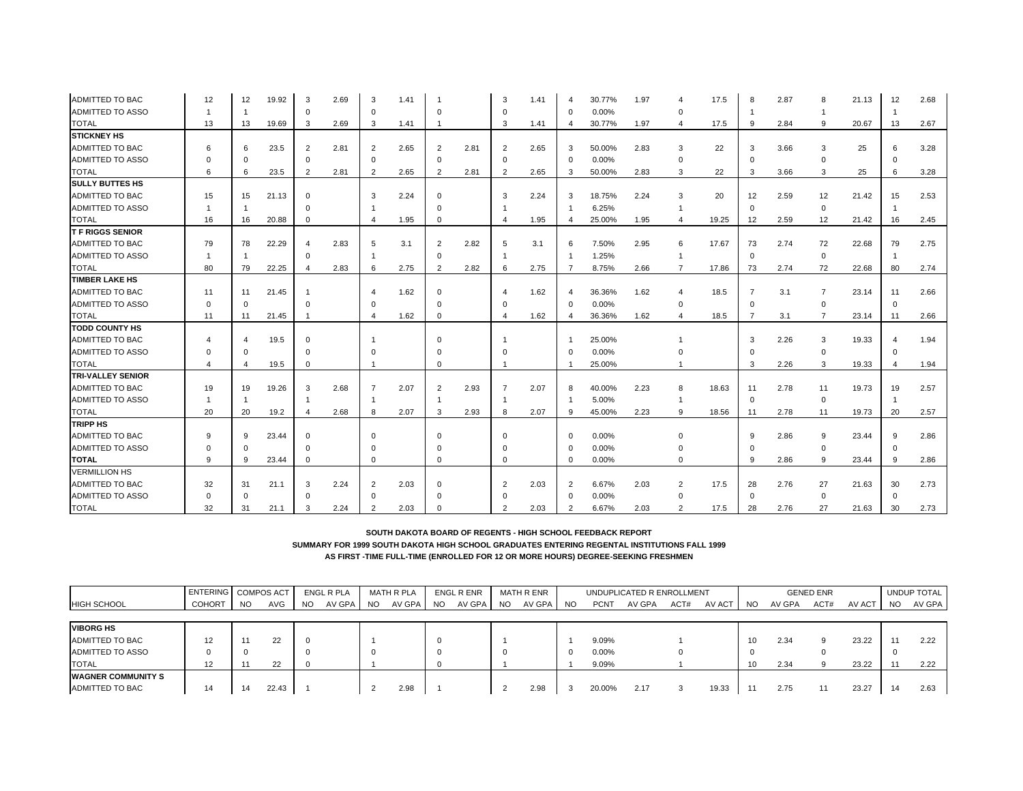| ADMITTED TO BAC          | 12       | 12                      | 19.92 | 3              | 2.69 | 3              | 1.41 |                |      | 3                       | 1.41 |                | 30.77% | 1.97 |                | 17.5  |                | 2.87 | 8              | 21.13 | 12                    | 2.68 |
|--------------------------|----------|-------------------------|-------|----------------|------|----------------|------|----------------|------|-------------------------|------|----------------|--------|------|----------------|-------|----------------|------|----------------|-------|-----------------------|------|
| <b>ADMITTED TO ASSO</b>  |          |                         |       | $\mathbf 0$    |      | $\mathbf 0$    |      | $\Omega$       |      |                         |      | $\Omega$       | 0.00%  |      | $\Omega$       |       |                |      |                |       | $\overline{1}$        |      |
| <b>TOTAL</b>             | 13       | 13                      | 19.69 | 3              | 2.69 | 3              | 1.41 |                |      | 3                       | 1.41 |                | 30.77% | 1.97 | 4              | 17.5  | 9              | 2.84 | 9              | 20.67 | 13                    | 2.67 |
| <b>STICKNEY HS</b>       |          |                         |       |                |      |                |      |                |      |                         |      |                |        |      |                |       |                |      |                |       |                       |      |
| ADMITTED TO BAC          | 6        | 6                       | 23.5  | $\overline{2}$ | 2.81 | $\overline{2}$ | 2.65 | 2              | 2.81 | 2                       | 2.65 | -3             | 50.00% | 2.83 | 3              | 22    | 3              | 3.66 | 3              | 25    | 6                     | 3.28 |
| ADMITTED TO ASSO         | U        | $\Omega$                |       | $\mathbf 0$    |      | $\mathbf 0$    |      | $\Omega$       |      | $\Omega$                |      | $\mathbf 0$    | 0.00%  |      | $\mathbf 0$    |       | $\Omega$       |      | $\Omega$       |       | $\Omega$              |      |
| <b>TOTAL</b>             | 6        | 6                       | 23.5  | 2              | 2.81 | $\overline{2}$ | 2.65 | 2              | 2.81 | 2                       | 2.65 | -3             | 50.00% | 2.83 | 3              | 22    | 3              | 3.66 | 3              | 25    | 6                     | 3.28 |
| <b>SULLY BUTTES HS</b>   |          |                         |       |                |      |                |      |                |      |                         |      |                |        |      |                |       |                |      |                |       |                       |      |
| ADMITTED TO BAC          | 15       | 15                      | 21.13 | $\Omega$       |      | 3              | 2.24 | $\Omega$       |      | 3                       | 2.24 | 3              | 18.75% | 2.24 | 3              | 20    | 12             | 2.59 | 12             | 21.42 | 15                    | 2.53 |
| ADMITTED TO ASSO         |          |                         |       | 0              |      |                |      | $\Omega$       |      |                         |      |                | 6.25%  |      | $\mathbf{1}$   |       | $\mathbf 0$    |      | 0              |       | $\overline{1}$        |      |
| <b>TOTAL</b>             | 16       | 16                      | 20.88 | $\mathbf 0$    |      |                | 1.95 | $\mathbf 0$    |      | $\overline{\mathbf{A}}$ | 1.95 |                | 25.00% | 1.95 | 4              | 19.25 | 12             | 2.59 | 12             | 21.42 | 16                    | 2.45 |
| <b>T F RIGGS SENIOR</b>  |          |                         |       |                |      |                |      |                |      |                         |      |                |        |      |                |       |                |      |                |       |                       |      |
| ADMITTED TO BAC          | 79       | 78                      | 22.29 | $\overline{4}$ | 2.83 | 5              | 3.1  | 2              | 2.82 | 5                       | 3.1  | 6              | 7.50%  | 2.95 | 6              | 17.67 | 73             | 2.74 | 72             | 22.68 | 79                    | 2.75 |
| ADMITTED TO ASSO         |          |                         |       | $\Omega$       |      |                |      | $\Omega$       |      |                         |      |                | 1.25%  |      |                |       | $\mathbf 0$    |      | 0              |       | $\overline{1}$        |      |
| <b>TOTAL</b>             | 80       | 79                      | 22.25 |                | 2.83 | 6              | 2.75 | $\overline{2}$ | 2.82 | 6                       | 2.75 |                | 8.75%  | 2.66 | $\overline{7}$ | 17.86 | 73             | 2.74 | 72             | 22.68 | 80                    | 2.74 |
| <b>TIMBER LAKE HS</b>    |          |                         |       |                |      |                |      |                |      |                         |      |                |        |      |                |       |                |      |                |       |                       |      |
| ADMITTED TO BAC          | 11       | 11                      | 21.45 | $\overline{1}$ |      |                | 1.62 | $\mathbf 0$    |      | $\overline{4}$          | 1.62 | Δ              | 36.36% | 1.62 | 4              | 18.5  | $\overline{7}$ | 3.1  | $\overline{7}$ | 23.14 | 11                    | 2.66 |
| ADMITTED TO ASSO         | $\Omega$ | $\Omega$                |       | $\Omega$       |      |                |      | $\Omega$       |      |                         |      | $\Omega$       | 0.00%  |      | $\Omega$       |       | $\mathbf 0$    |      | 0              |       | $\mathbf 0$           |      |
| <b>TOTAL</b>             | 11       | 11                      | 21.45 |                |      |                | 1.62 | $\mathbf 0$    |      | $\overline{A}$          | 1.62 |                | 36.36% | 1.62 | $\overline{4}$ | 18.5  | $\overline{7}$ | 3.1  | $\overline{7}$ | 23.14 | 11                    | 2.66 |
| <b>TODD COUNTY HS</b>    |          |                         |       |                |      |                |      |                |      |                         |      |                |        |      |                |       |                |      |                |       |                       |      |
| ADMITTED TO BAC          |          | 4                       | 19.5  | $\Omega$       |      |                |      | $\Omega$       |      |                         |      |                | 25.00% |      |                |       | 3              | 2.26 | 3              | 19.33 | $\boldsymbol{\Delta}$ | 1.94 |
| <b>ADMITTED TO ASSO</b>  | 0        | 0                       |       | $\Omega$       |      |                |      | O              |      |                         |      | $\Omega$       | 0.00%  |      |                |       | $\Omega$       |      | $^{\circ}$     |       | $\mathbf 0$           |      |
| <b>TOTAL</b>             |          | $\overline{\mathbf{4}}$ | 19.5  | 0              |      |                |      | $\Omega$       |      |                         |      |                | 25.00% |      |                |       | 3              | 2.26 | 3              | 19.33 |                       | 1.94 |
| <b>TRI-VALLEY SENIOR</b> |          |                         |       |                |      |                |      |                |      |                         |      |                |        |      |                |       |                |      |                |       |                       |      |
| ADMITTED TO BAC          | 19       | 19                      | 19.26 | 3              | 2.68 |                | 2.07 | 2              | 2.93 | 7                       | 2.07 | -8             | 40.00% | 2.23 | 8              | 18.63 | 11             | 2.78 | 11             | 19.73 | 19                    | 2.57 |
| ADMITTED TO ASSO         |          |                         |       | $\overline{1}$ |      |                |      |                |      | -1                      |      |                | 5.00%  |      | $\mathbf{1}$   |       | $\mathbf 0$    |      | 0              |       | $\mathbf{1}$          |      |
| <b>TOTAL</b>             | 20       | 20                      | 19.2  | $\overline{4}$ | 2.68 | 8              | 2.07 | 3              | 2.93 | 8                       | 2.07 | -9             | 45.00% | 2.23 | 9              | 18.56 | 11             | 2.78 | 11             | 19.73 | 20                    | 2.57 |
| <b>TRIPP HS</b>          |          |                         |       |                |      |                |      |                |      |                         |      |                |        |      |                |       |                |      |                |       |                       |      |
| ADMITTED TO BAC          | 9        | 9                       | 23.44 | $\Omega$       |      | $\Omega$       |      | $\Omega$       |      |                         |      | $\mathbf 0$    | 0.00%  |      | $\Omega$       |       | 9              | 2.86 | 9              | 23.44 | 9                     | 2.86 |
| ADMITTED TO ASSO         | U        | $\Omega$                |       | $\Omega$       |      | $\Omega$       |      | $\Omega$       |      |                         |      | - 0            | 0.00%  |      |                |       | $\Omega$       |      | $^{\circ}$     |       | $\Omega$              |      |
| <b>TOTAL</b>             | 9        | 9                       | 23.44 | 0              |      | $\mathbf 0$    |      | $\Omega$       |      |                         |      | $\Omega$       | 0.00%  |      | 0              |       | 9              | 2.86 | 9              | 23.44 | 9                     | 2.86 |
| <b>VERMILLION HS</b>     |          |                         |       |                |      |                |      |                |      |                         |      |                |        |      |                |       |                |      |                |       |                       |      |
| ADMITTED TO BAC          | 32       | 31                      | 21.1  | 3              | 2.24 | 2              | 2.03 | $\Omega$       |      | $\overline{2}$          | 2.03 | $\overline{2}$ | 6.67%  | 2.03 | 2              | 17.5  | 28             | 2.76 | 27             | 21.63 | 30                    | 2.73 |
| <b>ADMITTED TO ASSO</b>  | $\Omega$ | $\Omega$                |       | $\Omega$       |      | $\Omega$       |      | $\Omega$       |      |                         |      | - 0            | 0.00%  |      | $\mathbf 0$    |       | $\Omega$       |      | $\mathbf 0$    |       | $\mathbf 0$           |      |
| <b>TOTAL</b>             | 32       | 31                      | 21.1  | 3              | 2.24 | $\overline{2}$ | 2.03 | $\Omega$       |      |                         | 2.03 | 2              | 6.67%  | 2.03 | $\overline{2}$ | 17.5  | 28             | 2.76 | 27             | 21.63 | 30                    | 2.73 |

|                           | ENTERING   COMPOS ACT |           |           |           | ENGL R PLA |     | <b>MATH R PLA</b> |           | <b>ENGL R ENR</b> |           | MATH R ENR |           |             | UNDUPLICATED R ENROLLMENT |      |        |           |        | <b>GENED ENR</b> |        |           | UNDUP TOTAL |
|---------------------------|-----------------------|-----------|-----------|-----------|------------|-----|-------------------|-----------|-------------------|-----------|------------|-----------|-------------|---------------------------|------|--------|-----------|--------|------------------|--------|-----------|-------------|
| HIGH SCHOOL               | <b>COHORT</b>         | <b>NO</b> | AVG       | <b>NO</b> | AV GPA     | NO. | AV GPA            | <b>NO</b> | AV GPA            | <b>NO</b> | AV GPA     | <b>NO</b> | <b>PCNT</b> | AV GPA                    | ACT# | AV ACT | <b>NO</b> | AV GPA | ACT#             | AV ACT | <b>NO</b> | AV GPA      |
|                           |                       |           |           |           |            |     |                   |           |                   |           |            |           |             |                           |      |        |           |        |                  |        |           |             |
| <b>VIBORG HS</b>          |                       |           |           |           |            |     |                   |           |                   |           |            |           |             |                           |      |        |           |        |                  |        |           |             |
| ADMITTED TO BAC           |                       |           | ົາາ<br>∠∠ | - 0       |            |     |                   |           |                   |           |            |           | 9.09%       |                           |      |        | 10        | 2.34   |                  | 23.22  | 11        | 2.22        |
| ADMITTED TO ASSO          |                       |           |           |           |            |     |                   |           |                   |           |            |           | $0.00\%$    |                           |      |        |           |        |                  |        | -0        |             |
| <b>TOTAL</b>              | 12                    |           | 22        |           |            |     |                   |           |                   |           |            |           | 9.09%       |                           |      |        | 10        | 2.34   |                  | 23.22  | 11        | 2.22        |
| <b>WAGNER COMMUNITY S</b> |                       |           |           |           |            |     |                   |           |                   |           |            |           |             |                           |      |        |           |        |                  |        |           |             |
| ADMITTED TO BAC           | 14                    | 14        | 22.43     |           |            |     | 2.98              |           |                   |           | 2.98       |           | 20.00%      | 2.17                      |      | 19.33  |           | 2.75   | 11               | 23.27  | 14        | 2.63        |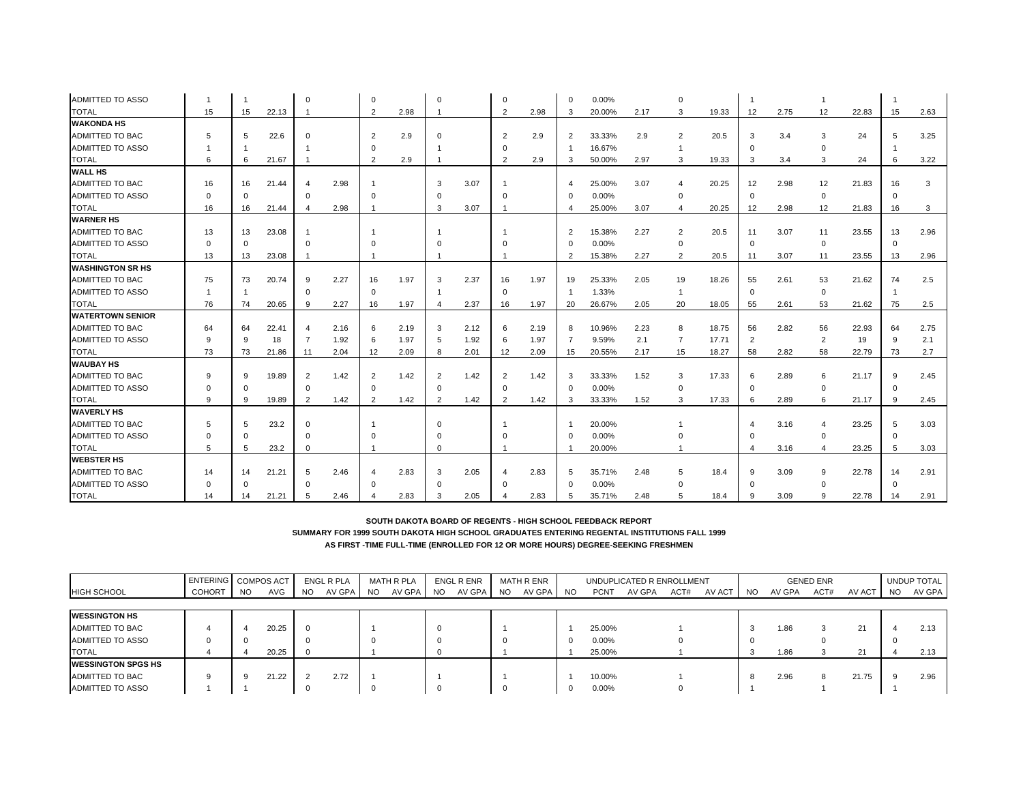| <b>ADMITTED TO ASSO</b> |          |          |       | $\Omega$       |      | O              |      | $\Omega$       |      |                |      | $\Omega$       | 0.00%  |      | $\Omega$                |       |                |      |                |       |             |      |
|-------------------------|----------|----------|-------|----------------|------|----------------|------|----------------|------|----------------|------|----------------|--------|------|-------------------------|-------|----------------|------|----------------|-------|-------------|------|
| <b>TOTAL</b>            | 15       | 15       | 22.13 |                |      | $\overline{2}$ | 2.98 |                |      | 2              | 2.98 | 3              | 20.00% | 2.17 | 3                       | 19.33 | 12             | 2.75 | 12             | 22.83 | 15          | 2.63 |
| <b>WAKONDA HS</b>       |          |          |       |                |      |                |      |                |      |                |      |                |        |      |                         |       |                |      |                |       |             |      |
| <b>ADMITTED TO BAC</b>  | 5        | 5        | 22.6  | $\Omega$       |      | 2              | 2.9  | $\Omega$       |      | 2              | 2.9  | $\overline{2}$ | 33.33% | 2.9  | 2                       | 20.5  | 3              | 3.4  | 3              | 24    | 5           | 3.25 |
| <b>ADMITTED TO ASSO</b> |          |          |       |                |      |                |      |                |      |                |      |                | 16.67% |      |                         |       | 0              |      | $\Omega$       |       |             |      |
| <b>TOTAL</b>            | 6        | 6        | 21.67 |                |      | $\overline{2}$ | 2.9  |                |      | $\overline{2}$ | 2.9  | 3              | 50.00% | 2.97 | 3                       | 19.33 | 3              | 3.4  | 3              | 24    | 6           | 3.22 |
| <b>WALL HS</b>          |          |          |       |                |      |                |      |                |      |                |      |                |        |      |                         |       |                |      |                |       |             |      |
| ADMITTED TO BAC         | 16       | 16       | 21.44 | $\overline{4}$ | 2.98 |                |      | 3              | 3.07 |                |      | $\overline{4}$ | 25.00% | 3.07 |                         | 20.25 | 12             | 2.98 | 12             | 21.83 | 16          | 3    |
| ADMITTED TO ASSO        | $\Omega$ | $\Omega$ |       | $\mathbf 0$    |      | $\Omega$       |      | $\Omega$       |      |                |      | C              | 0.00%  |      | $\Omega$                |       | $\mathbf 0$    |      | 0              |       | $\Omega$    |      |
| <b>TOTAL</b>            | 16       | 16       | 21.44 |                | 2.98 |                |      | 3              | 3.07 |                |      |                | 25.00% | 3.07 | $\overline{\mathbf{4}}$ | 20.25 | 12             | 2.98 | 12             | 21.83 | 16          | 3    |
| <b>WARNER HS</b>        |          |          |       |                |      |                |      |                |      |                |      |                |        |      |                         |       |                |      |                |       |             |      |
| <b>ADMITTED TO BAC</b>  | 13       | 13       | 23.08 |                |      |                |      |                |      |                |      | $\overline{2}$ | 15.38% | 2.27 | 2                       | 20.5  | 11             | 3.07 | 11             | 23.55 | 13          | 2.96 |
| ADMITTED TO ASSO        | $\Omega$ | $\Omega$ |       | $\Omega$       |      |                |      | O              |      |                |      | $\Omega$       | 0.00%  |      | $\Omega$                |       | $\mathbf 0$    |      | $\mathbf 0$    |       | $\mathbf 0$ |      |
| <b>TOTAL</b>            | 13       | 13       | 23.08 |                |      |                |      |                |      |                |      | $\overline{2}$ | 15.38% | 2.27 | 2                       | 20.5  | 11             | 3.07 | 11             | 23.55 | 13          | 2.96 |
| <b>WASHINGTON SR HS</b> |          |          |       |                |      |                |      |                |      |                |      |                |        |      |                         |       |                |      |                |       |             |      |
| <b>ADMITTED TO BAC</b>  | 75       | 73       | 20.74 | 9              | 2.27 | 16             | 1.97 | 3              | 2.37 | 16             | 1.97 | 19             | 25.33% | 2.05 | 19                      | 18.26 | 55             | 2.61 | 53             | 21.62 | 74          | 2.5  |
| <b>ADMITTED TO ASSO</b> |          |          |       | $\mathbf 0$    |      | $\Omega$       |      |                |      | $\Omega$       |      |                | 1.33%  |      | $\mathbf{1}$            |       | $\mathbf 0$    |      | 0              |       |             |      |
| <b>TOTAL</b>            | 76       | 74       | 20.65 | 9              | 2.27 | 16             | 1.97 |                | 2.37 | 16             | 1.97 | 20             | 26.67% | 2.05 | 20                      | 18.05 | 55             | 2.61 | 53             | 21.62 | 75          | 2.5  |
| <b>WATERTOWN SENIOR</b> |          |          |       |                |      |                |      |                |      |                |      |                |        |      |                         |       |                |      |                |       |             |      |
| <b>ADMITTED TO BAC</b>  | 64       | 64       | 22.41 | $\overline{4}$ | 2.16 | 6              | 2.19 | 3              | 2.12 | 6              | 2.19 | 8              | 10.96% | 2.23 | 8                       | 18.75 | 56             | 2.82 | 56             | 22.93 | 64          | 2.75 |
| ADMITTED TO ASSO        | 9        | 9        | 18    | 7              | 1.92 | -6             | 1.97 | 5              | 1.92 | 6              | 1.97 |                | 9.59%  | 2.1  | $\overline{7}$          | 17.71 | $\overline{2}$ |      | $\overline{2}$ | 19    | 9           | 2.1  |
| <b>TOTAL</b>            | 73       | 73       | 21.86 | 11             | 2.04 | 12             | 2.09 | 8              | 2.01 | 12             | 2.09 | 15             | 20.55% | 2.17 | 15                      | 18.27 | 58             | 2.82 | 58             | 22.79 | 73          | 2.7  |
| <b>WAUBAY HS</b>        |          |          |       |                |      |                |      |                |      |                |      |                |        |      |                         |       |                |      |                |       |             |      |
| <b>ADMITTED TO BAC</b>  | 9        | 9        | 19.89 | 2              | 1.42 | 2              | 1.42 | 2              | 1.42 | 2              | 1.42 | -3             | 33.33% | 1.52 | 3                       | 17.33 | 6              | 2.89 | 6              | 21.17 | 9           | 2.45 |
| ADMITTED TO ASSO        | $\Omega$ | $\Omega$ |       | 0              |      | $\mathbf 0$    |      | $\mathbf 0$    |      | $\Omega$       |      | 0              | 0.00%  |      | 0                       |       | 0              |      | 0              |       | $\mathbf 0$ |      |
| <b>TOTAL</b>            | 9        | 9        | 19.89 | $\overline{2}$ | 1.42 | $\overline{2}$ | 1.42 | $\overline{2}$ | 1.42 | $\overline{2}$ | 1.42 | 3              | 33.33% | 1.52 | 3                       | 17.33 | 6              | 2.89 | 6              | 21.17 | 9           | 2.45 |
| <b>WAVERLY HS</b>       |          |          |       |                |      |                |      |                |      |                |      |                |        |      |                         |       |                |      |                |       |             |      |
| <b>ADMITTED TO BAC</b>  | 5        | 5        | 23.2  | $\Omega$       |      |                |      | $\Omega$       |      |                |      |                | 20.00% |      |                         |       |                | 3.16 | 4              | 23.25 | 5           | 3.03 |
| <b>ADMITTED TO ASSO</b> |          | $\Omega$ |       | $\Omega$       |      |                |      | $\Omega$       |      |                |      |                | 0.00%  |      |                         |       | $\Omega$       |      | $\Omega$       |       | $\Omega$    |      |
| <b>TOTAL</b>            | 5        | 5        | 23.2  | $\Omega$       |      |                |      | $\Omega$       |      |                |      |                | 20.00% |      |                         |       |                | 3.16 |                | 23.25 | 5           | 3.03 |
| <b>WEBSTER HS</b>       |          |          |       |                |      |                |      |                |      |                |      |                |        |      |                         |       |                |      |                |       |             |      |
| <b>ADMITTED TO BAC</b>  | 14       | 14       | 21.21 | 5              | 2.46 |                | 2.83 | 3              | 2.05 | 4              | 2.83 | 5              | 35.71% | 2.48 | 5                       | 18.4  | 9              | 3.09 | 9              | 22.78 | 14          | 2.91 |
| <b>ADMITTED TO ASSO</b> |          |          |       | $\Omega$       |      |                |      | $\Omega$       |      |                |      |                | 0.00%  |      |                         |       | $\Omega$       |      |                |       | $\Omega$    |      |
| <b>TOTAL</b>            | 14       | 14       | 21.21 |                | 2.46 |                | 2.83 | 3              | 2.05 |                | 2.83 | 5              | 35.71% | 2.48 | 5                       | 18.4  | -9             | 3.09 | 9              | 22.78 | 14          | 2.91 |

|                           | ENTERING COMPOS ACT |           |            |           | ENGL R PLA |     | <b>MATH R PLA</b> |           | ENGL R ENR |     | MATH R ENR |           |             | UNDUPLICATED R ENROLLMENT |      |        |     |        | <b>GENED ENR</b> |        |           | UNDUP TOTAL |
|---------------------------|---------------------|-----------|------------|-----------|------------|-----|-------------------|-----------|------------|-----|------------|-----------|-------------|---------------------------|------|--------|-----|--------|------------------|--------|-----------|-------------|
| <b>HIGH SCHOOL</b>        | <b>COHORT</b>       | <b>NO</b> | <b>AVG</b> | <b>NO</b> | AV GPA     | NO. | AV GPA            | <b>NO</b> | AV GPA     | NO. | AV GPA     | <b>NO</b> | <b>PCNT</b> | AV GPA                    | ACT# | AV ACT | NO. | AV GPA | ACT#             | AV ACT | <b>NO</b> | AV GPA      |
|                           |                     |           |            |           |            |     |                   |           |            |     |            |           |             |                           |      |        |     |        |                  |        |           |             |
| <b>IWESSINGTON HS</b>     |                     |           |            |           |            |     |                   |           |            |     |            |           |             |                           |      |        |     |        |                  |        |           |             |
| <b>ADMITTED TO BAC</b>    |                     |           | 20.25      | - 0       |            |     |                   |           |            |     |            |           | 25.00%      |                           |      |        | 3   | 1.86   | 3                | 21     |           | 2.13        |
| <b>ADMITTED TO ASSO</b>   |                     |           |            |           |            |     |                   |           |            |     |            |           | $0.00\%$    |                           |      |        |     |        |                  |        |           |             |
| <b>TOTAL</b>              |                     |           | 20.25      |           |            |     |                   |           |            |     |            |           | 25.00%      |                           |      |        |     | 1.86   | చ                | 21     |           | 2.13        |
| <b>WESSINGTON SPGS HS</b> |                     |           |            |           |            |     |                   |           |            |     |            |           |             |                           |      |        |     |        |                  |        |           |             |
| <b>ADMITTED TO BAC</b>    |                     |           | 21.22      |           | 2.72       |     |                   |           |            |     |            |           | 10.00%      |                           |      |        | 8   | 2.96   | 8                | 21.75  | 9.        | 2.96        |
| <b>ADMITTED TO ASSO</b>   |                     |           |            |           |            |     |                   |           |            |     |            |           | $0.00\%$    |                           |      |        |     |        |                  |        |           |             |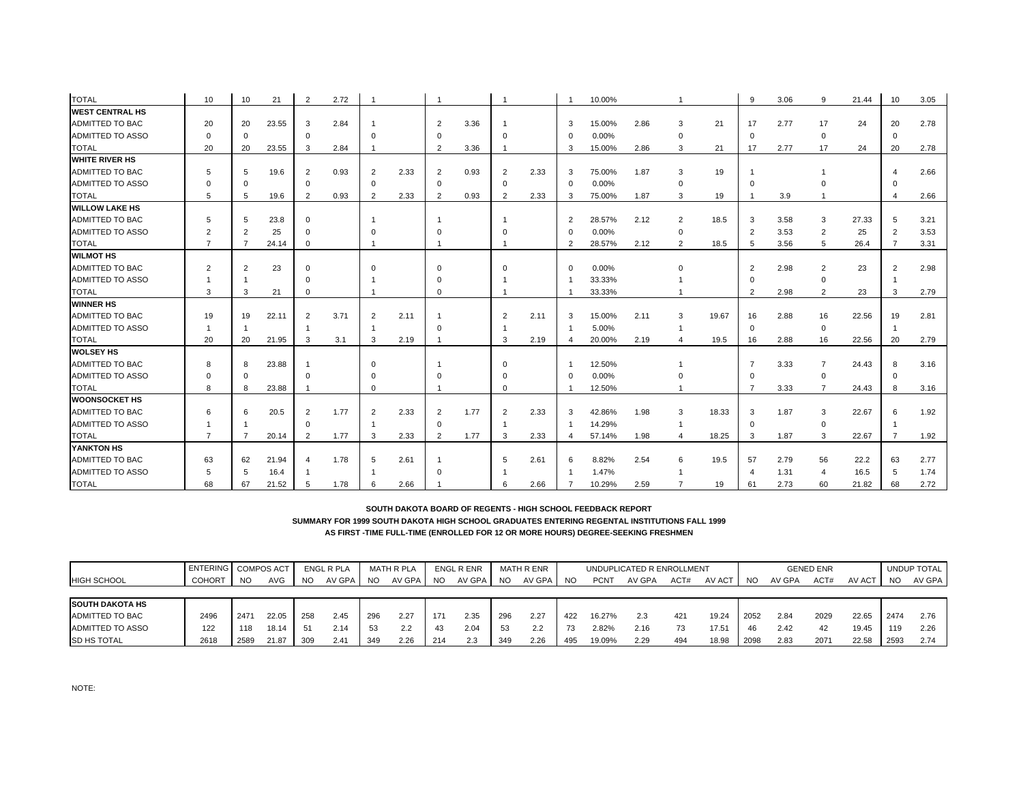| <b>TOTAL</b>            | 10             | 10             | 21    | $\overline{2}$         | 2.72 |                |      |                |      |                |      |                | 10.00% |      |                |       | 9              | 3.06 | 9              | 21.44 | 10             | 3.05 |
|-------------------------|----------------|----------------|-------|------------------------|------|----------------|------|----------------|------|----------------|------|----------------|--------|------|----------------|-------|----------------|------|----------------|-------|----------------|------|
| <b>WEST CENTRAL HS</b>  |                |                |       |                        |      |                |      |                |      |                |      |                |        |      |                |       |                |      |                |       |                |      |
| ADMITTED TO BAC         | 20             | 20             | 23.55 | 3                      | 2.84 |                |      | $\overline{2}$ | 3.36 |                |      | 3              | 15.00% | 2.86 | 3              | 21    | 17             | 2.77 | 17             | 24    | 20             | 2.78 |
| <b>ADMITTED TO ASSO</b> | $\Omega$       | 0              |       | 0                      |      | $\Omega$       |      | n              |      | $\Omega$       |      | $\Omega$       | 0.00%  |      | $\mathbf 0$    |       | $\mathbf 0$    |      | $\mathbf 0$    |       | $\mathbf 0$    |      |
| <b>TOTAL</b>            | 20             | 20             | 23.55 | 3                      | 2.84 |                |      | $\overline{2}$ | 3.36 |                |      | 3              | 15.00% | 2.86 | 3              | 21    | 17             | 2.77 | 17             | 24    | 20             | 2.78 |
| <b>WHITE RIVER HS</b>   |                |                |       |                        |      |                |      |                |      |                |      |                |        |      |                |       |                |      |                |       |                |      |
| ADMITTED TO BAC         | 5              | 5              | 19.6  | $\overline{2}$         | 0.93 |                | 2.33 | $\overline{2}$ | 0.93 | $\overline{2}$ | 2.33 | 3              | 75.00% | 1.87 | 3              | 19    |                |      |                |       | 4              | 2.66 |
| <b>ADMITTED TO ASSO</b> |                | $\Omega$       |       | $\Omega$               |      | $\Omega$       |      | $\Omega$       |      | $\Omega$       |      | $\Omega$       | 0.00%  |      | $\Omega$       |       | $\Omega$       |      |                |       |                |      |
| <b>TOTAL</b>            | 5              | 5              | 19.6  | $\overline{2}$         | 0.93 |                | 2.33 | $\overline{2}$ | 0.93 | 2              | 2.33 | 3              | 75.00% | 1.87 | 3              | 19    |                | 3.9  |                |       |                | 2.66 |
| <b>WILLOW LAKE HS</b>   |                |                |       |                        |      |                |      |                |      |                |      |                |        |      |                |       |                |      |                |       |                |      |
| ADMITTED TO BAC         | 5              | 5              | 23.8  | $\mathbf 0$            |      |                |      |                |      |                |      | $\overline{2}$ | 28.57% | 2.12 | 2              | 18.5  | 3              | 3.58 | 3              | 27.33 | 5              | 3.21 |
| ADMITTED TO ASSO        |                | $\overline{2}$ | 25    | $\mathbf 0$            |      |                |      |                |      |                |      | $\Omega$       | 0.00%  |      | 0              |       | $\overline{2}$ | 3.53 | $\overline{2}$ | 25    | $\overline{2}$ | 3.53 |
| <b>TOTAL</b>            |                | $\overline{7}$ | 24.14 | 0                      |      |                |      |                |      |                |      | $\overline{2}$ | 28.57% | 2.12 | $\overline{2}$ | 18.5  | 5              | 3.56 | 5              | 26.4  | $\overline{7}$ | 3.31 |
| <b>WILMOT HS</b>        |                |                |       |                        |      |                |      |                |      |                |      |                |        |      |                |       |                |      |                |       |                |      |
| ADMITTED TO BAC         | 2              | 2              | 23    | $\mathbf 0$            |      |                |      | $\Omega$       |      | $\Omega$       |      | $\mathbf 0$    | 0.00%  |      |                |       | $\overline{2}$ | 2.98 | $\overline{2}$ | 23    | $\overline{2}$ | 2.98 |
| ADMITTED TO ASSO        |                |                |       | $\Omega$               |      |                |      |                |      |                |      |                | 33.33% |      |                |       | $\Omega$       |      | $\mathbf 0$    |       |                |      |
| <b>TOTAL</b>            | 3              | 3              | 21    | $\mathbf 0$            |      |                |      | $\Omega$       |      |                |      |                | 33.33% |      |                |       | 2              | 2.98 | 2              | 23    | 3              | 2.79 |
| <b>WINNER HS</b>        |                |                |       |                        |      |                |      |                |      |                |      |                |        |      |                |       |                |      |                |       |                |      |
| ADMITTED TO BAC         | 19             | 19             | 22.11 | 2                      | 3.71 | $\overline{2}$ | 2.11 |                |      | 2              | 2.11 | 3              | 15.00% | 2.11 | 3              | 19.67 | 16             | 2.88 | 16             | 22.56 | 19             | 2.81 |
| <b>ADMITTED TO ASSO</b> |                | -1             |       | -1                     |      |                |      | $\Omega$       |      |                |      |                | 5.00%  |      |                |       | $\mathbf 0$    |      | $\mathbf 0$    |       |                |      |
| <b>TOTAL</b>            | 20             | 20             | 21.95 | 3                      | 3.1  | 3              | 2.19 |                |      | 3              | 2.19 |                | 20.00% | 2.19 | 4              | 19.5  | 16             | 2.88 | 16             | 22.56 | 20             | 2.79 |
| <b>WOLSEY HS</b>        |                |                |       |                        |      |                |      |                |      |                |      |                |        |      |                |       |                |      |                |       |                |      |
| ADMITTED TO BAC         | 8              | 8              | 23.88 |                        |      |                |      |                |      | $\Omega$       |      |                | 12.50% |      |                |       |                | 3.33 | $\overline{7}$ | 24.43 | 8              | 3.16 |
| ADMITTED TO ASSO        |                | $\Omega$       |       | $\Omega$               |      |                |      |                |      | $\Omega$       |      | $\Omega$       | 0.00%  |      |                |       | $\Omega$       |      | $\mathbf 0$    |       | $\Omega$       |      |
| <b>TOTAL</b>            | 8              | 8              | 23.88 |                        |      | $\Omega$       |      |                |      | $\Omega$       |      |                | 12.50% |      |                |       | $\overline{7}$ | 3.33 | $\overline{7}$ | 24.43 | 8              | 3.16 |
| <b>WOONSOCKET HS</b>    |                |                |       |                        |      |                |      |                |      |                |      |                |        |      |                |       |                |      |                |       |                |      |
| ADMITTED TO BAC         | 6              | 6              | 20.5  | 2                      | 1.77 | 2              | 2.33 | $\overline{2}$ | 1.77 | 2              | 2.33 | -3             | 42.86% | 1.98 | 3              | 18.33 | 3              | 1.87 | 3              | 22.67 | 6              | 1.92 |
| ADMITTED TO ASSO        |                |                |       | $\mathbf 0$            |      |                |      | $\Omega$       |      |                |      | - 1            | 14.29% |      |                |       | $\Omega$       |      | $\mathbf 0$    |       |                |      |
| <b>TOTAL</b>            | $\overline{7}$ | $\overline{7}$ | 20.14 | 2                      | 1.77 | 3              | 2.33 | $\overline{2}$ | 1.77 | 3              | 2.33 |                | 57.14% | 1.98 |                | 18.25 | 3              | 1.87 | 3              | 22.67 | $\overline{7}$ | 1.92 |
| YANKTON HS              |                |                |       |                        |      |                |      |                |      |                |      |                |        |      |                |       |                |      |                |       |                |      |
| ADMITTED TO BAC         | 63             | 62             | 21.94 | $\boldsymbol{\Lambda}$ | 1.78 | 5              | 2.61 |                |      | 5              | 2.61 | -6             | 8.82%  | 2.54 | 6              | 19.5  | 57             | 2.79 | 56             | 22.2  | 63             | 2.77 |
| ADMITTED TO ASSO        | 5              | 5              | 16.4  |                        |      |                |      |                |      |                |      |                | 1.47%  |      |                |       | $\overline{4}$ | 1.31 | $\overline{4}$ | 16.5  | 5              | 1.74 |
| <b>TOTAL</b>            | 68             | 67             | 21.52 | 5                      | 1.78 | 6              | 2.66 |                |      |                | 2.66 |                | 10.29% | 2.59 |                | 19    | 61             | 2.73 | 60             | 21.82 | 68             | 2.72 |

|                         | <b>ENTERING</b> | <b>COMPOS ACT</b> |       | ENGL R PLA |        | MATH R PLA |        | <b>ENGL R ENR</b> |        | MATH R ENR |        | UNDUPLICATED R ENROLLMENT |                  |        |      | <b>GENED ENR</b> |           |        |      | UNDUP TOTAL |           |        |
|-------------------------|-----------------|-------------------|-------|------------|--------|------------|--------|-------------------|--------|------------|--------|---------------------------|------------------|--------|------|------------------|-----------|--------|------|-------------|-----------|--------|
| <b>HIGH SCHOOL</b>      | <b>COHORT</b>   | <b>NO</b>         | AVG   | NO         | AV GPA | NO.        | AV GPA | NO                | AV GPA | NO         | AV GPA | NO                        | PCN <sub>1</sub> | AV GPA | ACT# | AV ACT           | <b>NO</b> | AV GPA | ACT# | AV ACT      | <b>NO</b> | AV GPA |
|                         |                 |                   |       |            |        |            |        |                   |        |            |        |                           |                  |        |      |                  |           |        |      |             |           |        |
| <b>SOUTH DAKOTA HS</b>  |                 |                   |       |            |        |            |        |                   |        |            |        |                           |                  |        |      |                  |           |        |      |             |           |        |
| <b>ADMITTED TO BAC</b>  | 2496            | 247'              | 22.05 | 258        | 2.45   | 296        | 2.27   | 171               | 2.35   | 296        | 2.27   | 422                       | 16.27%           | 2.3    | 421  | 19.24            | 2052      | 2.84   | 2029 | 22.65       | 2474      | 2.76   |
| <b>ADMITTED TO ASSO</b> | 122             | 118               | 18.14 | -51        | 2.14   | 53         | 2.2    | 43                | 2.04   | 53         | 2.2    |                           | 2.82%            | 2.16   | 73   | 17.51            | 46        | 2.42   | 42   | 19.45       | 119       | 2.26   |
| <b>SD HS TOTAL</b>      | 2618            | 2589              | 21.87 | 309        | 2.41   | 349        | 2.26   | 214               | 2.3    | 349        | 2.26   | 495                       | 19.09%           | 2.29   | 494  | 18.98            | 2098      | 2.83   | 2071 | 22.58       | 2593      | 2.74   |